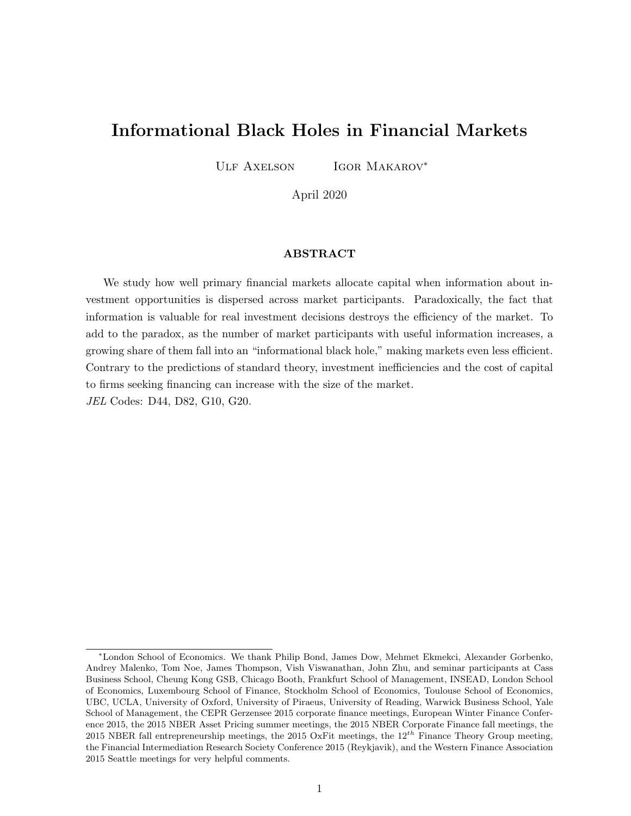# Informational Black Holes in Financial Markets

ULF AXELSON IGOR MAKAROV<sup>\*</sup>

April 2020

## ABSTRACT

We study how well primary financial markets allocate capital when information about investment opportunities is dispersed across market participants. Paradoxically, the fact that information is valuable for real investment decisions destroys the efficiency of the market. To add to the paradox, as the number of market participants with useful information increases, a growing share of them fall into an "informational black hole," making markets even less efficient. Contrary to the predictions of standard theory, investment inefficiencies and the cost of capital to firms seeking financing can increase with the size of the market. JEL Codes: D44, D82, G10, G20.

<sup>∗</sup>London School of Economics. We thank Philip Bond, James Dow, Mehmet Ekmekci, Alexander Gorbenko, Andrey Malenko, Tom Noe, James Thompson, Vish Viswanathan, John Zhu, and seminar participants at Cass Business School, Cheung Kong GSB, Chicago Booth, Frankfurt School of Management, INSEAD, London School of Economics, Luxembourg School of Finance, Stockholm School of Economics, Toulouse School of Economics, UBC, UCLA, University of Oxford, University of Piraeus, University of Reading, Warwick Business School, Yale School of Management, the CEPR Gerzensee 2015 corporate finance meetings, European Winter Finance Conference 2015, the 2015 NBER Asset Pricing summer meetings, the 2015 NBER Corporate Finance fall meetings, the 2015 NBER fall entrepreneurship meetings, the 2015 OxFit meetings, the  $12^{th}$  Finance Theory Group meeting, the Financial Intermediation Research Society Conference 2015 (Reykjavik), and the Western Finance Association 2015 Seattle meetings for very helpful comments.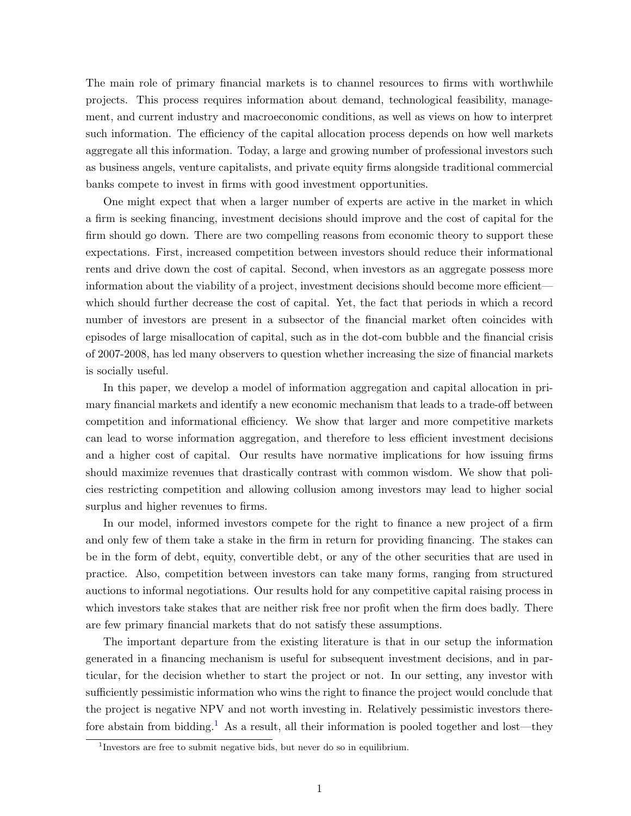The main role of primary financial markets is to channel resources to firms with worthwhile projects. This process requires information about demand, technological feasibility, management, and current industry and macroeconomic conditions, as well as views on how to interpret such information. The efficiency of the capital allocation process depends on how well markets aggregate all this information. Today, a large and growing number of professional investors such as business angels, venture capitalists, and private equity firms alongside traditional commercial banks compete to invest in firms with good investment opportunities.

One might expect that when a larger number of experts are active in the market in which a firm is seeking financing, investment decisions should improve and the cost of capital for the firm should go down. There are two compelling reasons from economic theory to support these expectations. First, increased competition between investors should reduce their informational rents and drive down the cost of capital. Second, when investors as an aggregate possess more information about the viability of a project, investment decisions should become more efficient which should further decrease the cost of capital. Yet, the fact that periods in which a record number of investors are present in a subsector of the financial market often coincides with episodes of large misallocation of capital, such as in the dot-com bubble and the financial crisis of 2007-2008, has led many observers to question whether increasing the size of financial markets is socially useful.

In this paper, we develop a model of information aggregation and capital allocation in primary financial markets and identify a new economic mechanism that leads to a trade-off between competition and informational efficiency. We show that larger and more competitive markets can lead to worse information aggregation, and therefore to less efficient investment decisions and a higher cost of capital. Our results have normative implications for how issuing firms should maximize revenues that drastically contrast with common wisdom. We show that policies restricting competition and allowing collusion among investors may lead to higher social surplus and higher revenues to firms.

In our model, informed investors compete for the right to finance a new project of a firm and only few of them take a stake in the firm in return for providing financing. The stakes can be in the form of debt, equity, convertible debt, or any of the other securities that are used in practice. Also, competition between investors can take many forms, ranging from structured auctions to informal negotiations. Our results hold for any competitive capital raising process in which investors take stakes that are neither risk free nor profit when the firm does badly. There are few primary financial markets that do not satisfy these assumptions.

The important departure from the existing literature is that in our setup the information generated in a financing mechanism is useful for subsequent investment decisions, and in particular, for the decision whether to start the project or not. In our setting, any investor with sufficiently pessimistic information who wins the right to finance the project would conclude that the project is negative NPV and not worth investing in. Relatively pessimistic investors there-fore abstain from bidding.<sup>[1](#page-1-0)</sup> As a result, all their information is pooled together and lost—they

<span id="page-1-0"></span><sup>&</sup>lt;sup>1</sup>Investors are free to submit negative bids, but never do so in equilibrium.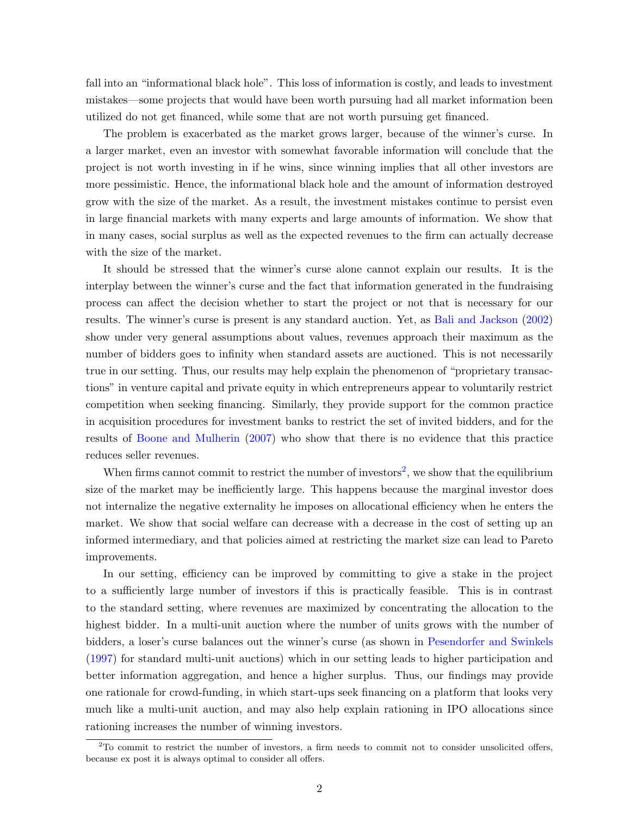fall into an "informational black hole". This loss of information is costly, and leads to investment mistakes—some projects that would have been worth pursuing had all market information been utilized do not get financed, while some that are not worth pursuing get financed.

The problem is exacerbated as the market grows larger, because of the winner's curse. In a larger market, even an investor with somewhat favorable information will conclude that the project is not worth investing in if he wins, since winning implies that all other investors are more pessimistic. Hence, the informational black hole and the amount of information destroyed grow with the size of the market. As a result, the investment mistakes continue to persist even in large financial markets with many experts and large amounts of information. We show that in many cases, social surplus as well as the expected revenues to the firm can actually decrease with the size of the market.

It should be stressed that the winner's curse alone cannot explain our results. It is the interplay between the winner's curse and the fact that information generated in the fundraising process can affect the decision whether to start the project or not that is necessary for our results. The winner's curse is present is any standard auction. Yet, as [Bali and Jackson](#page-37-0) [\(2002\)](#page-37-0) show under very general assumptions about values, revenues approach their maximum as the number of bidders goes to infinity when standard assets are auctioned. This is not necessarily true in our setting. Thus, our results may help explain the phenomenon of "proprietary transactions" in venture capital and private equity in which entrepreneurs appear to voluntarily restrict competition when seeking financing. Similarly, they provide support for the common practice in acquisition procedures for investment banks to restrict the set of invited bidders, and for the results of [Boone and Mulherin](#page-37-1) [\(2007\)](#page-37-1) who show that there is no evidence that this practice reduces seller revenues.

When firms cannot commit to restrict the number of investors<sup>[2](#page-2-0)</sup>, we show that the equilibrium size of the market may be inefficiently large. This happens because the marginal investor does not internalize the negative externality he imposes on allocational efficiency when he enters the market. We show that social welfare can decrease with a decrease in the cost of setting up an informed intermediary, and that policies aimed at restricting the market size can lead to Pareto improvements.

In our setting, efficiency can be improved by committing to give a stake in the project to a sufficiently large number of investors if this is practically feasible. This is in contrast to the standard setting, where revenues are maximized by concentrating the allocation to the highest bidder. In a multi-unit auction where the number of units grows with the number of bidders, a loser's curse balances out the winner's curse (as shown in [Pesendorfer and Swinkels](#page-39-0) [\(1997\)](#page-39-0) for standard multi-unit auctions) which in our setting leads to higher participation and better information aggregation, and hence a higher surplus. Thus, our findings may provide one rationale for crowd-funding, in which start-ups seek financing on a platform that looks very much like a multi-unit auction, and may also help explain rationing in IPO allocations since rationing increases the number of winning investors.

<span id="page-2-0"></span> $2$ To commit to restrict the number of investors, a firm needs to commit not to consider unsolicited offers, because ex post it is always optimal to consider all offers.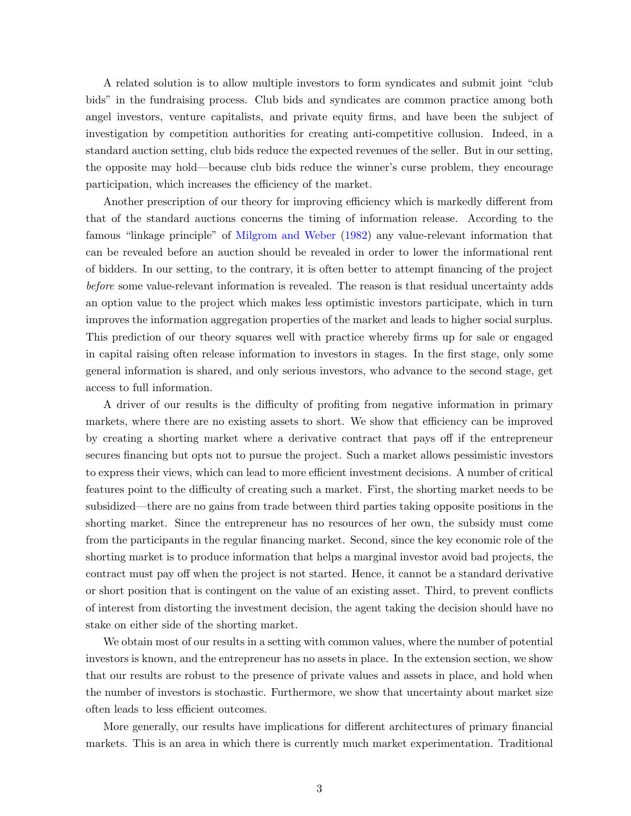A related solution is to allow multiple investors to form syndicates and submit joint "club bids" in the fundraising process. Club bids and syndicates are common practice among both angel investors, venture capitalists, and private equity firms, and have been the subject of investigation by competition authorities for creating anti-competitive collusion. Indeed, in a standard auction setting, club bids reduce the expected revenues of the seller. But in our setting, the opposite may hold—because club bids reduce the winner's curse problem, they encourage participation, which increases the efficiency of the market.

Another prescription of our theory for improving efficiency which is markedly different from that of the standard auctions concerns the timing of information release. According to the famous "linkage principle" of [Milgrom and Weber](#page-39-1) [\(1982\)](#page-39-1) any value-relevant information that can be revealed before an auction should be revealed in order to lower the informational rent of bidders. In our setting, to the contrary, it is often better to attempt financing of the project before some value-relevant information is revealed. The reason is that residual uncertainty adds an option value to the project which makes less optimistic investors participate, which in turn improves the information aggregation properties of the market and leads to higher social surplus. This prediction of our theory squares well with practice whereby firms up for sale or engaged in capital raising often release information to investors in stages. In the first stage, only some general information is shared, and only serious investors, who advance to the second stage, get access to full information.

A driver of our results is the difficulty of profiting from negative information in primary markets, where there are no existing assets to short. We show that efficiency can be improved by creating a shorting market where a derivative contract that pays off if the entrepreneur secures financing but opts not to pursue the project. Such a market allows pessimistic investors to express their views, which can lead to more efficient investment decisions. A number of critical features point to the difficulty of creating such a market. First, the shorting market needs to be subsidized—there are no gains from trade between third parties taking opposite positions in the shorting market. Since the entrepreneur has no resources of her own, the subsidy must come from the participants in the regular financing market. Second, since the key economic role of the shorting market is to produce information that helps a marginal investor avoid bad projects, the contract must pay off when the project is not started. Hence, it cannot be a standard derivative or short position that is contingent on the value of an existing asset. Third, to prevent conflicts of interest from distorting the investment decision, the agent taking the decision should have no stake on either side of the shorting market.

We obtain most of our results in a setting with common values, where the number of potential investors is known, and the entrepreneur has no assets in place. In the extension section, we show that our results are robust to the presence of private values and assets in place, and hold when the number of investors is stochastic. Furthermore, we show that uncertainty about market size often leads to less efficient outcomes.

More generally, our results have implications for different architectures of primary financial markets. This is an area in which there is currently much market experimentation. Traditional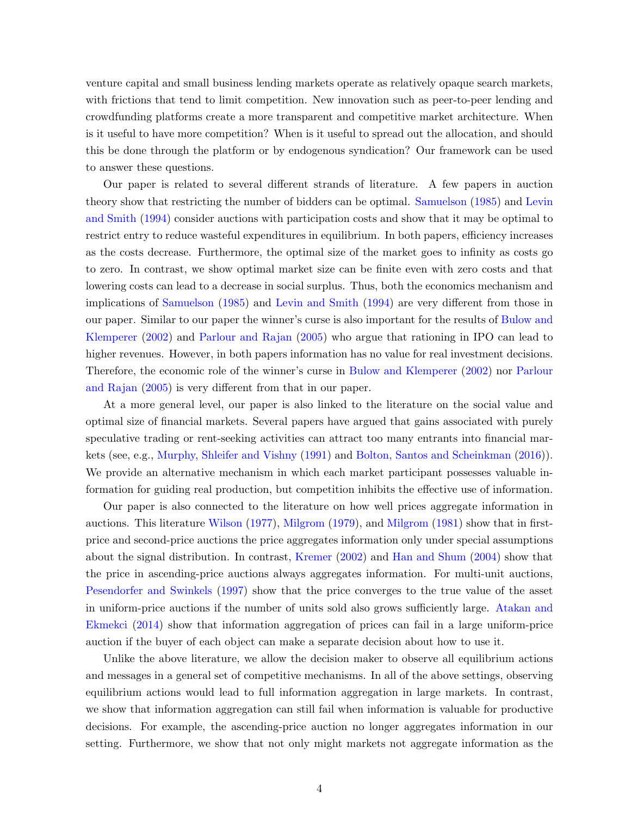venture capital and small business lending markets operate as relatively opaque search markets, with frictions that tend to limit competition. New innovation such as peer-to-peer lending and crowdfunding platforms create a more transparent and competitive market architecture. When is it useful to have more competition? When is it useful to spread out the allocation, and should this be done through the platform or by endogenous syndication? Our framework can be used to answer these questions.

Our paper is related to several different strands of literature. A few papers in auction theory show that restricting the number of bidders can be optimal. [Samuelson](#page-39-2) [\(1985\)](#page-39-2) and [Levin](#page-39-3) [and Smith](#page-39-3) [\(1994\)](#page-39-3) consider auctions with participation costs and show that it may be optimal to restrict entry to reduce wasteful expenditures in equilibrium. In both papers, efficiency increases as the costs decrease. Furthermore, the optimal size of the market goes to infinity as costs go to zero. In contrast, we show optimal market size can be finite even with zero costs and that lowering costs can lead to a decrease in social surplus. Thus, both the economics mechanism and implications of [Samuelson](#page-39-2) [\(1985\)](#page-39-2) and [Levin and Smith](#page-39-3) [\(1994\)](#page-39-3) are very different from those in our paper. Similar to our paper the winner's curse is also important for the results of [Bulow and](#page-38-0) [Klemperer](#page-38-0) [\(2002\)](#page-38-0) and [Parlour and Rajan](#page-39-4) [\(2005\)](#page-39-4) who argue that rationing in IPO can lead to higher revenues. However, in both papers information has no value for real investment decisions. Therefore, the economic role of the winner's curse in [Bulow and Klemperer](#page-38-0) [\(2002\)](#page-38-0) nor [Parlour](#page-39-4) [and Rajan](#page-39-4) [\(2005\)](#page-39-4) is very different from that in our paper.

At a more general level, our paper is also linked to the literature on the social value and optimal size of financial markets. Several papers have argued that gains associated with purely speculative trading or rent-seeking activities can attract too many entrants into financial markets (see, e.g., [Murphy, Shleifer and Vishny](#page-39-5) [\(1991\)](#page-39-5) and [Bolton, Santos and Scheinkman](#page-37-2) [\(2016\)](#page-37-2)). We provide an alternative mechanism in which each market participant possesses valuable information for guiding real production, but competition inhibits the effective use of information.

Our paper is also connected to the literature on how well prices aggregate information in auctions. This literature [Wilson](#page-40-0) [\(1977\)](#page-40-0), [Milgrom](#page-39-6) [\(1979\)](#page-39-6), and [Milgrom](#page-39-7) [\(1981\)](#page-39-7) show that in firstprice and second-price auctions the price aggregates information only under special assumptions about the signal distribution. In contrast, [Kremer](#page-38-1) [\(2002\)](#page-38-1) and [Han and Shum](#page-38-2) [\(2004\)](#page-38-2) show that the price in ascending-price auctions always aggregates information. For multi-unit auctions, [Pesendorfer and Swinkels](#page-39-0) [\(1997\)](#page-39-0) show that the price converges to the true value of the asset in uniform-price auctions if the number of units sold also grows sufficiently large. [Atakan and](#page-37-3) [Ekmekci](#page-37-3) [\(2014\)](#page-37-3) show that information aggregation of prices can fail in a large uniform-price auction if the buyer of each object can make a separate decision about how to use it.

Unlike the above literature, we allow the decision maker to observe all equilibrium actions and messages in a general set of competitive mechanisms. In all of the above settings, observing equilibrium actions would lead to full information aggregation in large markets. In contrast, we show that information aggregation can still fail when information is valuable for productive decisions. For example, the ascending-price auction no longer aggregates information in our setting. Furthermore, we show that not only might markets not aggregate information as the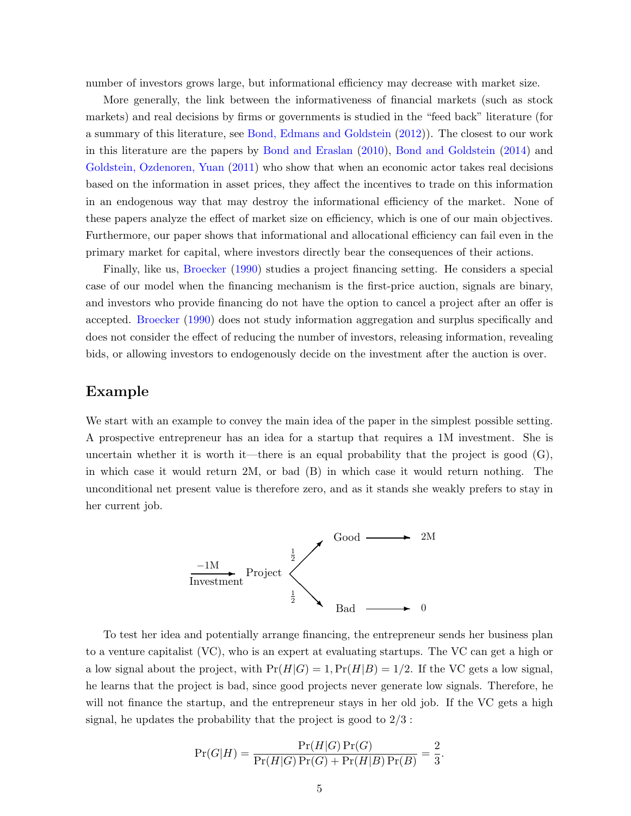number of investors grows large, but informational efficiency may decrease with market size.

More generally, the link between the informativeness of financial markets (such as stock markets) and real decisions by firms or governments is studied in the "feed back" literature (for a summary of this literature, see [Bond, Edmans and Goldstein](#page-37-4) [\(2012\)](#page-37-4)). The closest to our work in this literature are the papers by [Bond and Eraslan](#page-37-5) [\(2010\)](#page-37-5), [Bond and Goldstein](#page-37-6) [\(2014\)](#page-37-6) and [Goldstein, Ozdenoren, Yuan](#page-38-3) [\(2011\)](#page-38-3) who show that when an economic actor takes real decisions based on the information in asset prices, they affect the incentives to trade on this information in an endogenous way that may destroy the informational efficiency of the market. None of these papers analyze the effect of market size on efficiency, which is one of our main objectives. Furthermore, our paper shows that informational and allocational efficiency can fail even in the primary market for capital, where investors directly bear the consequences of their actions.

Finally, like us, [Broecker](#page-37-7) [\(1990\)](#page-37-7) studies a project financing setting. He considers a special case of our model when the financing mechanism is the first-price auction, signals are binary, and investors who provide financing do not have the option to cancel a project after an offer is accepted. [Broecker](#page-37-7) [\(1990\)](#page-37-7) does not study information aggregation and surplus specifically and does not consider the effect of reducing the number of investors, releasing information, revealing bids, or allowing investors to endogenously decide on the investment after the auction is over.

## Example

We start with an example to convey the main idea of the paper in the simplest possible setting. A prospective entrepreneur has an idea for a startup that requires a 1M investment. She is uncertain whether it is worth it—there is an equal probability that the project is good  $(G)$ , in which case it would return 2M, or bad (B) in which case it would return nothing. The unconditional net present value is therefore zero, and as it stands she weakly prefers to stay in her current job.



To test her idea and potentially arrange financing, the entrepreneur sends her business plan to a venture capitalist (VC), who is an expert at evaluating startups. The VC can get a high or a low signal about the project, with  $Pr(H|G) = 1, Pr(H|B) = 1/2$ . If the VC gets a low signal, he learns that the project is bad, since good projects never generate low signals. Therefore, he will not finance the startup, and the entrepreneur stays in her old job. If the VC gets a high signal, he updates the probability that the project is good to  $2/3$ :

$$
\Pr(G|H) = \frac{\Pr(H|G) \Pr(G)}{\Pr(H|G) \Pr(G) + \Pr(H|B) \Pr(B)} = \frac{2}{3}.
$$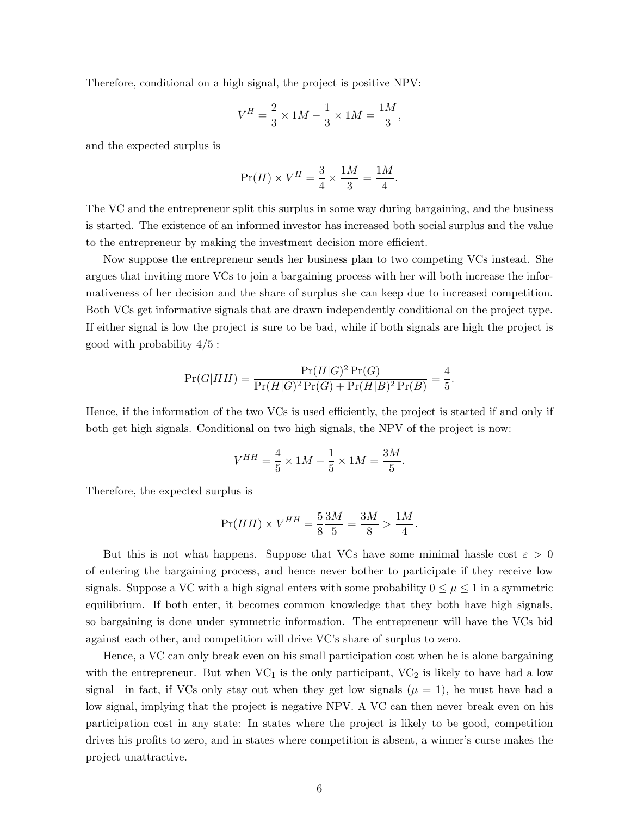Therefore, conditional on a high signal, the project is positive NPV:

$$
V^H = \frac{2}{3} \times 1M - \frac{1}{3} \times 1M = \frac{1M}{3},
$$

and the expected surplus is

$$
\Pr(H) \times V^H = \frac{3}{4} \times \frac{1M}{3} = \frac{1M}{4}.
$$

The VC and the entrepreneur split this surplus in some way during bargaining, and the business is started. The existence of an informed investor has increased both social surplus and the value to the entrepreneur by making the investment decision more efficient.

Now suppose the entrepreneur sends her business plan to two competing VCs instead. She argues that inviting more VCs to join a bargaining process with her will both increase the informativeness of her decision and the share of surplus she can keep due to increased competition. Both VCs get informative signals that are drawn independently conditional on the project type. If either signal is low the project is sure to be bad, while if both signals are high the project is good with probability  $4/5$ :

$$
\Pr(G|HH) = \frac{\Pr(H|G)^{2} \Pr(G)}{\Pr(H|G)^{2} \Pr(G) + \Pr(H|B)^{2} \Pr(B)} = \frac{4}{5}.
$$

Hence, if the information of the two VCs is used efficiently, the project is started if and only if both get high signals. Conditional on two high signals, the NPV of the project is now:

$$
V^{HH} = \frac{4}{5} \times 1M - \frac{1}{5} \times 1M = \frac{3M}{5}.
$$

Therefore, the expected surplus is

$$
\Pr(HH) \times V^{HH} = \frac{5}{8} \frac{3M}{5} = \frac{3M}{8} > \frac{1M}{4}.
$$

But this is not what happens. Suppose that VCs have some minimal hassle cost  $\varepsilon > 0$ of entering the bargaining process, and hence never bother to participate if they receive low signals. Suppose a VC with a high signal enters with some probability  $0 \leq \mu \leq 1$  in a symmetric equilibrium. If both enter, it becomes common knowledge that they both have high signals, so bargaining is done under symmetric information. The entrepreneur will have the VCs bid against each other, and competition will drive VC's share of surplus to zero.

Hence, a VC can only break even on his small participation cost when he is alone bargaining with the entrepreneur. But when  $VC_1$  is the only participant,  $VC_2$  is likely to have had a low signal—in fact, if VCs only stay out when they get low signals  $(\mu = 1)$ , he must have had a low signal, implying that the project is negative NPV. A VC can then never break even on his participation cost in any state: In states where the project is likely to be good, competition drives his profits to zero, and in states where competition is absent, a winner's curse makes the project unattractive.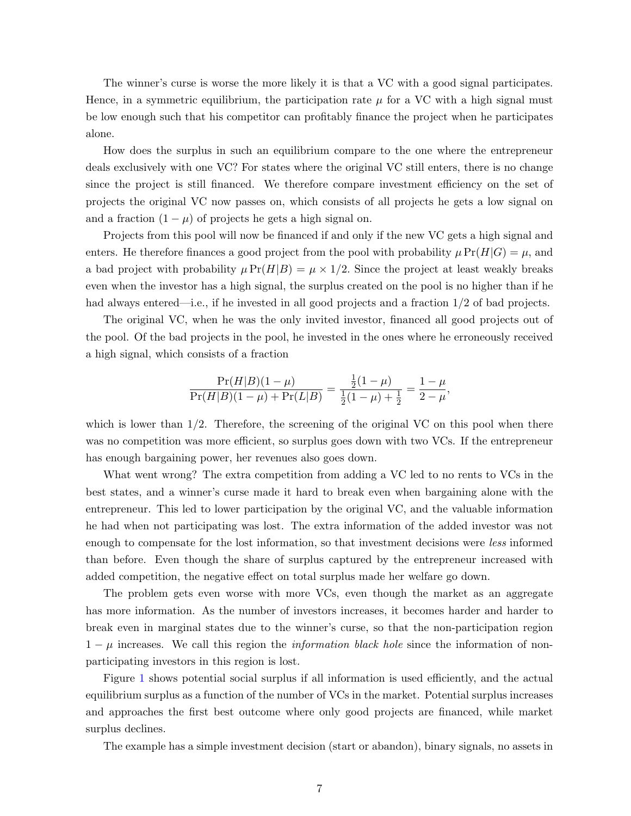The winner's curse is worse the more likely it is that a VC with a good signal participates. Hence, in a symmetric equilibrium, the participation rate  $\mu$  for a VC with a high signal must be low enough such that his competitor can profitably finance the project when he participates alone.

How does the surplus in such an equilibrium compare to the one where the entrepreneur deals exclusively with one VC? For states where the original VC still enters, there is no change since the project is still financed. We therefore compare investment efficiency on the set of projects the original VC now passes on, which consists of all projects he gets a low signal on and a fraction  $(1 - \mu)$  of projects he gets a high signal on.

Projects from this pool will now be financed if and only if the new VC gets a high signal and enters. He therefore finances a good project from the pool with probability  $\mu \Pr(H|G) = \mu$ , and a bad project with probability  $\mu \Pr(H|B) = \mu \times 1/2$ . Since the project at least weakly breaks even when the investor has a high signal, the surplus created on the pool is no higher than if he had always entered—i.e., if he invested in all good projects and a fraction  $1/2$  of bad projects.

The original VC, when he was the only invited investor, financed all good projects out of the pool. Of the bad projects in the pool, he invested in the ones where he erroneously received a high signal, which consists of a fraction

$$
\frac{\Pr(H|B)(1-\mu)}{\Pr(H|B)(1-\mu) + \Pr(L|B)} = \frac{\frac{1}{2}(1-\mu)}{\frac{1}{2}(1-\mu) + \frac{1}{2}} = \frac{1-\mu}{2-\mu},
$$

which is lower than  $1/2$ . Therefore, the screening of the original VC on this pool when there was no competition was more efficient, so surplus goes down with two VCs. If the entrepreneur has enough bargaining power, her revenues also goes down.

What went wrong? The extra competition from adding a VC led to no rents to VCs in the best states, and a winner's curse made it hard to break even when bargaining alone with the entrepreneur. This led to lower participation by the original VC, and the valuable information he had when not participating was lost. The extra information of the added investor was not enough to compensate for the lost information, so that investment decisions were *less* informed than before. Even though the share of surplus captured by the entrepreneur increased with added competition, the negative effect on total surplus made her welfare go down.

The problem gets even worse with more VCs, even though the market as an aggregate has more information. As the number of investors increases, it becomes harder and harder to break even in marginal states due to the winner's curse, so that the non-participation region  $1 - \mu$  increases. We call this region the *information black hole* since the information of nonparticipating investors in this region is lost.

Figure [1](#page-41-0) shows potential social surplus if all information is used efficiently, and the actual equilibrium surplus as a function of the number of VCs in the market. Potential surplus increases and approaches the first best outcome where only good projects are financed, while market surplus declines.

The example has a simple investment decision (start or abandon), binary signals, no assets in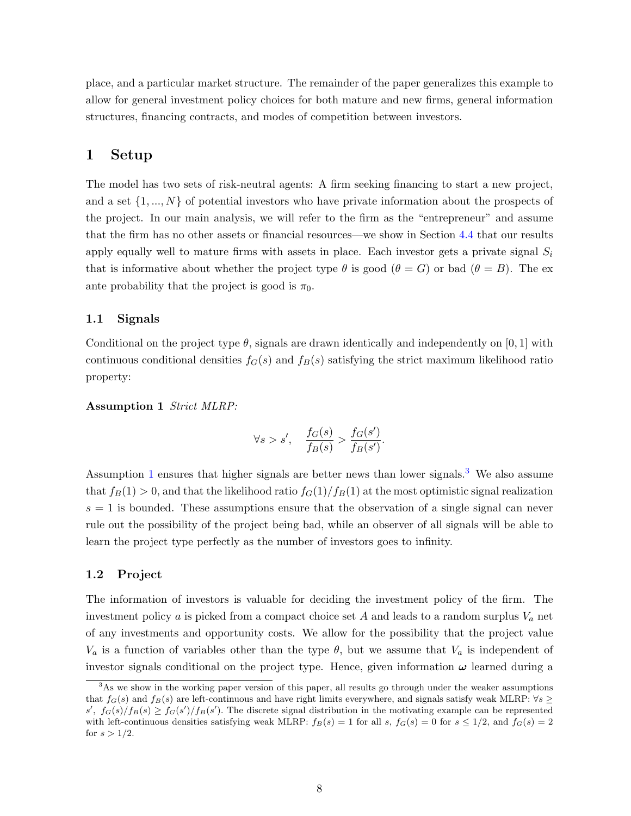place, and a particular market structure. The remainder of the paper generalizes this example to allow for general investment policy choices for both mature and new firms, general information structures, financing contracts, and modes of competition between investors.

# 1 Setup

The model has two sets of risk-neutral agents: A firm seeking financing to start a new project, and a set  $\{1, ..., N\}$  of potential investors who have private information about the prospects of the project. In our main analysis, we will refer to the firm as the "entrepreneur" and assume that the firm has no other assets or financial resources—we show in Section [4.4](#page-31-0) that our results apply equally well to mature firms with assets in place. Each investor gets a private signal  $S_i$ that is informative about whether the project type  $\theta$  is good  $(\theta = G)$  or bad  $(\theta = B)$ . The exante probability that the project is good is  $\pi_0$ .

## 1.1 Signals

Conditional on the project type  $\theta$ , signals are drawn identically and independently on [0, 1] with continuous conditional densities  $f_G(s)$  and  $f_B(s)$  satisfying the strict maximum likelihood ratio property:

<span id="page-8-0"></span>Assumption 1 Strict MLRP:

$$
\forall s > s', \quad \frac{f_G(s)}{f_B(s)} > \frac{f_G(s')}{f_B(s')}.
$$

Assumption [1](#page-8-0) ensures that higher signals are better news than lower signals.<sup>[3](#page-8-1)</sup> We also assume that  $f_B(1) > 0$ , and that the likelihood ratio  $f_G(1)/f_B(1)$  at the most optimistic signal realization  $s = 1$  is bounded. These assumptions ensure that the observation of a single signal can never rule out the possibility of the project being bad, while an observer of all signals will be able to learn the project type perfectly as the number of investors goes to infinity.

## 1.2 Project

The information of investors is valuable for deciding the investment policy of the firm. The investment policy a is picked from a compact choice set A and leads to a random surplus  $V_a$  net of any investments and opportunity costs. We allow for the possibility that the project value  $V_a$  is a function of variables other than the type  $\theta$ , but we assume that  $V_a$  is independent of investor signals conditional on the project type. Hence, given information  $\omega$  learned during a

<span id="page-8-1"></span><sup>&</sup>lt;sup>3</sup>As we show in the working paper version of this paper, all results go through under the weaker assumptions that  $f_G(s)$  and  $f_B(s)$  are left-continuous and have right limits everywhere, and signals satisfy weak MLRP:  $\forall s \geq 1$  $s'$ ,  $f_G(s)/f_B(s) \ge f_G(s')/f_B(s')$ . The discrete signal distribution in the motivating example can be represented with left-continuous densities satisfying weak MLRP:  $f_B(s) = 1$  for all s,  $f_G(s) = 0$  for  $s \le 1/2$ , and  $f_G(s) = 2$ for  $s > 1/2$ .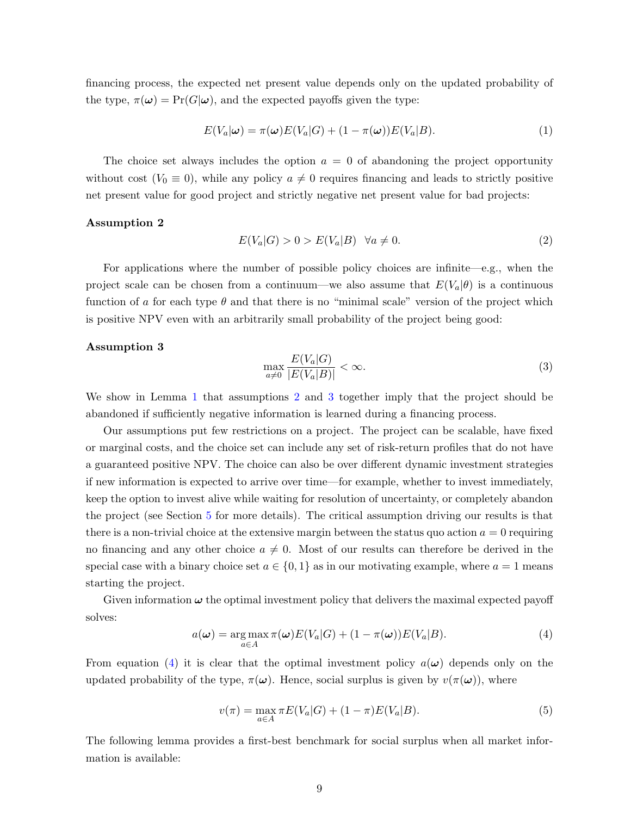financing process, the expected net present value depends only on the updated probability of the type,  $\pi(\omega) = \Pr(G|\omega)$ , and the expected payoffs given the type:

$$
E(V_a|\omega) = \pi(\omega)E(V_a|G) + (1 - \pi(\omega))E(V_a|B). \tag{1}
$$

The choice set always includes the option  $a = 0$  of abandoning the project opportunity without cost ( $V_0 \equiv 0$ ), while any policy  $a \neq 0$  requires financing and leads to strictly positive net present value for good project and strictly negative net present value for bad projects:

#### <span id="page-9-1"></span>Assumption 2

$$
E(V_a|G) > 0 > E(V_a|B) \quad \forall a \neq 0. \tag{2}
$$

For applications where the number of possible policy choices are infinite—e.g., when the project scale can be chosen from a continuum—we also assume that  $E(V_a|\theta)$  is a continuous function of a for each type  $\theta$  and that there is no "minimal scale" version of the project which is positive NPV even with an arbitrarily small probability of the project being good:

#### <span id="page-9-2"></span>Assumption 3

$$
\max_{a \neq 0} \frac{E(V_a|G)}{|E(V_a|B)|} < \infty. \tag{3}
$$

We show in Lemma [1](#page-9-0) that assumptions [2](#page-9-1) and [3](#page-9-2) together imply that the project should be abandoned if sufficiently negative information is learned during a financing process.

Our assumptions put few restrictions on a project. The project can be scalable, have fixed or marginal costs, and the choice set can include any set of risk-return profiles that do not have a guaranteed positive NPV. The choice can also be over different dynamic investment strategies if new information is expected to arrive over time—for example, whether to invest immediately, keep the option to invest alive while waiting for resolution of uncertainty, or completely abandon the project (see Section [5](#page-32-0) for more details). The critical assumption driving our results is that there is a non-trivial choice at the extensive margin between the status quo action  $a = 0$  requiring no financing and any other choice  $a \neq 0$ . Most of our results can therefore be derived in the special case with a binary choice set  $a \in \{0,1\}$  as in our motivating example, where  $a = 1$  means starting the project.

Given information  $\omega$  the optimal investment policy that delivers the maximal expected payoff solves:

<span id="page-9-3"></span>
$$
a(\omega) = \underset{a \in A}{\arg \max} \pi(\omega) E(V_a|G) + (1 - \pi(\omega)) E(V_a|B). \tag{4}
$$

From equation [\(4\)](#page-9-3) it is clear that the optimal investment policy  $a(\omega)$  depends only on the updated probability of the type,  $\pi(\omega)$ . Hence, social surplus is given by  $v(\pi(\omega))$ , where

$$
v(\pi) = \max_{a \in A} \pi E(V_a|G) + (1 - \pi)E(V_a|B). \tag{5}
$$

<span id="page-9-0"></span>The following lemma provides a first-best benchmark for social surplus when all market information is available: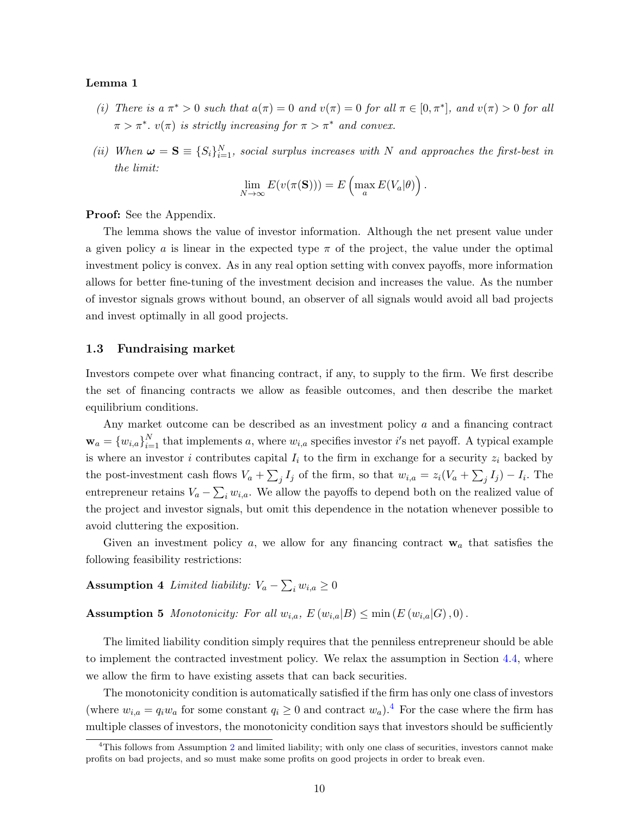#### Lemma 1

- (i) There is  $a \pi^* > 0$  such that  $a(\pi) = 0$  and  $v(\pi) = 0$  for all  $\pi \in [0, \pi^*]$ , and  $v(\pi) > 0$  for all  $\pi > \pi^*$ .  $v(\pi)$  is strictly increasing for  $\pi > \pi^*$  and convex.
- (ii) When  $\boldsymbol{\omega} = \mathbf{S} \equiv \{S_i\}_{i=1}^N$ , social surplus increases with N and approaches the first-best in the limit:

$$
\lim_{N \to \infty} E(v(\pi(\mathbf{S}))) = E\left(\max_{a} E(V_a|\theta)\right)
$$

.

Proof: See the Appendix.

The lemma shows the value of investor information. Although the net present value under a given policy a is linear in the expected type  $\pi$  of the project, the value under the optimal investment policy is convex. As in any real option setting with convex payoffs, more information allows for better fine-tuning of the investment decision and increases the value. As the number of investor signals grows without bound, an observer of all signals would avoid all bad projects and invest optimally in all good projects.

#### 1.3 Fundraising market

Investors compete over what financing contract, if any, to supply to the firm. We first describe the set of financing contracts we allow as feasible outcomes, and then describe the market equilibrium conditions.

Any market outcome can be described as an investment policy a and a financing contract  $\mathbf{w}_a = \{w_{i,a}\}_{i=1}^N$  that implements a, where  $w_{i,a}$  specifies investor i's net payoff. A typical example is where an investor i contributes capital  $I_i$  to the firm in exchange for a security  $z_i$  backed by the post-investment cash flows  $V_a + \sum_j I_j$  of the firm, so that  $w_{i,a} = z_i(V_a + \sum_j I_j) - I_i$ . The entrepreneur retains  $V_a - \sum_i w_{i,a}$ . We allow the payoffs to depend both on the realized value of the project and investor signals, but omit this dependence in the notation whenever possible to avoid cluttering the exposition.

<span id="page-10-1"></span>Given an investment policy  $a$ , we allow for any financing contract  $w_a$  that satisfies the following feasibility restrictions:

Assumption 4 Limited liability:  $V_a - \sum_i w_{i,a} \ge 0$ 

<span id="page-10-2"></span>**Assumption 5** Monotonicity: For all  $w_{i,a}$ ,  $E(w_{i,a}|B) \leq \min(E(w_{i,a}|G), 0)$ .

The limited liability condition simply requires that the penniless entrepreneur should be able to implement the contracted investment policy. We relax the assumption in Section [4.4,](#page-31-0) where we allow the firm to have existing assets that can back securities.

The monotonicity condition is automatically satisfied if the firm has only one class of investors (where  $w_{i,a} = q_i w_a$  for some constant  $q_i \geq 0$  and contract  $w_a$ ).<sup>[4](#page-10-0)</sup> For the case where the firm has multiple classes of investors, the monotonicity condition says that investors should be sufficiently

<span id="page-10-0"></span><sup>&</sup>lt;sup>4</sup>This follows from Assumption [2](#page-9-1) and limited liability; with only one class of securities, investors cannot make profits on bad projects, and so must make some profits on good projects in order to break even.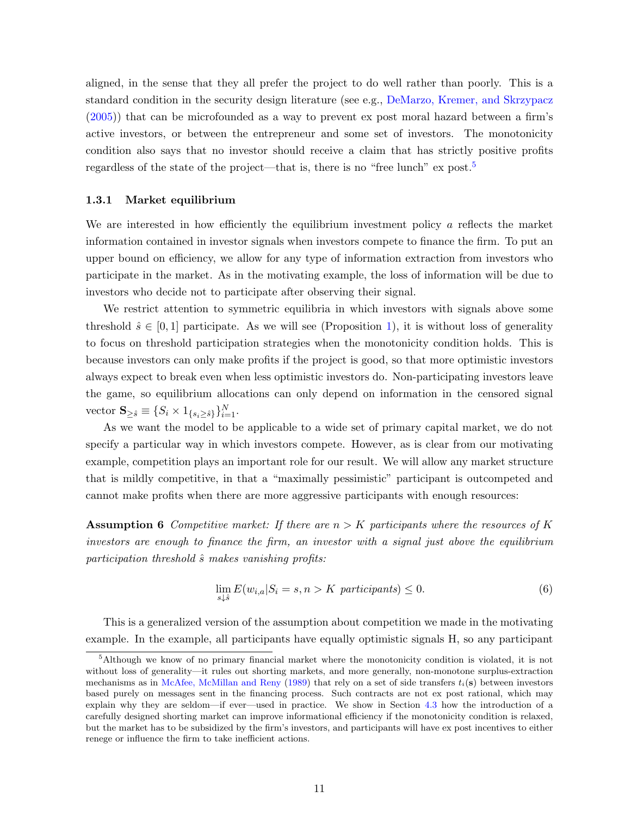aligned, in the sense that they all prefer the project to do well rather than poorly. This is a standard condition in the security design literature (see e.g., [DeMarzo, Kremer, and Skrzypacz](#page-38-4) [\(2005\)](#page-38-4)) that can be microfounded as a way to prevent ex post moral hazard between a firm's active investors, or between the entrepreneur and some set of investors. The monotonicity condition also says that no investor should receive a claim that has strictly positive profits regardless of the state of the project—that is, there is no "free lunch" ex post.<sup>[5](#page-11-0)</sup>

## 1.3.1 Market equilibrium

We are interested in how efficiently the equilibrium investment policy  $\alpha$  reflects the market information contained in investor signals when investors compete to finance the firm. To put an upper bound on efficiency, we allow for any type of information extraction from investors who participate in the market. As in the motivating example, the loss of information will be due to investors who decide not to participate after observing their signal.

We restrict attention to symmetric equilibria in which investors with signals above some threshold  $\hat{s} \in [0,1]$  participate. As we will see (Proposition [1\)](#page-13-0), it is without loss of generality to focus on threshold participation strategies when the monotonicity condition holds. This is because investors can only make profits if the project is good, so that more optimistic investors always expect to break even when less optimistic investors do. Non-participating investors leave the game, so equilibrium allocations can only depend on information in the censored signal vector  $\mathbf{S}_{\geq \hat{s}} \equiv \{S_i \times 1_{\{s_i \geq \hat{s}\}}\}_{i=1}^N$ .

As we want the model to be applicable to a wide set of primary capital market, we do not specify a particular way in which investors compete. However, as is clear from our motivating example, competition plays an important role for our result. We will allow any market structure that is mildly competitive, in that a "maximally pessimistic" participant is outcompeted and cannot make profits when there are more aggressive participants with enough resources:

<span id="page-11-1"></span>**Assumption 6** Competitive market: If there are  $n > K$  participants where the resources of K investors are enough to finance the firm, an investor with a signal just above the equilibrium participation threshold  $\hat{s}$  makes vanishing profits:

$$
\lim_{s \downarrow \hat{s}} E(w_{i,a} | S_i = s, n > K \text{ participants}) \le 0. \tag{6}
$$

This is a generalized version of the assumption about competition we made in the motivating example. In the example, all participants have equally optimistic signals H, so any participant

<span id="page-11-0"></span><sup>&</sup>lt;sup>5</sup>Although we know of no primary financial market where the monotonicity condition is violated, it is not without loss of generality—it rules out shorting markets, and more generally, non-monotone surplus-extraction mechanisms as in [McAfee, McMillan and Reny](#page-39-8) [\(1989\)](#page-39-8) that rely on a set of side transfers  $t_i(\mathbf{s})$  between investors based purely on messages sent in the financing process. Such contracts are not ex post rational, which may explain why they are seldom—if ever—used in practice. We show in Section [4.3](#page-29-0) how the introduction of a carefully designed shorting market can improve informational efficiency if the monotonicity condition is relaxed, but the market has to be subsidized by the firm's investors, and participants will have ex post incentives to either renege or influence the firm to take inefficient actions.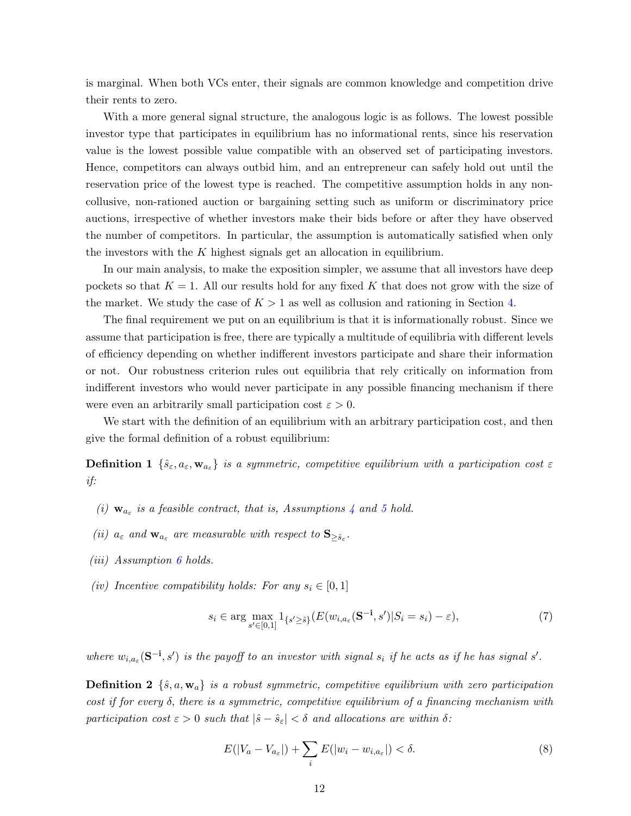is marginal. When both VCs enter, their signals are common knowledge and competition drive their rents to zero.

With a more general signal structure, the analogous logic is as follows. The lowest possible investor type that participates in equilibrium has no informational rents, since his reservation value is the lowest possible value compatible with an observed set of participating investors. Hence, competitors can always outbid him, and an entrepreneur can safely hold out until the reservation price of the lowest type is reached. The competitive assumption holds in any noncollusive, non-rationed auction or bargaining setting such as uniform or discriminatory price auctions, irrespective of whether investors make their bids before or after they have observed the number of competitors. In particular, the assumption is automatically satisfied when only the investors with the K highest signals get an allocation in equilibrium.

In our main analysis, to make the exposition simpler, we assume that all investors have deep pockets so that  $K = 1$ . All our results hold for any fixed K that does not grow with the size of the market. We study the case of  $K > 1$  as well as collusion and rationing in Section [4.](#page-24-0)

The final requirement we put on an equilibrium is that it is informationally robust. Since we assume that participation is free, there are typically a multitude of equilibria with different levels of efficiency depending on whether indifferent investors participate and share their information or not. Our robustness criterion rules out equilibria that rely critically on information from indifferent investors who would never participate in any possible financing mechanism if there were even an arbitrarily small participation cost  $\varepsilon > 0$ .

We start with the definition of an equilibrium with an arbitrary participation cost, and then give the formal definition of a robust equilibrium:

**Definition 1**  $\{\hat{s}_{\varepsilon}, a_{\varepsilon}, \mathbf{w}_{a_{\varepsilon}}\}$  is a symmetric, competitive equilibrium with a participation cost  $\varepsilon$ if:

- (i)  $\mathbf{w}_{a_{\varepsilon}}$  is a feasible contract, that is, Assumptions [4](#page-10-1) and [5](#page-10-2) hold.
- (ii)  $a_{\varepsilon}$  and  $\mathbf{w}_{a_{\varepsilon}}$  are measurable with respect to  $\mathbf{S}_{\geq \hat{s}_{\varepsilon}}$ .
- (*iii*) Assumption  $\boldsymbol{\theta}$  holds.
- (iv) Incentive compatibility holds: For any  $s_i \in [0,1]$

<span id="page-12-0"></span>
$$
s_i \in \arg\max_{s' \in [0,1]} 1_{\{s' \ge \hat{s}\}} (E(w_{i,a_{\varepsilon}}(\mathbf{S}^{-\mathbf{i}}, s') | S_i = s_i) - \varepsilon), \tag{7}
$$

where  $w_{i,a_{\varepsilon}}(\mathbf{S}^{-i},s')$  is the payoff to an investor with signal  $s_i$  if he acts as if he has signal s'.

**Definition 2**  $\{\hat{s}, a, \mathbf{w}_a\}$  is a robust symmetric, competitive equilibrium with zero participation cost if for every δ, there is a symmetric, competitive equilibrium of a financing mechanism with participation cost  $\varepsilon > 0$  such that  $|\hat{s} - \hat{s}_{\varepsilon}| < \delta$  and allocations are within  $\delta$ :

$$
E(|V_a - V_{a_\varepsilon}|) + \sum_i E(|w_i - w_{i,a_\varepsilon}|) < \delta. \tag{8}
$$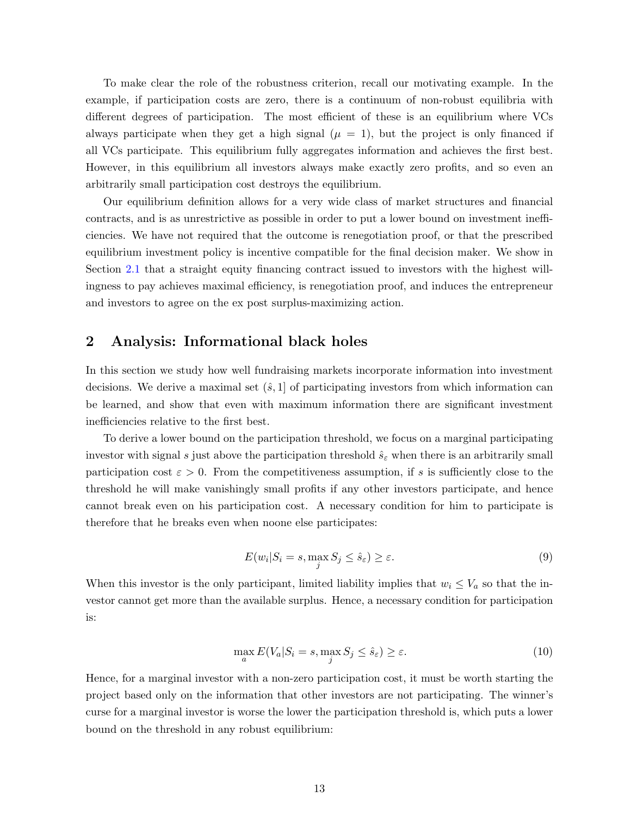To make clear the role of the robustness criterion, recall our motivating example. In the example, if participation costs are zero, there is a continuum of non-robust equilibria with different degrees of participation. The most efficient of these is an equilibrium where VCs always participate when they get a high signal  $(\mu = 1)$ , but the project is only financed if all VCs participate. This equilibrium fully aggregates information and achieves the first best. However, in this equilibrium all investors always make exactly zero profits, and so even an arbitrarily small participation cost destroys the equilibrium.

Our equilibrium definition allows for a very wide class of market structures and financial contracts, and is as unrestrictive as possible in order to put a lower bound on investment inefficiencies. We have not required that the outcome is renegotiation proof, or that the prescribed equilibrium investment policy is incentive compatible for the final decision maker. We show in Section [2.1](#page-17-0) that a straight equity financing contract issued to investors with the highest willingness to pay achieves maximal efficiency, is renegotiation proof, and induces the entrepreneur and investors to agree on the ex post surplus-maximizing action.

# <span id="page-13-1"></span>2 Analysis: Informational black holes

In this section we study how well fundraising markets incorporate information into investment decisions. We derive a maximal set  $(\hat{s}, 1]$  of participating investors from which information can be learned, and show that even with maximum information there are significant investment inefficiencies relative to the first best.

To derive a lower bound on the participation threshold, we focus on a marginal participating investor with signal s just above the participation threshold  $\hat{s}_{\varepsilon}$  when there is an arbitrarily small participation cost  $\varepsilon > 0$ . From the competitiveness assumption, if s is sufficiently close to the threshold he will make vanishingly small profits if any other investors participate, and hence cannot break even on his participation cost. A necessary condition for him to participate is therefore that he breaks even when noone else participates:

$$
E(w_i|S_i = s, \max_j S_j \le \hat{s}_\varepsilon) \ge \varepsilon. \tag{9}
$$

When this investor is the only participant, limited liability implies that  $w_i \leq V_a$  so that the investor cannot get more than the available surplus. Hence, a necessary condition for participation is:

$$
\max_{a} E(V_a|S_i = s, \max_{j} S_j \le \hat{s}_{\varepsilon}) \ge \varepsilon. \tag{10}
$$

<span id="page-13-0"></span>Hence, for a marginal investor with a non-zero participation cost, it must be worth starting the project based only on the information that other investors are not participating. The winner's curse for a marginal investor is worse the lower the participation threshold is, which puts a lower bound on the threshold in any robust equilibrium: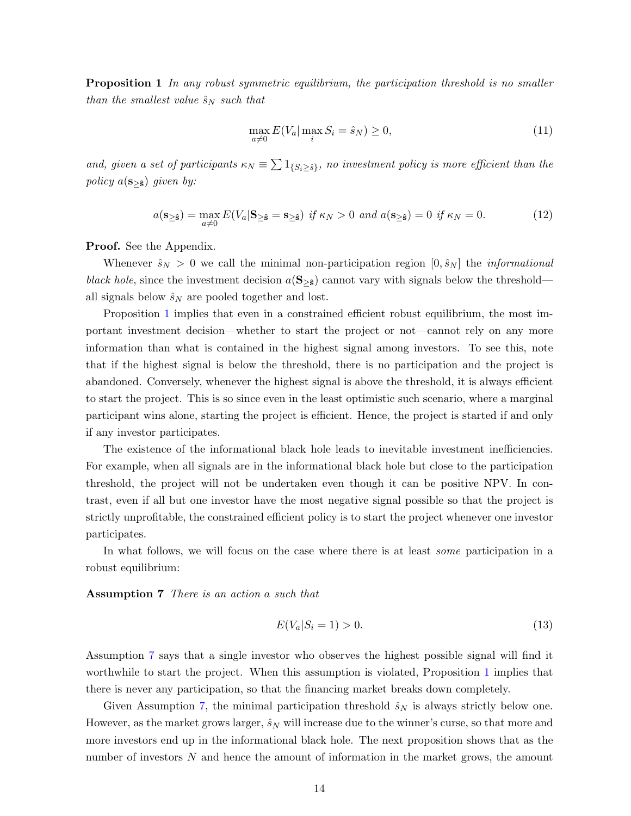**Proposition 1** In any robust symmetric equilibrium, the participation threshold is no smaller than the smallest value  $\hat{s}_N$  such that

<span id="page-14-1"></span>
$$
\max_{a \neq 0} E(V_a | \max_i S_i = \hat{s}_N) \ge 0,\tag{11}
$$

and, given a set of participants  $\kappa_N \equiv \sum 1_{\{S_i \geq \hat{s}\}}$ , no investment policy is more efficient than the policy  $a(s_{\geq \hat{s}})$  given by:

$$
a(\mathbf{s}_{\geq \hat{\mathbf{s}}}) = \max_{a \neq 0} E(V_a | \mathbf{s}_{\geq \hat{\mathbf{s}}} = \mathbf{s}_{\geq \hat{\mathbf{s}}}) \text{ if } \kappa_N > 0 \text{ and } a(\mathbf{s}_{\geq \hat{\mathbf{s}}}) = 0 \text{ if } \kappa_N = 0. \tag{12}
$$

Proof. See the Appendix.

Whenever  $\hat{s}_N > 0$  we call the minimal non-participation region  $[0, \hat{s}_N]$  the *informational* black hole, since the investment decision  $a(S_{\geq \hat{s}})$  cannot vary with signals below the threshold all signals below  $\hat{s}_N$  are pooled together and lost.

Proposition [1](#page-13-0) implies that even in a constrained efficient robust equilibrium, the most important investment decision—whether to start the project or not—cannot rely on any more information than what is contained in the highest signal among investors. To see this, note that if the highest signal is below the threshold, there is no participation and the project is abandoned. Conversely, whenever the highest signal is above the threshold, it is always efficient to start the project. This is so since even in the least optimistic such scenario, where a marginal participant wins alone, starting the project is efficient. Hence, the project is started if and only if any investor participates.

The existence of the informational black hole leads to inevitable investment inefficiencies. For example, when all signals are in the informational black hole but close to the participation threshold, the project will not be undertaken even though it can be positive NPV. In contrast, even if all but one investor have the most negative signal possible so that the project is strictly unprofitable, the constrained efficient policy is to start the project whenever one investor participates.

<span id="page-14-0"></span>In what follows, we will focus on the case where there is at least some participation in a robust equilibrium:

Assumption 7 There is an action a such that

$$
E(V_a|S_i = 1) > 0.
$$
\n(13)

Assumption [7](#page-14-0) says that a single investor who observes the highest possible signal will find it worthwhile to start the project. When this assumption is violated, Proposition [1](#page-13-0) implies that there is never any participation, so that the financing market breaks down completely.

Given Assumption [7](#page-14-0), the minimal participation threshold  $\hat{s}_N$  is always strictly below one. However, as the market grows larger,  $\hat{s}_N$  will increase due to the winner's curse, so that more and more investors end up in the informational black hole. The next proposition shows that as the number of investors N and hence the amount of information in the market grows, the amount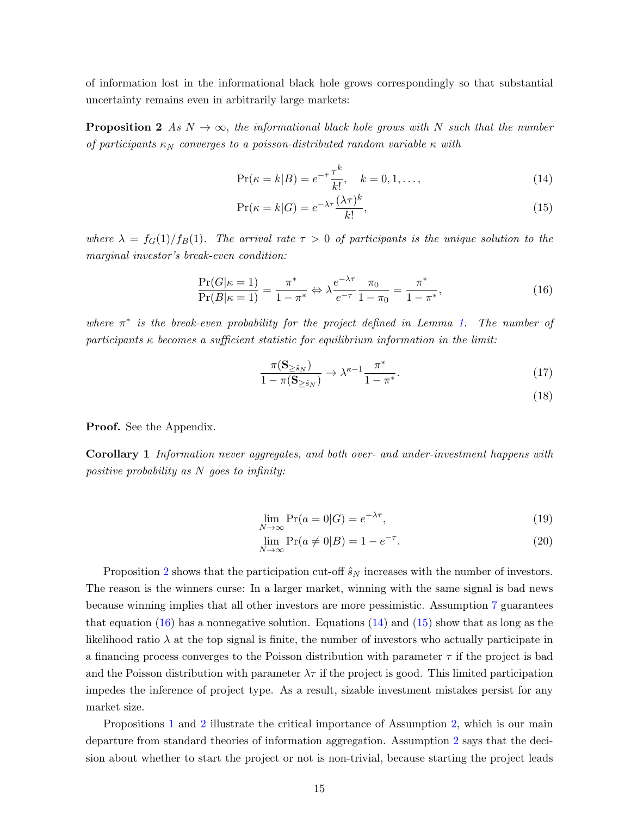of information lost in the informational black hole grows correspondingly so that substantial uncertainty remains even in arbitrarily large markets:

<span id="page-15-0"></span>**Proposition 2** As  $N \to \infty$ , the informational black hole grows with N such that the number of participants  $\kappa_N$  converges to a poisson-distributed random variable  $\kappa$  with

<span id="page-15-2"></span>
$$
\Pr(\kappa = k | B) = e^{-\tau} \frac{\tau^k}{k!}, \quad k = 0, 1, \dots,
$$
\n(14)

$$
\Pr(\kappa = k | G) = e^{-\lambda \tau} \frac{(\lambda \tau)^k}{k!},\tag{15}
$$

where  $\lambda = f_G(1)/f_B(1)$ . The arrival rate  $\tau > 0$  of participants is the unique solution to the marginal investor's break-even condition:

<span id="page-15-1"></span>
$$
\frac{\Pr(G|\kappa=1)}{\Pr(B|\kappa=1)} = \frac{\pi^*}{1-\pi^*} \Leftrightarrow \lambda \frac{e^{-\lambda \tau}}{e^{-\tau}} \frac{\pi_0}{1-\pi_0} = \frac{\pi^*}{1-\pi^*},\tag{16}
$$

where  $\pi^*$  is the break-even probability for the project defined in Lemma [1.](#page-9-0) The number of participants  $\kappa$  becomes a sufficient statistic for equilibrium information in the limit:

$$
\frac{\pi(\mathbf{S}_{\geq \hat{s}_N})}{1 - \pi(\mathbf{S}_{\geq \hat{s}_N})} \to \lambda^{\kappa - 1} \frac{\pi^*}{1 - \pi^*}.\tag{17}
$$

(18)

Proof. See the Appendix.

Corollary 1 Information never aggregates, and both over- and under-investment happens with positive probability as N goes to infinity:

$$
\lim_{N \to \infty} \Pr(a = 0|G) = e^{-\lambda \tau},\tag{19}
$$

$$
\lim_{N \to \infty} \Pr(a \neq 0 | B) = 1 - e^{-\tau}.
$$
\n(20)

Proposition [2](#page-15-0) shows that the participation cut-off  $\hat{s}_N$  increases with the number of investors. The reason is the winners curse: In a larger market, winning with the same signal is bad news because winning implies that all other investors are more pessimistic. Assumption [7](#page-14-0) guarantees that equation  $(16)$  has a nonnegative solution. Equations  $(14)$  and  $(15)$  show that as long as the likelihood ratio  $\lambda$  at the top signal is finite, the number of investors who actually participate in a financing process converges to the Poisson distribution with parameter  $\tau$  if the project is bad and the Poisson distribution with parameter  $\lambda \tau$  if the project is good. This limited participation impedes the inference of project type. As a result, sizable investment mistakes persist for any market size.

Propositions [1](#page-13-0) and [2](#page-15-0) illustrate the critical importance of Assumption [2,](#page-9-1) which is our main departure from standard theories of information aggregation. Assumption [2](#page-9-1) says that the decision about whether to start the project or not is non-trivial, because starting the project leads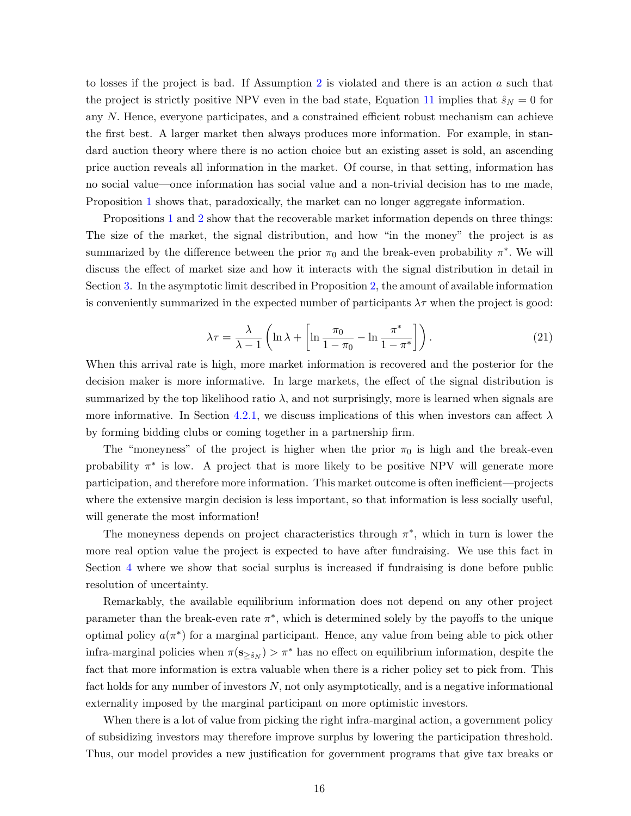to losses if the project is bad. If Assumption [2](#page-9-1) is violated and there is an action  $a$  such that the project is strictly positive NPV even in the bad state, Equation [11](#page-14-1) implies that  $\hat{s}_N = 0$  for any N. Hence, everyone participates, and a constrained efficient robust mechanism can achieve the first best. A larger market then always produces more information. For example, in standard auction theory where there is no action choice but an existing asset is sold, an ascending price auction reveals all information in the market. Of course, in that setting, information has no social value—once information has social value and a non-trivial decision has to me made, Proposition [1](#page-13-0) shows that, paradoxically, the market can no longer aggregate information.

Propositions [1](#page-13-0) and [2](#page-15-0) show that the recoverable market information depends on three things: The size of the market, the signal distribution, and how "in the money" the project is as summarized by the difference between the prior  $\pi_0$  and the break-even probability  $\pi^*$ . We will discuss the effect of market size and how it interacts with the signal distribution in detail in Section [3.](#page-18-0) In the asymptotic limit described in Proposition [2,](#page-15-0) the amount of available information is conveniently summarized in the expected number of participants  $\lambda \tau$  when the project is good:

$$
\lambda \tau = \frac{\lambda}{\lambda - 1} \left( \ln \lambda + \left[ \ln \frac{\pi_0}{1 - \pi_0} - \ln \frac{\pi^*}{1 - \pi^*} \right] \right). \tag{21}
$$

When this arrival rate is high, more market information is recovered and the posterior for the decision maker is more informative. In large markets, the effect of the signal distribution is summarized by the top likelihood ratio  $\lambda$ , and not surprisingly, more is learned when signals are more informative. In Section [4.2.1,](#page-28-0) we discuss implications of this when investors can affect  $\lambda$ by forming bidding clubs or coming together in a partnership firm.

The "moneyness" of the project is higher when the prior  $\pi_0$  is high and the break-even probability  $\pi^*$  is low. A project that is more likely to be positive NPV will generate more participation, and therefore more information. This market outcome is often inefficient—projects where the extensive margin decision is less important, so that information is less socially useful, will generate the most information!

The moneyness depends on project characteristics through  $\pi^*$ , which in turn is lower the more real option value the project is expected to have after fundraising. We use this fact in Section [4](#page-24-0) where we show that social surplus is increased if fundraising is done before public resolution of uncertainty.

Remarkably, the available equilibrium information does not depend on any other project parameter than the break-even rate  $\pi^*$ , which is determined solely by the payoffs to the unique optimal policy  $a(\pi^*)$  for a marginal participant. Hence, any value from being able to pick other infra-marginal policies when  $\pi(\mathbf{s}_{\geq \hat{s}_N}) > \pi^*$  has no effect on equilibrium information, despite the fact that more information is extra valuable when there is a richer policy set to pick from. This fact holds for any number of investors  $N$ , not only asymptotically, and is a negative informational externality imposed by the marginal participant on more optimistic investors.

When there is a lot of value from picking the right infra-marginal action, a government policy of subsidizing investors may therefore improve surplus by lowering the participation threshold. Thus, our model provides a new justification for government programs that give tax breaks or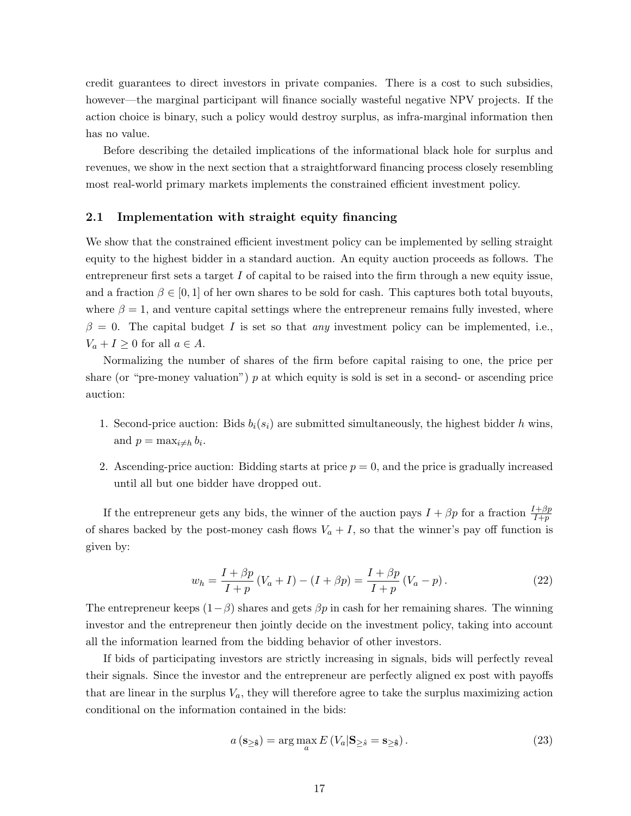credit guarantees to direct investors in private companies. There is a cost to such subsidies, however—the marginal participant will finance socially wasteful negative NPV projects. If the action choice is binary, such a policy would destroy surplus, as infra-marginal information then has no value.

Before describing the detailed implications of the informational black hole for surplus and revenues, we show in the next section that a straightforward financing process closely resembling most real-world primary markets implements the constrained efficient investment policy.

### <span id="page-17-0"></span>2.1 Implementation with straight equity financing

We show that the constrained efficient investment policy can be implemented by selling straight equity to the highest bidder in a standard auction. An equity auction proceeds as follows. The entrepreneur first sets a target I of capital to be raised into the firm through a new equity issue, and a fraction  $\beta \in [0,1]$  of her own shares to be sold for cash. This captures both total buyouts, where  $\beta = 1$ , and venture capital settings where the entrepreneur remains fully invested, where  $\beta = 0$ . The capital budget I is set so that any investment policy can be implemented, i.e.,  $V_a + I \geq 0$  for all  $a \in A$ .

Normalizing the number of shares of the firm before capital raising to one, the price per share (or "pre-money valuation")  $p$  at which equity is sold is set in a second- or ascending price auction:

- 1. Second-price auction: Bids  $b_i(s_i)$  are submitted simultaneously, the highest bidder h wins, and  $p = \max_{i \neq h} b_i$ .
- 2. Ascending-price auction: Bidding starts at price  $p = 0$ , and the price is gradually increased until all but one bidder have dropped out.

If the entrepreneur gets any bids, the winner of the auction pays  $I + \beta p$  for a fraction  $\frac{I+\beta p}{I+p}$ of shares backed by the post-money cash flows  $V_a + I$ , so that the winner's pay off function is given by:

$$
w_h = \frac{I + \beta p}{I + p} (V_a + I) - (I + \beta p) = \frac{I + \beta p}{I + p} (V_a - p).
$$
 (22)

The entrepreneur keeps  $(1-\beta)$  shares and gets  $\beta p$  in cash for her remaining shares. The winning investor and the entrepreneur then jointly decide on the investment policy, taking into account all the information learned from the bidding behavior of other investors.

If bids of participating investors are strictly increasing in signals, bids will perfectly reveal their signals. Since the investor and the entrepreneur are perfectly aligned ex post with payoffs that are linear in the surplus  $V_a$ , they will therefore agree to take the surplus maximizing action conditional on the information contained in the bids:

$$
a\left(\mathbf{s}_{\geq \hat{\mathbf{s}}}\right) = \arg\max_{a} E\left(V_a|\mathbf{s}_{\geq \hat{\mathbf{s}}} = \mathbf{s}_{\geq \hat{\mathbf{s}}}\right). \tag{23}
$$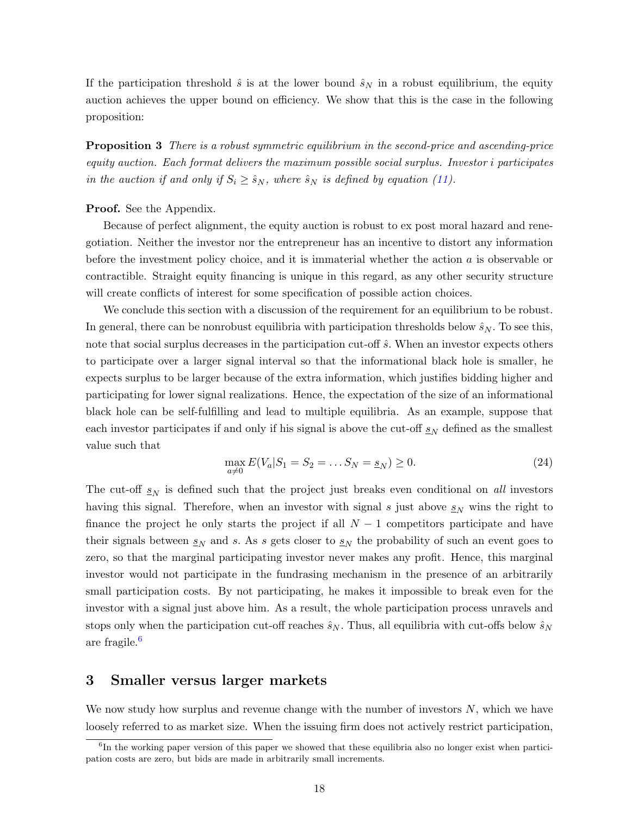If the participation threshold  $\hat{s}$  is at the lower bound  $\hat{s}_N$  in a robust equilibrium, the equity auction achieves the upper bound on efficiency. We show that this is the case in the following proposition:

<span id="page-18-3"></span>**Proposition 3** There is a robust symmetric equilibrium in the second-price and ascending-price equity auction. Each format delivers the maximum possible social surplus. Investor i participates in the auction if and only if  $S_i \geq \hat{s}_N$ , where  $\hat{s}_N$  is defined by equation [\(11\)](#page-14-1).

### **Proof.** See the Appendix.

Because of perfect alignment, the equity auction is robust to ex post moral hazard and renegotiation. Neither the investor nor the entrepreneur has an incentive to distort any information before the investment policy choice, and it is immaterial whether the action a is observable or contractible. Straight equity financing is unique in this regard, as any other security structure will create conflicts of interest for some specification of possible action choices.

We conclude this section with a discussion of the requirement for an equilibrium to be robust. In general, there can be nonrobust equilibria with participation thresholds below  $\hat{s}_N$ . To see this, note that social surplus decreases in the participation cut-off  $\hat{s}$ . When an investor expects others to participate over a larger signal interval so that the informational black hole is smaller, he expects surplus to be larger because of the extra information, which justifies bidding higher and participating for lower signal realizations. Hence, the expectation of the size of an informational black hole can be self-fulfilling and lead to multiple equilibria. As an example, suppose that each investor participates if and only if his signal is above the cut-off  $s_N$  defined as the smallest value such that

<span id="page-18-2"></span>
$$
\max_{a \neq 0} E(V_a | S_1 = S_2 = \dots S_N = \underline{s}_N) \ge 0.
$$
 (24)

The cut-off  $s_N$  is defined such that the project just breaks even conditional on all investors having this signal. Therefore, when an investor with signal s just above  $s_N$  wins the right to finance the project he only starts the project if all  $N-1$  competitors participate and have their signals between  $s_N$  and s. As s gets closer to  $s_N$  the probability of such an event goes to zero, so that the marginal participating investor never makes any profit. Hence, this marginal investor would not participate in the fundrasing mechanism in the presence of an arbitrarily small participation costs. By not participating, he makes it impossible to break even for the investor with a signal just above him. As a result, the whole participation process unravels and stops only when the participation cut-off reaches  $\hat{s}_N$ . Thus, all equilibria with cut-offs below  $\hat{s}_N$ are fragile.[6](#page-18-1)

# <span id="page-18-0"></span>3 Smaller versus larger markets

We now study how surplus and revenue change with the number of investors  $N$ , which we have loosely referred to as market size. When the issuing firm does not actively restrict participation,

<span id="page-18-1"></span><sup>&</sup>lt;sup>6</sup>In the working paper version of this paper we showed that these equilibria also no longer exist when participation costs are zero, but bids are made in arbitrarily small increments.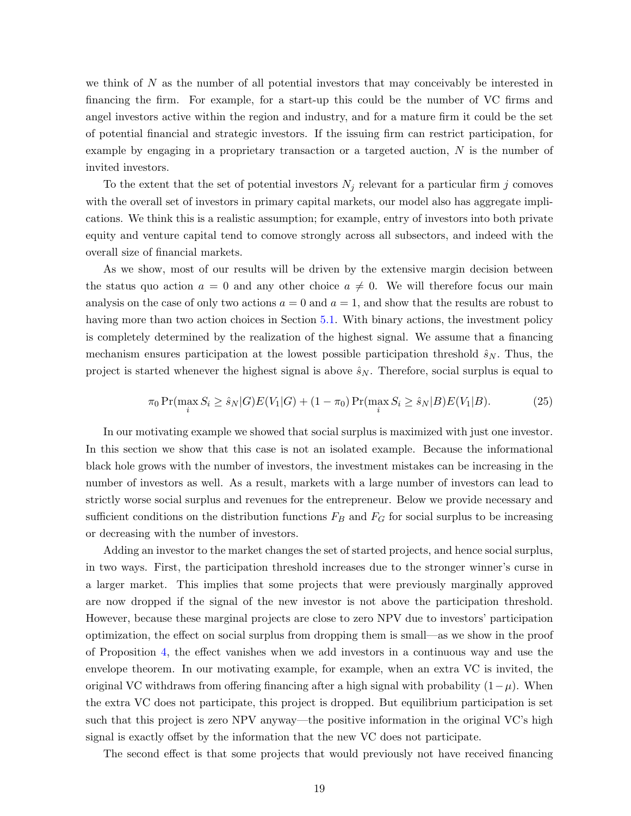we think of  $N$  as the number of all potential investors that may conceivably be interested in financing the firm. For example, for a start-up this could be the number of VC firms and angel investors active within the region and industry, and for a mature firm it could be the set of potential financial and strategic investors. If the issuing firm can restrict participation, for example by engaging in a proprietary transaction or a targeted auction,  $N$  is the number of invited investors.

To the extent that the set of potential investors  $N_j$  relevant for a particular firm j comoves with the overall set of investors in primary capital markets, our model also has aggregate implications. We think this is a realistic assumption; for example, entry of investors into both private equity and venture capital tend to comove strongly across all subsectors, and indeed with the overall size of financial markets.

As we show, most of our results will be driven by the extensive margin decision between the status quo action  $a = 0$  and any other choice  $a \neq 0$ . We will therefore focus our main analysis on the case of only two actions  $a = 0$  and  $a = 1$ , and show that the results are robust to having more than two action choices in Section [5.1.](#page-32-1) With binary actions, the investment policy is completely determined by the realization of the highest signal. We assume that a financing mechanism ensures participation at the lowest possible participation threshold  $\hat{s}_N$ . Thus, the project is started whenever the highest signal is above  $\hat{s}_N$ . Therefore, social surplus is equal to

<span id="page-19-0"></span>
$$
\pi_0 \Pr(\max_i S_i \ge \hat{s}_N | G) E(V_1 | G) + (1 - \pi_0) \Pr(\max_i S_i \ge \hat{s}_N | B) E(V_1 | B).
$$
 (25)

In our motivating example we showed that social surplus is maximized with just one investor. In this section we show that this case is not an isolated example. Because the informational black hole grows with the number of investors, the investment mistakes can be increasing in the number of investors as well. As a result, markets with a large number of investors can lead to strictly worse social surplus and revenues for the entrepreneur. Below we provide necessary and sufficient conditions on the distribution functions  $F_B$  and  $F_G$  for social surplus to be increasing or decreasing with the number of investors.

Adding an investor to the market changes the set of started projects, and hence social surplus, in two ways. First, the participation threshold increases due to the stronger winner's curse in a larger market. This implies that some projects that were previously marginally approved are now dropped if the signal of the new investor is not above the participation threshold. However, because these marginal projects are close to zero NPV due to investors' participation optimization, the effect on social surplus from dropping them is small—as we show in the proof of Proposition [4,](#page-20-0) the effect vanishes when we add investors in a continuous way and use the envelope theorem. In our motivating example, for example, when an extra VC is invited, the original VC withdraws from offering financing after a high signal with probability  $(1-\mu)$ . When the extra VC does not participate, this project is dropped. But equilibrium participation is set such that this project is zero NPV anyway—the positive information in the original VC's high signal is exactly offset by the information that the new VC does not participate.

The second effect is that some projects that would previously not have received financing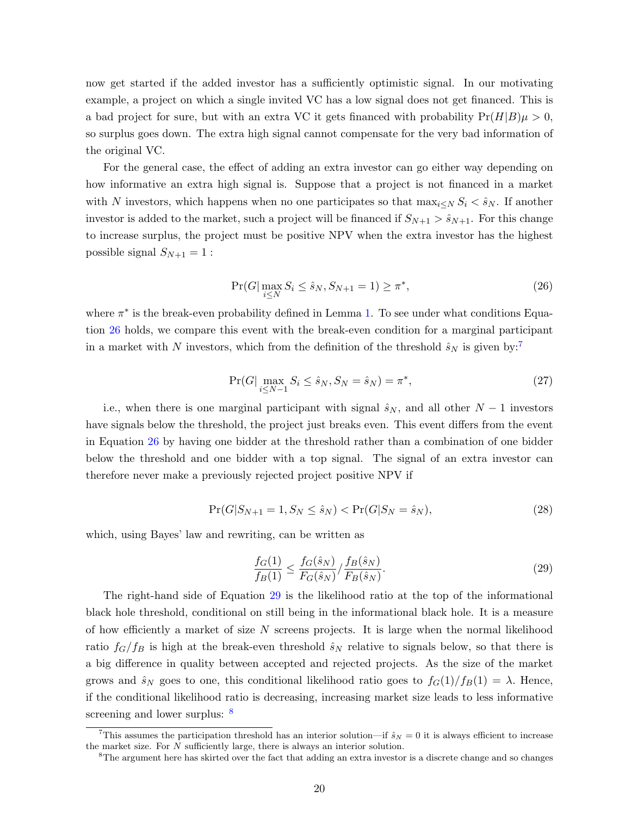now get started if the added investor has a sufficiently optimistic signal. In our motivating example, a project on which a single invited VC has a low signal does not get financed. This is a bad project for sure, but with an extra VC it gets financed with probability  $Pr(H|B)\mu > 0$ , so surplus goes down. The extra high signal cannot compensate for the very bad information of the original VC.

For the general case, the effect of adding an extra investor can go either way depending on how informative an extra high signal is. Suppose that a project is not financed in a market with N investors, which happens when no one participates so that  $\max_{i\leq N} S_i < \hat{s}_N$ . If another investor is added to the market, such a project will be financed if  $S_{N+1} > \hat{s}_{N+1}$ . For this change to increase surplus, the project must be positive NPV when the extra investor has the highest possible signal  $S_{N+1} = 1$ :

<span id="page-20-1"></span>
$$
\Pr(G|\max_{i\leq N} S_i \leq \hat{s}_N, S_{N+1} = 1) \geq \pi^*,\tag{26}
$$

where  $\pi^*$  is the break-even probability defined in Lemma [1.](#page-9-0) To see under what conditions Equation [26](#page-20-1) holds, we compare this event with the break-even condition for a marginal participant in a market with N investors, which from the definition of the threshold  $\hat{s}_N$  is given by:<sup>[7](#page-20-2)</sup>

$$
\Pr(G|\max_{i\le N-1} S_i \le \hat{s}_N, S_N = \hat{s}_N) = \pi^*,\tag{27}
$$

i.e., when there is one marginal participant with signal  $\hat{s}_N$ , and all other  $N-1$  investors have signals below the threshold, the project just breaks even. This event differs from the event in Equation [26](#page-20-1) by having one bidder at the threshold rather than a combination of one bidder below the threshold and one bidder with a top signal. The signal of an extra investor can therefore never make a previously rejected project positive NPV if

$$
\Pr(G|S_{N+1} = 1, S_N \le \hat{s}_N) < \Pr(G|S_N = \hat{s}_N),\tag{28}
$$

which, using Bayes' law and rewriting, can be written as

<span id="page-20-3"></span>
$$
\frac{f_G(1)}{f_B(1)} \le \frac{f_G(\hat{s}_N)}{F_G(\hat{s}_N)} / \frac{f_B(\hat{s}_N)}{F_B(\hat{s}_N)}.
$$
\n(29)

The right-hand side of Equation [29](#page-20-3) is the likelihood ratio at the top of the informational black hole threshold, conditional on still being in the informational black hole. It is a measure of how efficiently a market of size  $N$  screens projects. It is large when the normal likelihood ratio  $f_G/f_B$  is high at the break-even threshold  $\hat{s}_N$  relative to signals below, so that there is a big difference in quality between accepted and rejected projects. As the size of the market grows and  $\hat{s}_N$  goes to one, this conditional likelihood ratio goes to  $f_G(1)/f_B(1) = \lambda$ . Hence, if the conditional likelihood ratio is decreasing, increasing market size leads to less informative screening and lower surplus:  $\frac{8}{3}$  $\frac{8}{3}$  $\frac{8}{3}$ 

<span id="page-20-2"></span><span id="page-20-0"></span><sup>&</sup>lt;sup>7</sup>This assumes the participation threshold has an interior solution—if  $\hat{s}_N = 0$  it is always efficient to increase the market size. For  $N$  sufficiently large, there is always an interior solution.

<span id="page-20-4"></span><sup>&</sup>lt;sup>8</sup>The argument here has skirted over the fact that adding an extra investor is a discrete change and so changes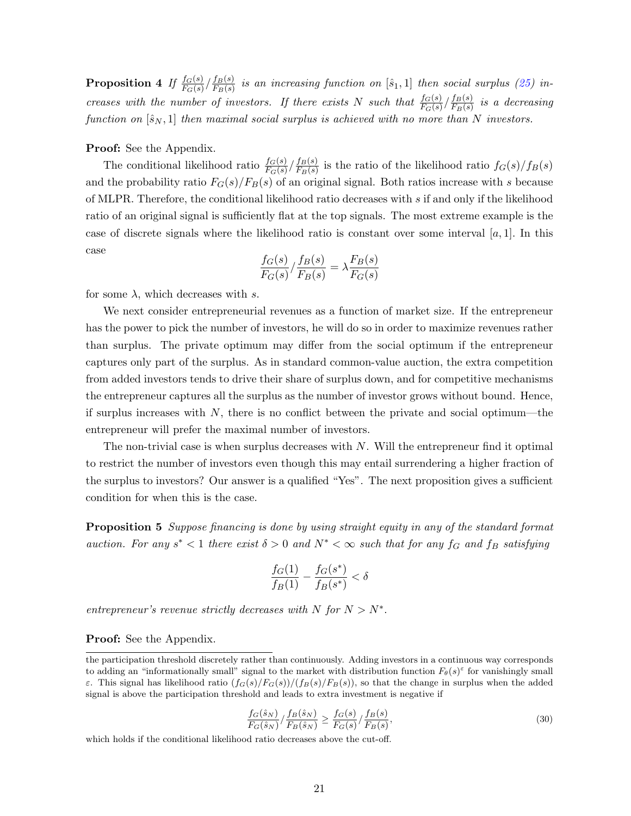$\textbf{Proposition 4} \enspace \textit{If} \enspace \frac{f_G(s)}{F_G(s)}/\frac{f_B(s)}{F_B(s)}$  $\frac{IB(S)}{FB(S)}$  is an increasing function on  $[\hat{s}_1, 1]$  then social surplus [\(25\)](#page-19-0) increases with the number of investors. If there exists N such that  $\frac{f_G(s)}{F_G(s)}/\frac{f_B(s)}{F_B(s)}$  $\frac{J_B(s)}{F_B(s)}$  is a decreasing function on  $[\hat{s}_N, 1]$  then maximal social surplus is achieved with no more than N investors.

## Proof: See the Appendix.

The conditional likelihood ratio  $\frac{f_G(s)}{F_G(s)}/\frac{f_B(s)}{F_B(s)}$  $\frac{IB(S)}{F_B(s)}$  is the ratio of the likelihood ratio  $f_G(s)/f_B(s)$ and the probability ratio  $F_G(s)/F_B(s)$  of an original signal. Both ratios increase with s because of MLPR. Therefore, the conditional likelihood ratio decreases with s if and only if the likelihood ratio of an original signal is sufficiently flat at the top signals. The most extreme example is the case of discrete signals where the likelihood ratio is constant over some interval  $[a, 1]$ . In this case

$$
\frac{f_G(s)}{F_G(s)} / \frac{f_B(s)}{F_B(s)} = \lambda \frac{F_B(s)}{F_G(s)}
$$

for some  $\lambda$ , which decreases with s.

We next consider entrepreneurial revenues as a function of market size. If the entrepreneur has the power to pick the number of investors, he will do so in order to maximize revenues rather than surplus. The private optimum may differ from the social optimum if the entrepreneur captures only part of the surplus. As in standard common-value auction, the extra competition from added investors tends to drive their share of surplus down, and for competitive mechanisms the entrepreneur captures all the surplus as the number of investor grows without bound. Hence, if surplus increases with  $N$ , there is no conflict between the private and social optimum—the entrepreneur will prefer the maximal number of investors.

The non-trivial case is when surplus decreases with  $N$ . Will the entrepreneur find it optimal to restrict the number of investors even though this may entail surrendering a higher fraction of the surplus to investors? Our answer is a qualified "Yes". The next proposition gives a sufficient condition for when this is the case.

<span id="page-21-0"></span>**Proposition 5** Suppose financing is done by using straight equity in any of the standard format auction. For any  $s^* < 1$  there exist  $\delta > 0$  and  $N^* < \infty$  such that for any  $f_G$  and  $f_B$  satisfying

$$
\frac{f_G(1)}{f_B(1)} - \frac{f_G(s^*)}{f_B(s^*)} < \delta
$$

entrepreneur's revenue strictly decreases with N for  $N > N^*$ .

## Proof: See the Appendix.

$$
\frac{f_G(\hat{s}_N)}{F_G(\hat{s}_N)} / \frac{f_B(\hat{s}_N)}{F_B(\hat{s}_N)} \ge \frac{f_G(s)}{F_G(s)} / \frac{f_B(s)}{F_B(s)},\tag{30}
$$

which holds if the conditional likelihood ratio decreases above the cut-off.

the participation threshold discretely rather than continuously. Adding investors in a continuous way corresponds to adding an "informationally small" signal to the market with distribution function  $F_{\theta}(s)^{\epsilon}$  for vanishingly small ε. This signal has likelihood ratio  $\frac{f_G(s)}{F_G(s)}$  (f<sub>B</sub>(s)  $F_B(s)$ ), so that the change in surplus when the added signal is above the participation threshold and leads to extra investment is negative if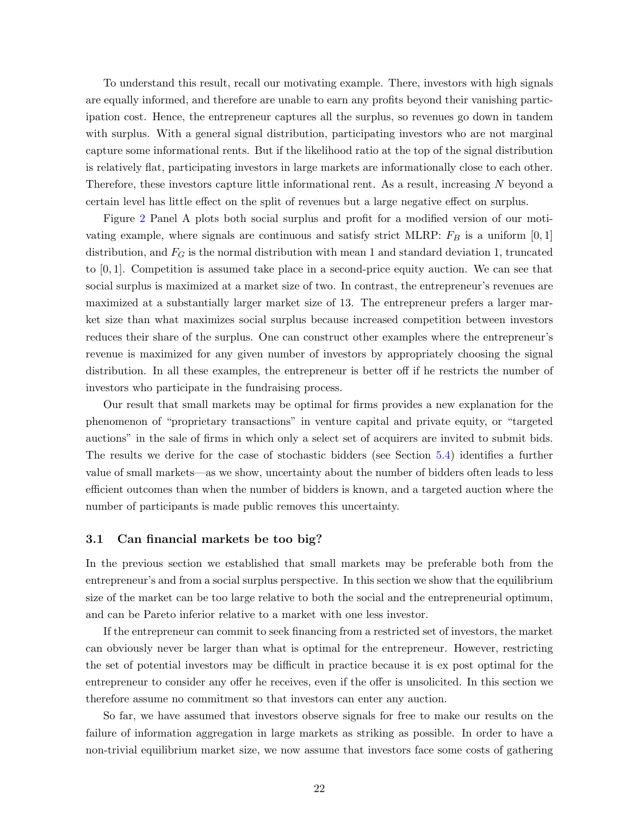To understand this result, recall our motivating example. There, investors with high signals are equally informed, and therefore are unable to earn any profits beyond their vanishing participation cost. Hence, the entrepreneur captures all the surplus, so revenues go down in tandem with surplus. With a general signal distribution, participating investors who are not marginal capture some informational rents. But if the likelihood ratio at the top of the signal distribution is relatively flat, participating investors in large markets are informationally close to each other. Therefore, these investors capture little informational rent. As a result, increasing N beyond a certain level has little effect on the split of revenues but a large negative effect on surplus.

Figure [2](#page-41-1) Panel A plots both social surplus and profit for a modified version of our motivating example, where signals are continuous and satisfy strict MLRP:  $F_B$  is a uniform [0, 1] distribution, and  $F_G$  is the normal distribution with mean 1 and standard deviation 1, truncated to [0, 1]. Competition is assumed take place in a second-price equity auction. We can see that social surplus is maximized at a market size of two. In contrast, the entrepreneur's revenues are maximized at a substantially larger market size of 13. The entrepreneur prefers a larger market size than what maximizes social surplus because increased competition between investors reduces their share of the surplus. One can construct other examples where the entrepreneur's revenue is maximized for any given number of investors by appropriately choosing the signal distribution. In all these examples, the entrepreneur is better off if he restricts the number of investors who participate in the fundraising process.

Our result that small markets may be optimal for firms provides a new explanation for the phenomenon of "proprietary transactions" in venture capital and private equity, or "targeted auctions" in the sale of firms in which only a select set of acquirers are invited to submit bids. The results we derive for the case of stochastic bidders (see Section [5.4\)](#page-34-0) identifies a further value of small markets—as we show, uncertainty about the number of bidders often leads to less efficient outcomes than when the number of bidders is known, and a targeted auction where the number of participants is made public removes this uncertainty.

## 3.1 Can financial markets be too big?

In the previous section we established that small markets may be preferable both from the entrepreneur's and from a social surplus perspective. In this section we show that the equilibrium size of the market can be too large relative to both the social and the entrepreneurial optimum, and can be Pareto inferior relative to a market with one less investor.

If the entrepreneur can commit to seek financing from a restricted set of investors, the market can obviously never be larger than what is optimal for the entrepreneur. However, restricting the set of potential investors may be difficult in practice because it is ex post optimal for the entrepreneur to consider any offer he receives, even if the offer is unsolicited. In this section we therefore assume no commitment so that investors can enter any auction.

So far, we have assumed that investors observe signals for free to make our results on the failure of information aggregation in large markets as striking as possible. In order to have a non-trivial equilibrium market size, we now assume that investors face some costs of gathering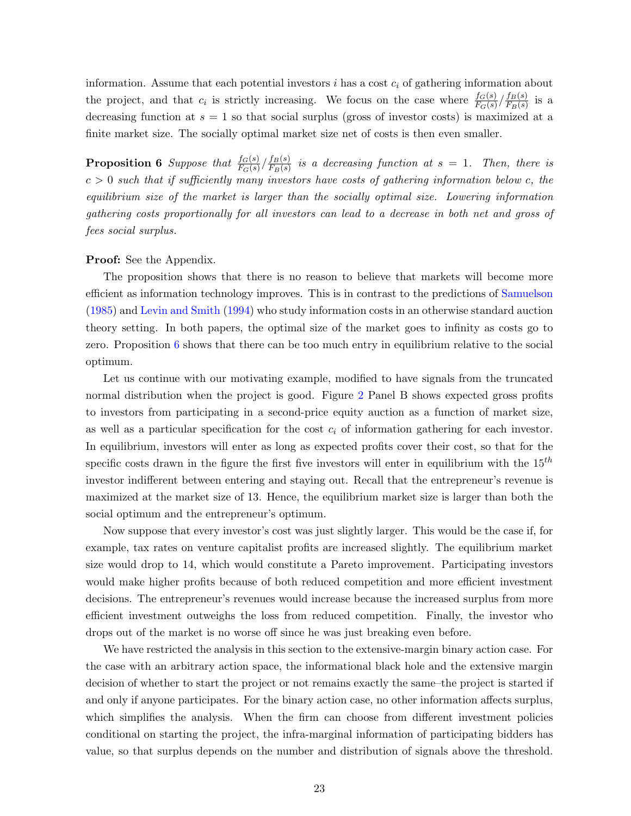information. Assume that each potential investors  $i$  has a cost  $c_i$  of gathering information about the project, and that  $c_i$  is strictly increasing. We focus on the case where  $\frac{f_G(s)}{F_G(s)}/\frac{f_B(s)}{F_B(s)}$  $\frac{JB(S)}{F_B(s)}$  is a decreasing function at  $s = 1$  so that social surplus (gross of investor costs) is maximized at a finite market size. The socially optimal market size net of costs is then even smaller.

<span id="page-23-0"></span>**Proposition 6** Suppose that  $\frac{f_G(s)}{F_G(s)}/\frac{f_B(s)}{F_B(s)}$  $\frac{J_B(s)}{F_B(s)}$  is a decreasing function at  $s = 1$ . Then, there is  $c > 0$  such that if sufficiently many investors have costs of gathering information below c, the equilibrium size of the market is larger than the socially optimal size. Lowering information gathering costs proportionally for all investors can lead to a decrease in both net and gross of fees social surplus.

#### Proof: See the Appendix.

The proposition shows that there is no reason to believe that markets will become more efficient as information technology improves. This is in contrast to the predictions of [Samuelson](#page-39-2) [\(1985\)](#page-39-2) and [Levin and Smith](#page-39-3) [\(1994\)](#page-39-3) who study information costs in an otherwise standard auction theory setting. In both papers, the optimal size of the market goes to infinity as costs go to zero. Proposition [6](#page-23-0) shows that there can be too much entry in equilibrium relative to the social optimum.

Let us continue with our motivating example, modified to have signals from the truncated normal distribution when the project is good. Figure [2](#page-41-1) Panel B shows expected gross profits to investors from participating in a second-price equity auction as a function of market size, as well as a particular specification for the cost  $c_i$  of information gathering for each investor. In equilibrium, investors will enter as long as expected profits cover their cost, so that for the specific costs drawn in the figure the first five investors will enter in equilibrium with the  $15^{th}$ investor indifferent between entering and staying out. Recall that the entrepreneur's revenue is maximized at the market size of 13. Hence, the equilibrium market size is larger than both the social optimum and the entrepreneur's optimum.

Now suppose that every investor's cost was just slightly larger. This would be the case if, for example, tax rates on venture capitalist profits are increased slightly. The equilibrium market size would drop to 14, which would constitute a Pareto improvement. Participating investors would make higher profits because of both reduced competition and more efficient investment decisions. The entrepreneur's revenues would increase because the increased surplus from more efficient investment outweighs the loss from reduced competition. Finally, the investor who drops out of the market is no worse off since he was just breaking even before.

We have restricted the analysis in this section to the extensive-margin binary action case. For the case with an arbitrary action space, the informational black hole and the extensive margin decision of whether to start the project or not remains exactly the same–the project is started if and only if anyone participates. For the binary action case, no other information affects surplus, which simplifies the analysis. When the firm can choose from different investment policies conditional on starting the project, the infra-marginal information of participating bidders has value, so that surplus depends on the number and distribution of signals above the threshold.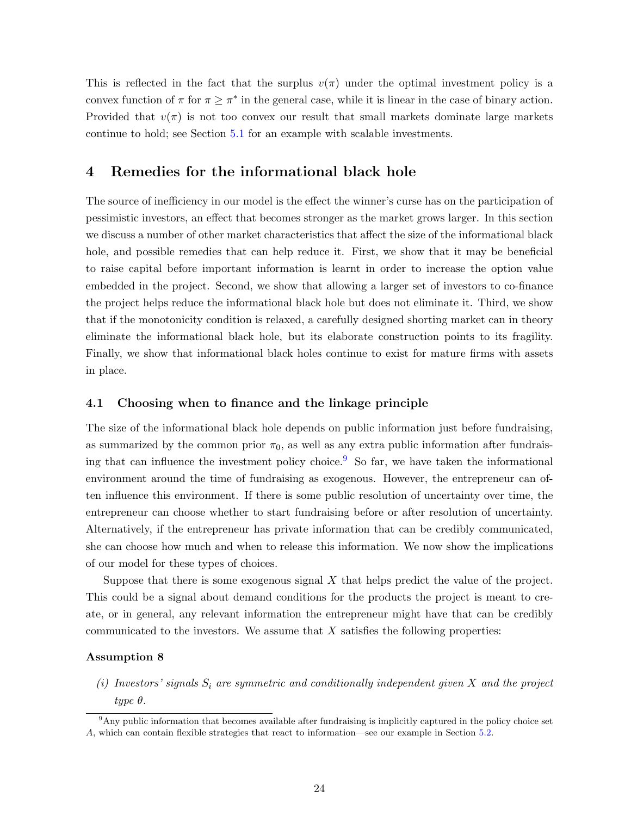This is reflected in the fact that the surplus  $v(\pi)$  under the optimal investment policy is a convex function of  $\pi$  for  $\pi \geq \pi^*$  in the general case, while it is linear in the case of binary action. Provided that  $v(\pi)$  is not too convex our result that small markets dominate large markets continue to hold; see Section [5.1](#page-32-1) for an example with scalable investments.

# <span id="page-24-0"></span>4 Remedies for the informational black hole

The source of inefficiency in our model is the effect the winner's curse has on the participation of pessimistic investors, an effect that becomes stronger as the market grows larger. In this section we discuss a number of other market characteristics that affect the size of the informational black hole, and possible remedies that can help reduce it. First, we show that it may be beneficial to raise capital before important information is learnt in order to increase the option value embedded in the project. Second, we show that allowing a larger set of investors to co-finance the project helps reduce the informational black hole but does not eliminate it. Third, we show that if the monotonicity condition is relaxed, a carefully designed shorting market can in theory eliminate the informational black hole, but its elaborate construction points to its fragility. Finally, we show that informational black holes continue to exist for mature firms with assets in place.

## 4.1 Choosing when to finance and the linkage principle

The size of the informational black hole depends on public information just before fundraising, as summarized by the common prior  $\pi_0$ , as well as any extra public information after fundrais-ing that can influence the investment policy choice.<sup>[9](#page-24-1)</sup> So far, we have taken the informational environment around the time of fundraising as exogenous. However, the entrepreneur can often influence this environment. If there is some public resolution of uncertainty over time, the entrepreneur can choose whether to start fundraising before or after resolution of uncertainty. Alternatively, if the entrepreneur has private information that can be credibly communicated, she can choose how much and when to release this information. We now show the implications of our model for these types of choices.

Suppose that there is some exogenous signal  $X$  that helps predict the value of the project. This could be a signal about demand conditions for the products the project is meant to create, or in general, any relevant information the entrepreneur might have that can be credibly communicated to the investors. We assume that  $X$  satisfies the following properties:

## Assumption 8

<span id="page-24-2"></span>(i) Investors' signals  $S_i$  are symmetric and conditionally independent given X and the project type θ.

<span id="page-24-1"></span><sup>&</sup>lt;sup>9</sup>Any public information that becomes available after fundraising is implicitly captured in the policy choice set A, which can contain flexible strategies that react to information—see our example in Section [5.2.](#page-32-2)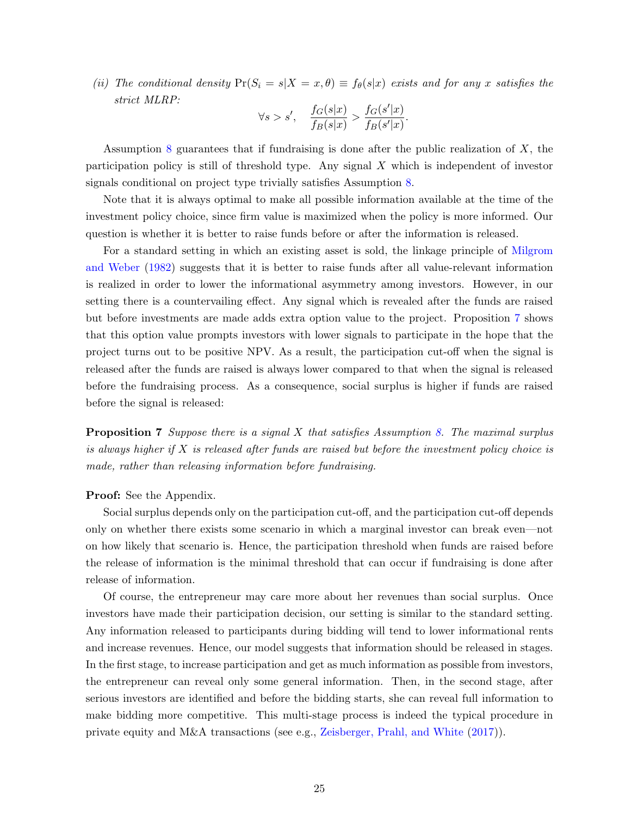(ii) The conditional density  $Pr(S_i = s | X = x, \theta) \equiv f_{\theta}(s | x)$  exists and for any x satisfies the strict MLRP:

$$
\forall s>s', \quad \frac{f_G(s|x)}{f_B(s|x)} > \frac{f_G(s'|x)}{f_B(s'|x)}.
$$

Assumption [8](#page-24-2) guarantees that if fundraising is done after the public realization of  $X$ , the participation policy is still of threshold type. Any signal  $X$  which is independent of investor signals conditional on project type trivially satisfies Assumption [8.](#page-24-2)

Note that it is always optimal to make all possible information available at the time of the investment policy choice, since firm value is maximized when the policy is more informed. Our question is whether it is better to raise funds before or after the information is released.

For a standard setting in which an existing asset is sold, the linkage principle of [Milgrom](#page-39-1) [and Weber](#page-39-1) [\(1982\)](#page-39-1) suggests that it is better to raise funds after all value-relevant information is realized in order to lower the informational asymmetry among investors. However, in our setting there is a countervailing effect. Any signal which is revealed after the funds are raised but before investments are made adds extra option value to the project. Proposition [7](#page-25-0) shows that this option value prompts investors with lower signals to participate in the hope that the project turns out to be positive NPV. As a result, the participation cut-off when the signal is released after the funds are raised is always lower compared to that when the signal is released before the fundraising process. As a consequence, social surplus is higher if funds are raised before the signal is released:

<span id="page-25-0"></span>**Proposition 7** Suppose there is a signal X that satisfies Assumption [8.](#page-24-2) The maximal surplus is always higher if  $X$  is released after funds are raised but before the investment policy choice is made, rather than releasing information before fundraising.

## Proof: See the Appendix.

Social surplus depends only on the participation cut-off, and the participation cut-off depends only on whether there exists some scenario in which a marginal investor can break even—not on how likely that scenario is. Hence, the participation threshold when funds are raised before the release of information is the minimal threshold that can occur if fundraising is done after release of information.

Of course, the entrepreneur may care more about her revenues than social surplus. Once investors have made their participation decision, our setting is similar to the standard setting. Any information released to participants during bidding will tend to lower informational rents and increase revenues. Hence, our model suggests that information should be released in stages. In the first stage, to increase participation and get as much information as possible from investors, the entrepreneur can reveal only some general information. Then, in the second stage, after serious investors are identified and before the bidding starts, she can reveal full information to make bidding more competitive. This multi-stage process is indeed the typical procedure in private equity and M&A transactions (see e.g., [Zeisberger, Prahl, and White](#page-40-1) [\(2017\)](#page-40-1)).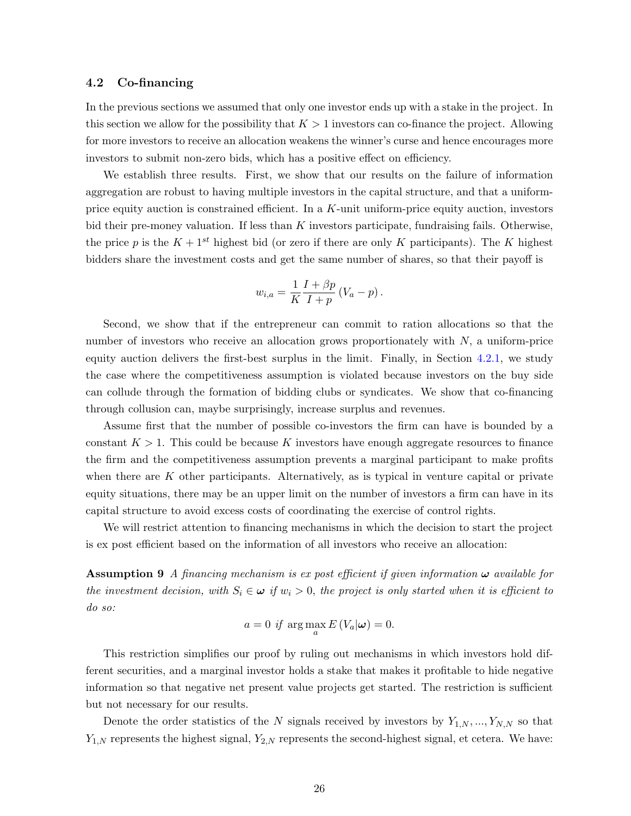## 4.2 Co-financing

In the previous sections we assumed that only one investor ends up with a stake in the project. In this section we allow for the possibility that  $K > 1$  investors can co-finance the project. Allowing for more investors to receive an allocation weakens the winner's curse and hence encourages more investors to submit non-zero bids, which has a positive effect on efficiency.

We establish three results. First, we show that our results on the failure of information aggregation are robust to having multiple investors in the capital structure, and that a uniformprice equity auction is constrained efficient. In a K-unit uniform-price equity auction, investors bid their pre-money valuation. If less than  $K$  investors participate, fundraising fails. Otherwise, the price p is the  $K + 1<sup>st</sup>$  highest bid (or zero if there are only K participants). The K highest bidders share the investment costs and get the same number of shares, so that their payoff is

$$
w_{i,a} = \frac{1}{K} \frac{I + \beta p}{I + p} (V_a - p).
$$

Second, we show that if the entrepreneur can commit to ration allocations so that the number of investors who receive an allocation grows proportionately with  $N$ , a uniform-price equity auction delivers the first-best surplus in the limit. Finally, in Section [4.2.1,](#page-28-0) we study the case where the competitiveness assumption is violated because investors on the buy side can collude through the formation of bidding clubs or syndicates. We show that co-financing through collusion can, maybe surprisingly, increase surplus and revenues.

Assume first that the number of possible co-investors the firm can have is bounded by a constant  $K > 1$ . This could be because K investors have enough aggregate resources to finance the firm and the competitiveness assumption prevents a marginal participant to make profits when there are  $K$  other participants. Alternatively, as is typical in venture capital or private equity situations, there may be an upper limit on the number of investors a firm can have in its capital structure to avoid excess costs of coordinating the exercise of control rights.

We will restrict attention to financing mechanisms in which the decision to start the project is ex post efficient based on the information of all investors who receive an allocation:

**Assumption 9** A financing mechanism is ex post efficient if given information  $\omega$  available for the investment decision, with  $S_i \in \omega$  if  $w_i > 0$ , the project is only started when it is efficient to do so:

$$
a = 0 \text{ if } \arg \max_{a} E\left(V_a | \boldsymbol{\omega}\right) = 0.
$$

This restriction simplifies our proof by ruling out mechanisms in which investors hold different securities, and a marginal investor holds a stake that makes it profitable to hide negative information so that negative net present value projects get started. The restriction is sufficient but not necessary for our results.

<span id="page-26-0"></span>Denote the order statistics of the N signals received by investors by  $Y_{1,N},...,Y_{N,N}$  so that  $Y_{1,N}$  represents the highest signal,  $Y_{2,N}$  represents the second-highest signal, et cetera. We have: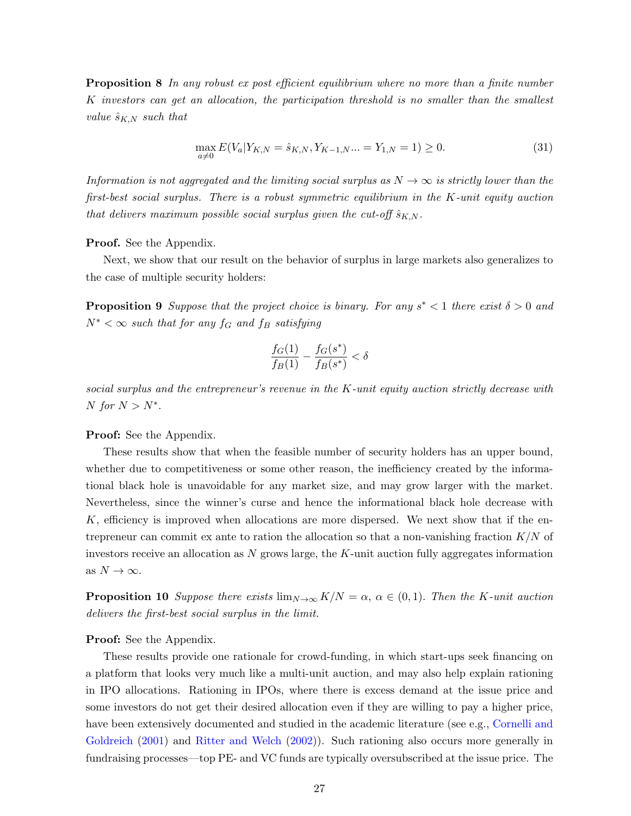**Proposition 8** In any robust ex post efficient equilibrium where no more than a finite number K investors can get an allocation, the participation threshold is no smaller than the smallest value  $\hat{s}_{K,N}$  such that

<span id="page-27-0"></span>
$$
\max_{a \neq 0} E(V_a|Y_{K,N} = \hat{s}_{K,N}, Y_{K-1,N}... = Y_{1,N} = 1) \ge 0.
$$
\n(31)

Information is not aggregated and the limiting social surplus as  $N \to \infty$  is strictly lower than the first-best social surplus. There is a robust symmetric equilibrium in the K-unit equity auction that delivers maximum possible social surplus given the cut-off  $\hat{s}_{K,N}$ .

#### Proof. See the Appendix.

Next, we show that our result on the behavior of surplus in large markets also generalizes to the case of multiple security holders:

<span id="page-27-1"></span>**Proposition 9** Suppose that the project choice is binary. For any  $s^* < 1$  there exist  $\delta > 0$  and  $N^* < \infty$  such that for any f<sub>G</sub> and f<sub>B</sub> satisfying

$$
\frac{f_G(1)}{f_B(1)}-\frac{f_G(s^*)}{f_B(s^*)}<\delta
$$

social surplus and the entrepreneur's revenue in the  $K$ -unit equity auction strictly decrease with N for  $N > N^*$ .

## Proof: See the Appendix.

These results show that when the feasible number of security holders has an upper bound, whether due to competitiveness or some other reason, the inefficiency created by the informational black hole is unavoidable for any market size, and may grow larger with the market. Nevertheless, since the winner's curse and hence the informational black hole decrease with  $K$ , efficiency is improved when allocations are more dispersed. We next show that if the entrepreneur can commit ex ante to ration the allocation so that a non-vanishing fraction  $K/N$  of investors receive an allocation as  $N$  grows large, the  $K$ -unit auction fully aggregates information as  $N \to \infty$ .

<span id="page-27-2"></span>**Proposition 10** Suppose there exists  $\lim_{N\to\infty} K/N = \alpha$ ,  $\alpha \in (0,1)$ . Then the K-unit auction delivers the first-best social surplus in the limit.

## Proof: See the Appendix.

These results provide one rationale for crowd-funding, in which start-ups seek financing on a platform that looks very much like a multi-unit auction, and may also help explain rationing in IPO allocations. Rationing in IPOs, where there is excess demand at the issue price and some investors do not get their desired allocation even if they are willing to pay a higher price, have been extensively documented and studied in the academic literature (see e.g., [Cornelli and](#page-38-5) [Goldreich](#page-38-5) [\(2001\)](#page-38-5) and [Ritter and Welch](#page-39-9) [\(2002\)](#page-39-9)). Such rationing also occurs more generally in fundraising processes—top PE- and VC funds are typically oversubscribed at the issue price. The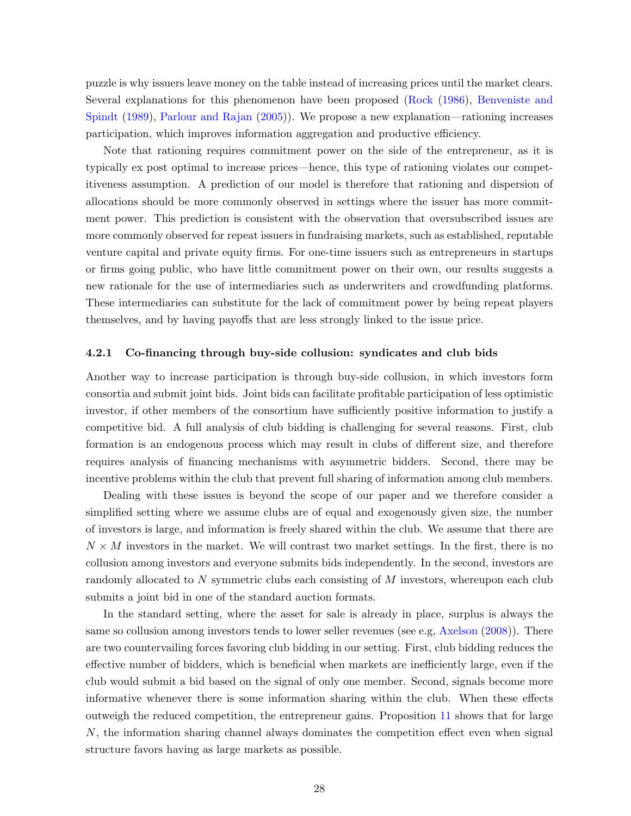puzzle is why issuers leave money on the table instead of increasing prices until the market clears. Several explanations for this phenomenon have been proposed [\(Rock](#page-39-10) [\(1986\)](#page-39-10), [Benveniste and](#page-37-8) [Spindt](#page-37-8) [\(1989\)](#page-37-8), [Parlour and Rajan](#page-39-4) [\(2005\)](#page-39-4)). We propose a new explanation—rationing increases participation, which improves information aggregation and productive efficiency.

Note that rationing requires commitment power on the side of the entrepreneur, as it is typically ex post optimal to increase prices—hence, this type of rationing violates our competitiveness assumption. A prediction of our model is therefore that rationing and dispersion of allocations should be more commonly observed in settings where the issuer has more commitment power. This prediction is consistent with the observation that oversubscribed issues are more commonly observed for repeat issuers in fundraising markets, such as established, reputable venture capital and private equity firms. For one-time issuers such as entrepreneurs in startups or firms going public, who have little commitment power on their own, our results suggests a new rationale for the use of intermediaries such as underwriters and crowdfunding platforms. These intermediaries can substitute for the lack of commitment power by being repeat players themselves, and by having payoffs that are less strongly linked to the issue price.

#### <span id="page-28-0"></span>4.2.1 Co-financing through buy-side collusion: syndicates and club bids

Another way to increase participation is through buy-side collusion, in which investors form consortia and submit joint bids. Joint bids can facilitate profitable participation of less optimistic investor, if other members of the consortium have sufficiently positive information to justify a competitive bid. A full analysis of club bidding is challenging for several reasons. First, club formation is an endogenous process which may result in clubs of different size, and therefore requires analysis of financing mechanisms with asymmetric bidders. Second, there may be incentive problems within the club that prevent full sharing of information among club members.

Dealing with these issues is beyond the scope of our paper and we therefore consider a simplified setting where we assume clubs are of equal and exogenously given size, the number of investors is large, and information is freely shared within the club. We assume that there are  $N \times M$  investors in the market. We will contrast two market settings. In the first, there is no collusion among investors and everyone submits bids independently. In the second, investors are randomly allocated to N symmetric clubs each consisting of M investors, whereupon each club submits a joint bid in one of the standard auction formats.

<span id="page-28-1"></span>In the standard setting, where the asset for sale is already in place, surplus is always the same so collusion among investors tends to lower seller revenues (see e.g, [Axelson](#page-37-9) [\(2008\)](#page-37-9)). There are two countervailing forces favoring club bidding in our setting. First, club bidding reduces the effective number of bidders, which is beneficial when markets are inefficiently large, even if the club would submit a bid based on the signal of only one member. Second, signals become more informative whenever there is some information sharing within the club. When these effects outweigh the reduced competition, the entrepreneur gains. Proposition [11](#page-28-1) shows that for large N, the information sharing channel always dominates the competition effect even when signal structure favors having as large markets as possible.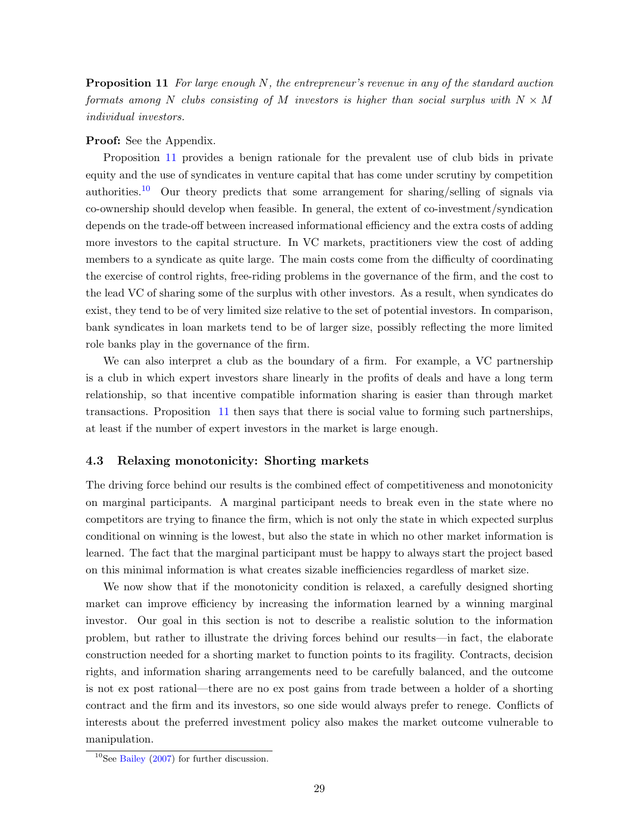**Proposition 11** For large enough  $N$ , the entrepreneur's revenue in any of the standard auction formats among N clubs consisting of M investors is higher than social surplus with  $N \times M$ individual investors.

#### Proof: See the Appendix.

Proposition [11](#page-28-1) provides a benign rationale for the prevalent use of club bids in private equity and the use of syndicates in venture capital that has come under scrutiny by competition authorities.<sup>[10](#page-29-1)</sup> Our theory predicts that some arrangement for sharing/selling of signals via co-ownership should develop when feasible. In general, the extent of co-investment/syndication depends on the trade-off between increased informational efficiency and the extra costs of adding more investors to the capital structure. In VC markets, practitioners view the cost of adding members to a syndicate as quite large. The main costs come from the difficulty of coordinating the exercise of control rights, free-riding problems in the governance of the firm, and the cost to the lead VC of sharing some of the surplus with other investors. As a result, when syndicates do exist, they tend to be of very limited size relative to the set of potential investors. In comparison, bank syndicates in loan markets tend to be of larger size, possibly reflecting the more limited role banks play in the governance of the firm.

We can also interpret a club as the boundary of a firm. For example, a VC partnership is a club in which expert investors share linearly in the profits of deals and have a long term relationship, so that incentive compatible information sharing is easier than through market transactions. Proposition [11](#page-28-1) then says that there is social value to forming such partnerships, at least if the number of expert investors in the market is large enough.

## <span id="page-29-0"></span>4.3 Relaxing monotonicity: Shorting markets

The driving force behind our results is the combined effect of competitiveness and monotonicity on marginal participants. A marginal participant needs to break even in the state where no competitors are trying to finance the firm, which is not only the state in which expected surplus conditional on winning is the lowest, but also the state in which no other market information is learned. The fact that the marginal participant must be happy to always start the project based on this minimal information is what creates sizable inefficiencies regardless of market size.

We now show that if the monotonicity condition is relaxed, a carefully designed shorting market can improve efficiency by increasing the information learned by a winning marginal investor. Our goal in this section is not to describe a realistic solution to the information problem, but rather to illustrate the driving forces behind our results—in fact, the elaborate construction needed for a shorting market to function points to its fragility. Contracts, decision rights, and information sharing arrangements need to be carefully balanced, and the outcome is not ex post rational—there are no ex post gains from trade between a holder of a shorting contract and the firm and its investors, so one side would always prefer to renege. Conflicts of interests about the preferred investment policy also makes the market outcome vulnerable to manipulation.

<span id="page-29-1"></span> $10$ See [Bailey](#page-37-10) [\(2007\)](#page-37-10) for further discussion.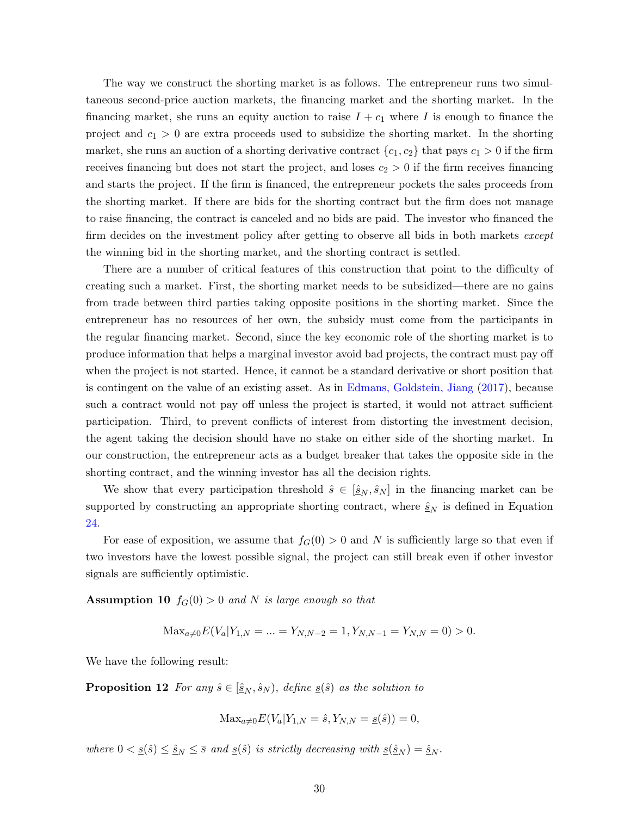The way we construct the shorting market is as follows. The entrepreneur runs two simultaneous second-price auction markets, the financing market and the shorting market. In the financing market, she runs an equity auction to raise  $I + c_1$  where I is enough to finance the project and  $c_1 > 0$  are extra proceeds used to subsidize the shorting market. In the shorting market, she runs an auction of a shorting derivative contract  $\{c_1, c_2\}$  that pays  $c_1 > 0$  if the firm receives financing but does not start the project, and loses  $c_2 > 0$  if the firm receives financing and starts the project. If the firm is financed, the entrepreneur pockets the sales proceeds from the shorting market. If there are bids for the shorting contract but the firm does not manage to raise financing, the contract is canceled and no bids are paid. The investor who financed the firm decides on the investment policy after getting to observe all bids in both markets *except* the winning bid in the shorting market, and the shorting contract is settled.

There are a number of critical features of this construction that point to the difficulty of creating such a market. First, the shorting market needs to be subsidized—there are no gains from trade between third parties taking opposite positions in the shorting market. Since the entrepreneur has no resources of her own, the subsidy must come from the participants in the regular financing market. Second, since the key economic role of the shorting market is to produce information that helps a marginal investor avoid bad projects, the contract must pay off when the project is not started. Hence, it cannot be a standard derivative or short position that is contingent on the value of an existing asset. As in [Edmans, Goldstein, Jiang](#page-38-6) [\(2017\)](#page-38-6), because such a contract would not pay off unless the project is started, it would not attract sufficient participation. Third, to prevent conflicts of interest from distorting the investment decision, the agent taking the decision should have no stake on either side of the shorting market. In our construction, the entrepreneur acts as a budget breaker that takes the opposite side in the shorting contract, and the winning investor has all the decision rights.

We show that every participation threshold  $\hat{s} \in [\underline{\hat{s}}_N, \hat{s}_N]$  in the financing market can be supported by constructing an appropriate shorting contract, where  $\hat{\underline{s}}_N$  is defined in Equation [24.](#page-18-2)

For ease of exposition, we assume that  $f_G(0) > 0$  and N is sufficiently large so that even if two investors have the lowest possible signal, the project can still break even if other investor signals are sufficiently optimistic.

**Assumption 10**  $f_G(0) > 0$  and N is large enough so that

<span id="page-30-1"></span>
$$
Max_{a \neq 0} E(V_a | Y_{1,N} = \dots = Y_{N,N-2} = 1, Y_{N,N-1} = Y_{N,N} = 0) > 0.
$$

We have the following result:

**Proposition 12** For any  $\hat{s} \in [\underline{\hat{s}}_N, \hat{s}_N)$ , define  $\underline{s}(\hat{s})$  as the solution to

<span id="page-30-0"></span>
$$
Max_{a \neq 0} E(V_a | Y_{1,N} = \hat{s}, Y_{N,N} = \underline{s}(\hat{s})) = 0,
$$

where  $0 < \underline{s}(\hat{s}) \leq \hat{s}_N \leq \overline{s}$  and  $\underline{s}(\hat{s})$  is strictly decreasing with  $\underline{s}(\hat{s}_N) = \hat{s}_N$ .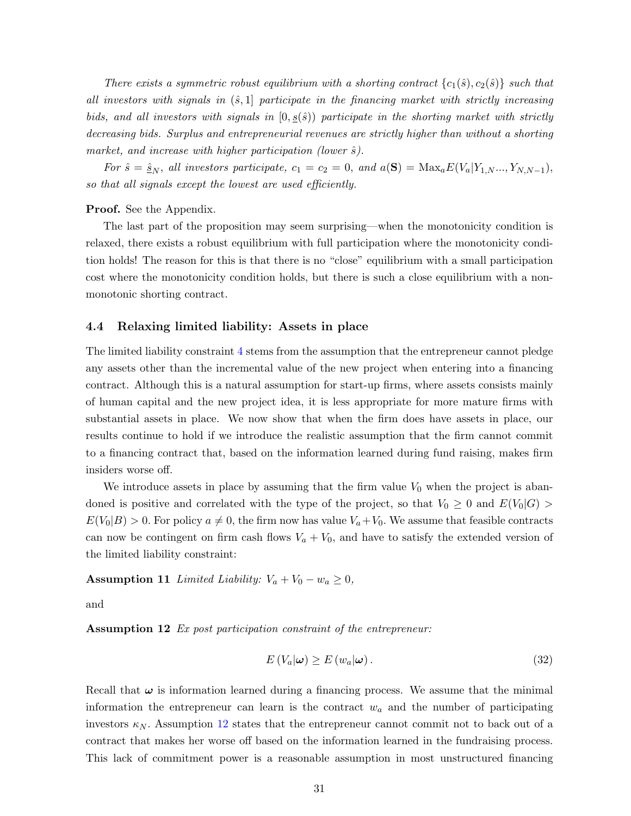There exists a symmetric robust equilibrium with a shorting contract  ${c_1(\hat{s}), c_2(\hat{s})}$  such that all investors with signals in  $(\hat{s},1]$  participate in the financing market with strictly increasing bids, and all investors with signals in  $[0, s(\hat{s}))$  participate in the shorting market with strictly decreasing bids. Surplus and entrepreneurial revenues are strictly higher than without a shorting market, and increase with higher participation (lower  $\hat{s}$ ).

For  $\hat{s} = \hat{s}_N$ , all investors participate,  $c_1 = c_2 = 0$ , and  $a(S) = Max_a E(V_a|Y_{1,N}...,Y_{N,N-1})$ , so that all signals except the lowest are used efficiently.

### Proof. See the Appendix.

The last part of the proposition may seem surprising—when the monotonicity condition is relaxed, there exists a robust equilibrium with full participation where the monotonicity condition holds! The reason for this is that there is no "close" equilibrium with a small participation cost where the monotonicity condition holds, but there is such a close equilibrium with a nonmonotonic shorting contract.

### <span id="page-31-0"></span>4.4 Relaxing limited liability: Assets in place

The limited liability constraint [4](#page-10-1) stems from the assumption that the entrepreneur cannot pledge any assets other than the incremental value of the new project when entering into a financing contract. Although this is a natural assumption for start-up firms, where assets consists mainly of human capital and the new project idea, it is less appropriate for more mature firms with substantial assets in place. We now show that when the firm does have assets in place, our results continue to hold if we introduce the realistic assumption that the firm cannot commit to a financing contract that, based on the information learned during fund raising, makes firm insiders worse off.

We introduce assets in place by assuming that the firm value  $V_0$  when the project is abandoned is positive and correlated with the type of the project, so that  $V_0 \geq 0$  and  $E(V_0|G)$  $E(V_0|B) > 0$ . For policy  $a \neq 0$ , the firm now has value  $V_a + V_0$ . We assume that feasible contracts can now be contingent on firm cash flows  $V_a + V_0$ , and have to satisfy the extended version of the limited liability constraint:

Assumption 11 Limited Liability:  $V_a + V_0 - w_a \geq 0$ ,

<span id="page-31-1"></span>and

Assumption 12 Ex post participation constraint of the entrepreneur:

$$
E\left(V_a|\boldsymbol{\omega}\right) \ge E\left(w_a|\boldsymbol{\omega}\right). \tag{32}
$$

Recall that  $\omega$  is information learned during a financing process. We assume that the minimal information the entrepreneur can learn is the contract  $w_a$  and the number of participating investors  $\kappa_N$ . Assumption [12](#page-31-1) states that the entrepreneur cannot commit not to back out of a contract that makes her worse off based on the information learned in the fundraising process. This lack of commitment power is a reasonable assumption in most unstructured financing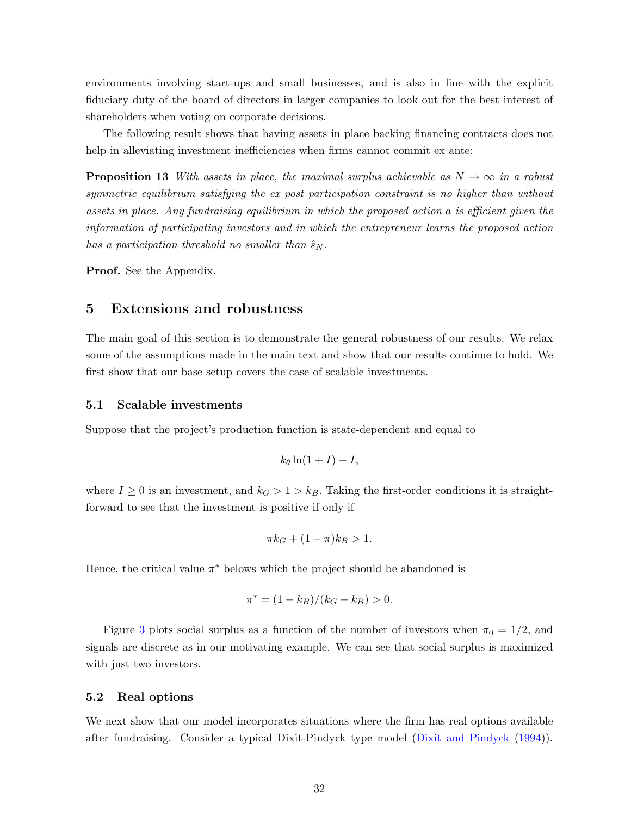environments involving start-ups and small businesses, and is also in line with the explicit fiduciary duty of the board of directors in larger companies to look out for the best interest of shareholders when voting on corporate decisions.

The following result shows that having assets in place backing financing contracts does not help in alleviating investment inefficiencies when firms cannot commit ex ante:

**Proposition 13** With assets in place, the maximal surplus achievable as  $N \to \infty$  in a robust symmetric equilibrium satisfying the ex post participation constraint is no higher than without assets in place. Any fundraising equilibrium in which the proposed action a is efficient given the information of participating investors and in which the entrepreneur learns the proposed action has a participation threshold no smaller than  $\hat{s}_N$ .

Proof. See the Appendix.

## <span id="page-32-0"></span>5 Extensions and robustness

The main goal of this section is to demonstrate the general robustness of our results. We relax some of the assumptions made in the main text and show that our results continue to hold. We first show that our base setup covers the case of scalable investments.

#### <span id="page-32-1"></span>5.1 Scalable investments

Suppose that the project's production function is state-dependent and equal to

<span id="page-32-3"></span>
$$
k_{\theta}\ln(1+I)-I,
$$

where  $I \geq 0$  is an investment, and  $k_G > 1 > k_B$ . Taking the first-order conditions it is straightforward to see that the investment is positive if only if

$$
\pi k_G + (1 - \pi)k_B > 1.
$$

Hence, the critical value  $\pi^*$  belows which the project should be abandoned is

$$
\pi^* = (1 - k_B)/(k_G - k_B) > 0.
$$

Figure [3](#page-42-0) plots social surplus as a function of the number of investors when  $\pi_0 = 1/2$ , and signals are discrete as in our motivating example. We can see that social surplus is maximized with just two investors.

### <span id="page-32-2"></span>5.2 Real options

We next show that our model incorporates situations where the firm has real options available after fundraising. Consider a typical Dixit-Pindyck type model [\(Dixit and Pindyck](#page-38-7) [\(1994\)](#page-38-7)).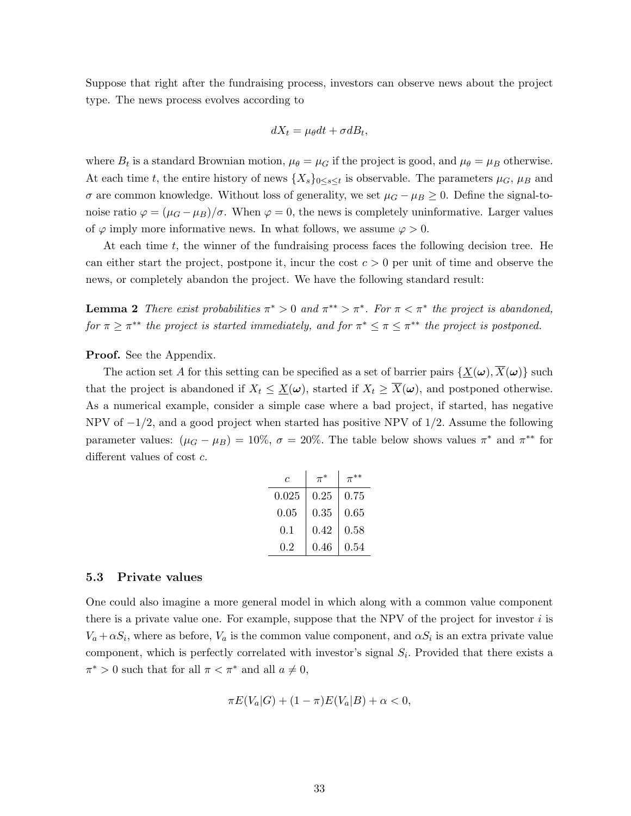Suppose that right after the fundraising process, investors can observe news about the project type. The news process evolves according to

$$
dX_t = \mu_\theta dt + \sigma dB_t,
$$

where  $B_t$  is a standard Brownian motion,  $\mu_{\theta} = \mu_G$  if the project is good, and  $\mu_{\theta} = \mu_B$  otherwise. At each time t, the entire history of news  $\{X_s\}_{0\leq s\leq t}$  is observable. The parameters  $\mu_G$ ,  $\mu_B$  and  $σ$  are common knowledge. Without loss of generality, we set  $μ$ <sup> $G$ </sup> −  $μ$ <sup> $B$ </sup> ≥ 0. Define the signal-tonoise ratio  $\varphi = (\mu_G - \mu_B)/\sigma$ . When  $\varphi = 0$ , the news is completely uninformative. Larger values of  $\varphi$  imply more informative news. In what follows, we assume  $\varphi > 0$ .

At each time  $t$ , the winner of the fundraising process faces the following decision tree. He can either start the project, postpone it, incur the cost  $c > 0$  per unit of time and observe the news, or completely abandon the project. We have the following standard result:

<span id="page-33-0"></span>**Lemma 2** There exist probabilities  $\pi^* > 0$  and  $\pi^{**} > \pi^*$ . For  $\pi < \pi^*$  the project is abandoned, for  $\pi \geq \pi^{**}$  the project is started immediately, and for  $\pi^* \leq \pi \leq \pi^{**}$  the project is postponed.

Proof. See the Appendix.

The action set A for this setting can be specified as a set of barrier pairs  $\{\underline{X}(\omega), \overline{X}(\omega)\}\$  such that the project is abandoned if  $X_t \leq \underline{X}(\omega)$ , started if  $X_t \geq \overline{X}(\omega)$ , and postponed otherwise. As a numerical example, consider a simple case where a bad project, if started, has negative NPV of  $-1/2$ , and a good project when started has positive NPV of  $1/2$ . Assume the following parameter values:  $(\mu_G - \mu_B) = 10\%, \sigma = 20\%$ . The table below shows values  $\pi^*$  and  $\pi^{**}$  for different values of cost c.

| C     |      |      |
|-------|------|------|
| 0.025 | 0.25 | 0.75 |
| 0.05  | 0.35 | 0.65 |
| 0.1   | 0.42 | 0.58 |
| 0.2   | 0.46 | 0.54 |

## 5.3 Private values

One could also imagine a more general model in which along with a common value component there is a private value one. For example, suppose that the NPV of the project for investor  $i$  is  $V_a + \alpha S_i$ , where as before,  $V_a$  is the common value component, and  $\alpha S_i$  is an extra private value component, which is perfectly correlated with investor's signal  $S_i$ . Provided that there exists a  $\pi^* > 0$  such that for all  $\pi < \pi^*$  and all  $a \neq 0$ ,

$$
\pi E(V_a|G) + (1 - \pi)E(V_a|B) + \alpha < 0,
$$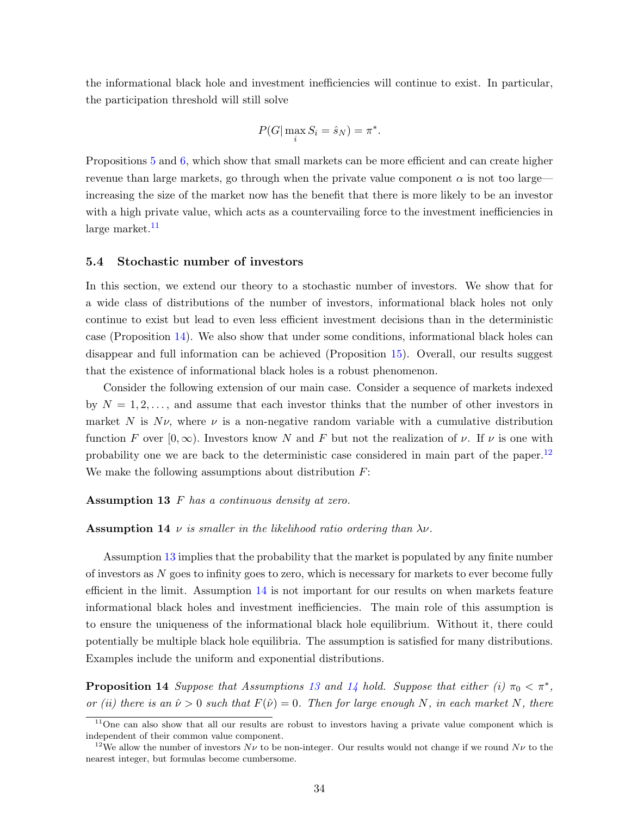the informational black hole and investment inefficiencies will continue to exist. In particular, the participation threshold will still solve

$$
P(G | \max_i S_i = \hat{s}_N) = \pi^*.
$$

Propositions [5](#page-21-0) and [6,](#page-23-0) which show that small markets can be more efficient and can create higher revenue than large markets, go through when the private value component  $\alpha$  is not too large increasing the size of the market now has the benefit that there is more likely to be an investor with a high private value, which acts as a countervailing force to the investment inefficiencies in  $large$  market.<sup>[11](#page-34-1)</sup>

## <span id="page-34-0"></span>5.4 Stochastic number of investors

In this section, we extend our theory to a stochastic number of investors. We show that for a wide class of distributions of the number of investors, informational black holes not only continue to exist but lead to even less efficient investment decisions than in the deterministic case (Proposition [14\)](#page-34-2). We also show that under some conditions, informational black holes can disappear and full information can be achieved (Proposition [15\)](#page-35-0). Overall, our results suggest that the existence of informational black holes is a robust phenomenon.

Consider the following extension of our main case. Consider a sequence of markets indexed by  $N = 1, 2, \ldots$ , and assume that each investor thinks that the number of other investors in market N is  $N\nu$ , where  $\nu$  is a non-negative random variable with a cumulative distribution function F over  $[0,\infty)$ . Investors know N and F but not the realization of  $\nu$ . If  $\nu$  is one with probability one we are back to the deterministic case considered in main part of the paper.<sup>[12](#page-34-3)</sup> We make the following assumptions about distribution  $F$ :

#### <span id="page-34-4"></span>Assumption 13 F has a continuous density at zero.

#### <span id="page-34-5"></span>**Assumption 14**  $\nu$  is smaller in the likelihood ratio ordering than  $\lambda \nu$ .

Assumption [13](#page-34-4) implies that the probability that the market is populated by any finite number of investors as N goes to infinity goes to zero, which is necessary for markets to ever become fully efficient in the limit. Assumption [14](#page-34-5) is not important for our results on when markets feature informational black holes and investment inefficiencies. The main role of this assumption is to ensure the uniqueness of the informational black hole equilibrium. Without it, there could potentially be multiple black hole equilibria. The assumption is satisfied for many distributions. Examples include the uniform and exponential distributions.

<span id="page-34-2"></span>**Proposition [14](#page-34-5)** Suppose that Assumptions [13](#page-34-4) and 14 hold. Suppose that either (i)  $\pi_0 < \pi^*$ , or (ii) there is an  $\hat{\nu} > 0$  such that  $F(\hat{\nu}) = 0$ . Then for large enough N, in each market N, there

<span id="page-34-1"></span><sup>&</sup>lt;sup>11</sup>One can also show that all our results are robust to investors having a private value component which is independent of their common value component.

<span id="page-34-3"></span><sup>&</sup>lt;sup>12</sup>We allow the number of investors  $N\nu$  to be non-integer. Our results would not change if we round  $N\nu$  to the nearest integer, but formulas become cumbersome.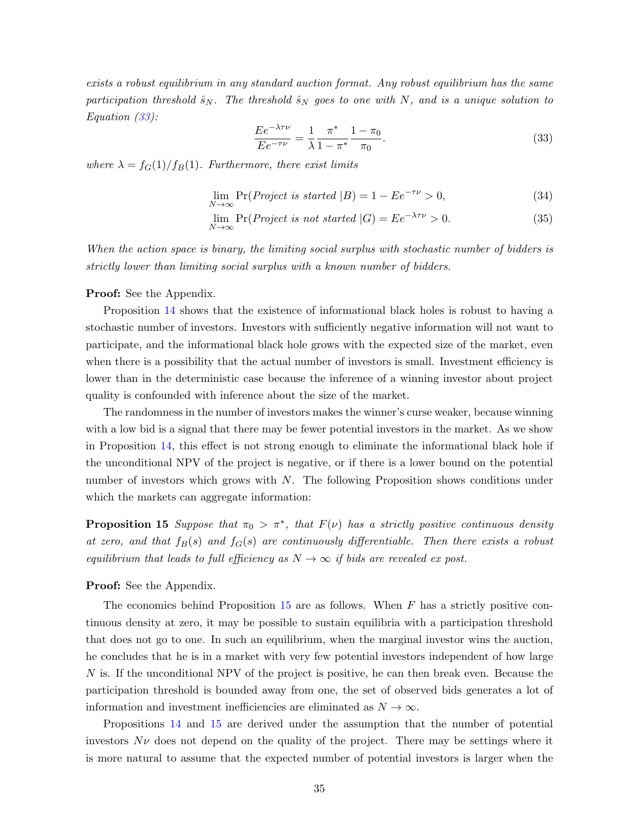exists a robust equilibrium in any standard auction format. Any robust equilibrium has the same participation threshold  $\hat{s}_N$ . The threshold  $\hat{s}_N$  goes to one with N, and is a unique solution to Equation [\(33\)](#page-35-1):

<span id="page-35-1"></span>
$$
\frac{E e^{-\lambda \tau \nu}}{E e^{-\tau \nu}} = \frac{1}{\lambda} \frac{\pi^*}{1 - \pi^*} \frac{1 - \pi_0}{\pi_0}.
$$
\n(33)

where  $\lambda = f_G(1)/f_B(1)$ . Furthermore, there exist limits

<span id="page-35-2"></span>
$$
\lim_{N \to \infty} \Pr(Project \ is \ started \ | B) = 1 - Ee^{-\tau \nu} > 0,\tag{34}
$$

$$
\lim_{N \to \infty} \Pr(\text{Project is not started } |G) = E e^{-\lambda \tau \nu} > 0. \tag{35}
$$

When the action space is binary, the limiting social surplus with stochastic number of bidders is strictly lower than limiting social surplus with a known number of bidders.

#### Proof: See the Appendix.

Proposition [14](#page-34-2) shows that the existence of informational black holes is robust to having a stochastic number of investors. Investors with sufficiently negative information will not want to participate, and the informational black hole grows with the expected size of the market, even when there is a possibility that the actual number of investors is small. Investment efficiency is lower than in the deterministic case because the inference of a winning investor about project quality is confounded with inference about the size of the market.

The randomness in the number of investors makes the winner's curse weaker, because winning with a low bid is a signal that there may be fewer potential investors in the market. As we show in Proposition [14,](#page-34-2) this effect is not strong enough to eliminate the informational black hole if the unconditional NPV of the project is negative, or if there is a lower bound on the potential number of investors which grows with  $N$ . The following Proposition shows conditions under which the markets can aggregate information:

<span id="page-35-0"></span>**Proposition 15** Suppose that  $\pi_0 > \pi^*$ , that  $F(\nu)$  has a strictly positive continuous density at zero, and that  $f_B(s)$  and  $f_G(s)$  are continuously differentiable. Then there exists a robust equilibrium that leads to full efficiency as  $N \to \infty$  if bids are revealed ex post.

#### Proof: See the Appendix.

The economics behind Proposition  $15$  are as follows. When  $F$  has a strictly positive continuous density at zero, it may be possible to sustain equilibria with a participation threshold that does not go to one. In such an equilibrium, when the marginal investor wins the auction, he concludes that he is in a market with very few potential investors independent of how large N is. If the unconditional NPV of the project is positive, he can then break even. Because the participation threshold is bounded away from one, the set of observed bids generates a lot of information and investment inefficiencies are eliminated as  $N \to \infty$ .

Propositions [14](#page-34-2) and [15](#page-35-0) are derived under the assumption that the number of potential investors  $N\nu$  does not depend on the quality of the project. There may be settings where it is more natural to assume that the expected number of potential investors is larger when the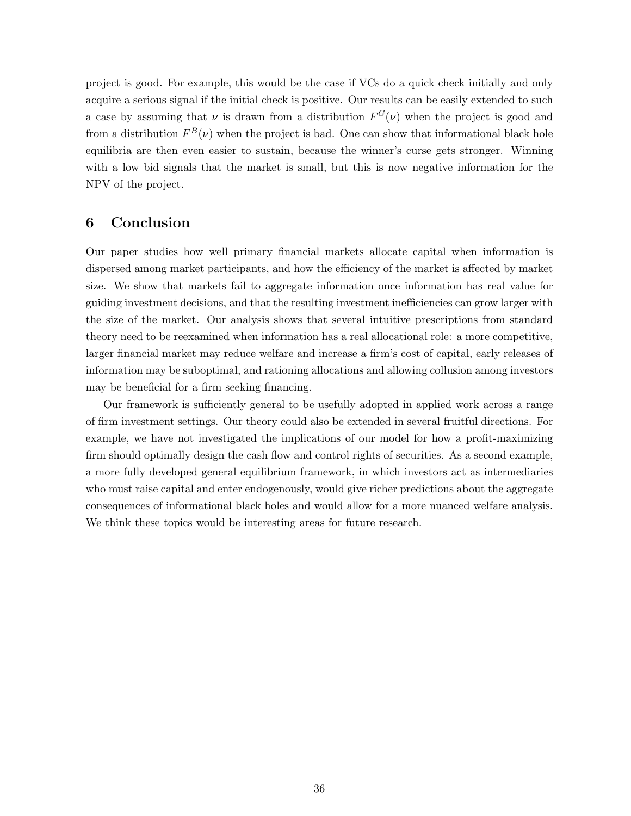project is good. For example, this would be the case if VCs do a quick check initially and only acquire a serious signal if the initial check is positive. Our results can be easily extended to such a case by assuming that  $\nu$  is drawn from a distribution  $F^G(\nu)$  when the project is good and from a distribution  $F^{B}(\nu)$  when the project is bad. One can show that informational black hole equilibria are then even easier to sustain, because the winner's curse gets stronger. Winning with a low bid signals that the market is small, but this is now negative information for the NPV of the project.

# 6 Conclusion

Our paper studies how well primary financial markets allocate capital when information is dispersed among market participants, and how the efficiency of the market is affected by market size. We show that markets fail to aggregate information once information has real value for guiding investment decisions, and that the resulting investment inefficiencies can grow larger with the size of the market. Our analysis shows that several intuitive prescriptions from standard theory need to be reexamined when information has a real allocational role: a more competitive, larger financial market may reduce welfare and increase a firm's cost of capital, early releases of information may be suboptimal, and rationing allocations and allowing collusion among investors may be beneficial for a firm seeking financing.

Our framework is sufficiently general to be usefully adopted in applied work across a range of firm investment settings. Our theory could also be extended in several fruitful directions. For example, we have not investigated the implications of our model for how a profit-maximizing firm should optimally design the cash flow and control rights of securities. As a second example, a more fully developed general equilibrium framework, in which investors act as intermediaries who must raise capital and enter endogenously, would give richer predictions about the aggregate consequences of informational black holes and would allow for a more nuanced welfare analysis. We think these topics would be interesting areas for future research.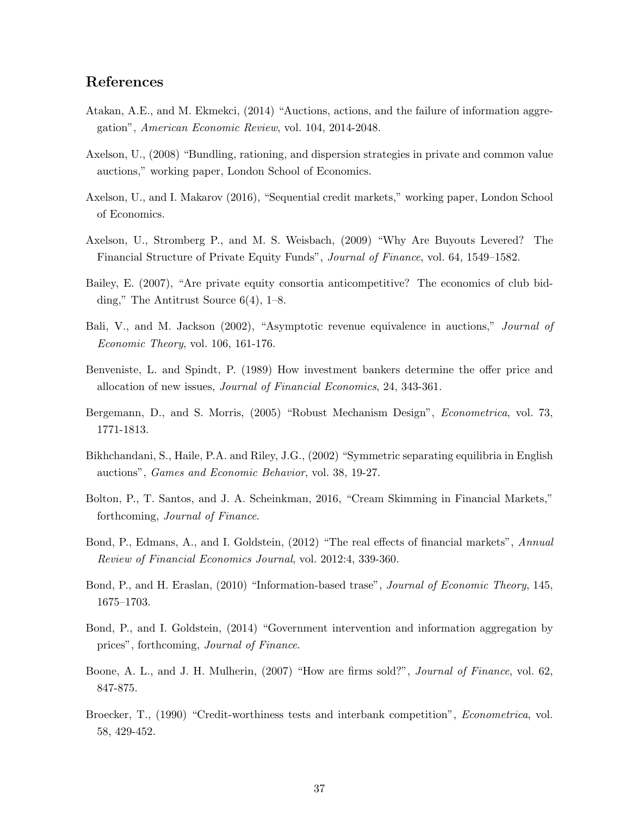# References

- <span id="page-37-3"></span>Atakan, A.E., and M. Ekmekci, (2014) "Auctions, actions, and the failure of information aggregation", American Economic Review, vol. 104, 2014-2048.
- <span id="page-37-9"></span>Axelson, U., (2008) "Bundling, rationing, and dispersion strategies in private and common value auctions," working paper, London School of Economics.
- Axelson, U., and I. Makarov (2016), "Sequential credit markets," working paper, London School of Economics.
- Axelson, U., Stromberg P., and M. S. Weisbach, (2009) "Why Are Buyouts Levered? The Financial Structure of Private Equity Funds", Journal of Finance, vol. 64, 1549–1582.
- <span id="page-37-10"></span>Bailey, E. (2007), "Are private equity consortia anticompetitive? The economics of club bidding," The Antitrust Source 6(4), 1–8.
- <span id="page-37-0"></span>Bali, V., and M. Jackson (2002), "Asymptotic revenue equivalence in auctions," *Journal of* Economic Theory, vol. 106, 161-176.
- <span id="page-37-8"></span>Benveniste, L. and Spindt, P. (1989) How investment bankers determine the offer price and allocation of new issues, Journal of Financial Economics, 24, 343-361.
- Bergemann, D., and S. Morris, (2005) "Robust Mechanism Design", Econometrica, vol. 73, 1771-1813.
- Bikhchandani, S., Haile, P.A. and Riley, J.G., (2002) "Symmetric separating equilibria in English auctions", Games and Economic Behavior, vol. 38, 19-27.
- <span id="page-37-2"></span>Bolton, P., T. Santos, and J. A. Scheinkman, 2016, "Cream Skimming in Financial Markets," forthcoming, Journal of Finance.
- <span id="page-37-4"></span>Bond, P., Edmans, A., and I. Goldstein, (2012) "The real effects of financial markets", Annual Review of Financial Economics Journal, vol. 2012:4, 339-360.
- <span id="page-37-5"></span>Bond, P., and H. Eraslan, (2010) "Information-based trase", Journal of Economic Theory, 145, 1675–1703.
- <span id="page-37-6"></span>Bond, P., and I. Goldstein, (2014) "Government intervention and information aggregation by prices", forthcoming, Journal of Finance.
- <span id="page-37-1"></span>Boone, A. L., and J. H. Mulherin, (2007) "How are firms sold?", *Journal of Finance*, vol. 62, 847-875.
- <span id="page-37-7"></span>Broecker, T., (1990) "Credit-worthiness tests and interbank competition", *Econometrica*, vol. 58, 429-452.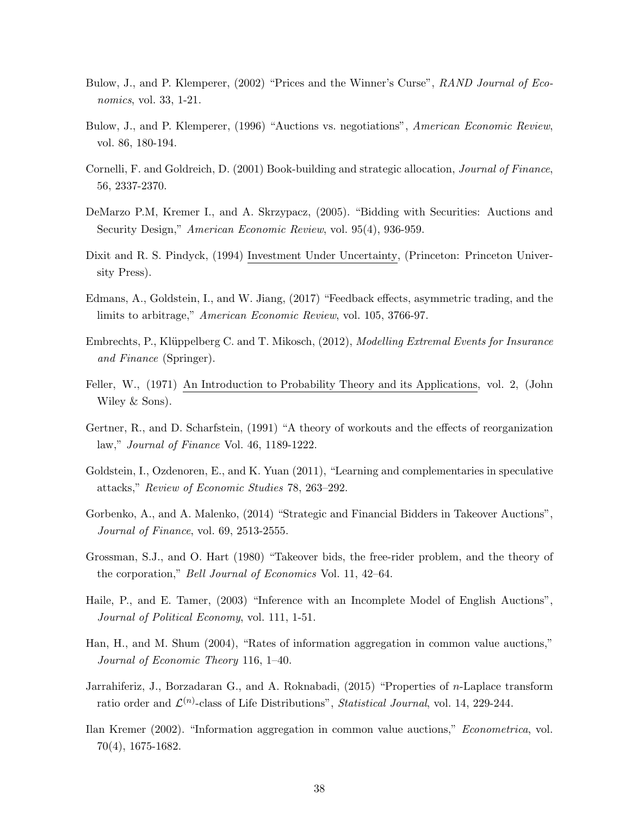- <span id="page-38-0"></span>Bulow, J., and P. Klemperer, (2002) "Prices and the Winner's Curse", RAND Journal of Economics, vol. 33, 1-21.
- Bulow, J., and P. Klemperer, (1996) "Auctions vs. negotiations", American Economic Review, vol. 86, 180-194.
- <span id="page-38-5"></span>Cornelli, F. and Goldreich, D. (2001) Book-building and strategic allocation, Journal of Finance, 56, 2337-2370.
- <span id="page-38-4"></span>DeMarzo P.M, Kremer I., and A. Skrzypacz, (2005). "Bidding with Securities: Auctions and Security Design," American Economic Review, vol. 95(4), 936-959.
- <span id="page-38-7"></span>Dixit and R. S. Pindyck, (1994) Investment Under Uncertainty, (Princeton: Princeton University Press).
- <span id="page-38-6"></span>Edmans, A., Goldstein, I., and W. Jiang, (2017) "Feedback effects, asymmetric trading, and the limits to arbitrage," American Economic Review, vol. 105, 3766-97.
- <span id="page-38-8"></span>Embrechts, P., Klüppelberg C. and T. Mikosch, (2012), *Modelling Extremal Events for Insurance* and Finance (Springer).
- <span id="page-38-9"></span>Feller, W., (1971) An Introduction to Probability Theory and its Applications, vol. 2, (John Wiley & Sons).
- Gertner, R., and D. Scharfstein, (1991) "A theory of workouts and the effects of reorganization law," Journal of Finance Vol. 46, 1189-1222.
- <span id="page-38-3"></span>Goldstein, I., Ozdenoren, E., and K. Yuan (2011), "Learning and complementaries in speculative attacks," Review of Economic Studies 78, 263–292.
- Gorbenko, A., and A. Malenko, (2014) "Strategic and Financial Bidders in Takeover Auctions", Journal of Finance, vol. 69, 2513-2555.
- Grossman, S.J., and O. Hart (1980) "Takeover bids, the free-rider problem, and the theory of the corporation," Bell Journal of Economics Vol. 11, 42–64.
- Haile, P., and E. Tamer, (2003) "Inference with an Incomplete Model of English Auctions", Journal of Political Economy, vol. 111, 1-51.
- <span id="page-38-2"></span>Han, H., and M. Shum (2004), "Rates of information aggregation in common value auctions," Journal of Economic Theory 116, 1–40.
- <span id="page-38-10"></span>Jarrahiferiz, J., Borzadaran G., and A. Roknabadi, (2015) "Properties of n-Laplace transform ratio order and  $\mathcal{L}^{(n)}$ -class of Life Distributions", Statistical Journal, vol. 14, 229-244.
- <span id="page-38-1"></span>Ilan Kremer (2002). "Information aggregation in common value auctions," Econometrica, vol. 70(4), 1675-1682.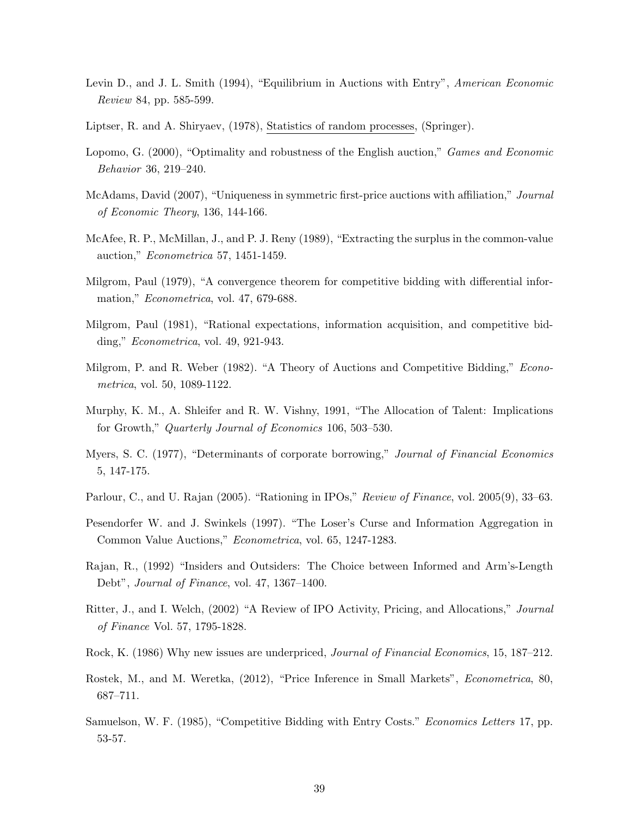- <span id="page-39-3"></span>Levin D., and J. L. Smith (1994), "Equilibrium in Auctions with Entry", American Economic Review 84, pp. 585-599.
- <span id="page-39-11"></span>Liptser, R. and A. Shiryaev, (1978), Statistics of random processes, (Springer).
- Lopomo, G. (2000), "Optimality and robustness of the English auction," Games and Economic Behavior 36, 219–240.
- McAdams, David (2007), "Uniqueness in symmetric first-price auctions with affiliation," Journal of Economic Theory, 136, 144-166.
- <span id="page-39-8"></span>McAfee, R. P., McMillan, J., and P. J. Reny (1989), "Extracting the surplus in the common-value auction," Econometrica 57, 1451-1459.
- <span id="page-39-6"></span>Milgrom, Paul (1979), "A convergence theorem for competitive bidding with differential information," Econometrica, vol. 47, 679-688.
- <span id="page-39-7"></span>Milgrom, Paul (1981), "Rational expectations, information acquisition, and competitive bidding," Econometrica, vol. 49, 921-943.
- <span id="page-39-1"></span>Milgrom, P. and R. Weber (1982). "A Theory of Auctions and Competitive Bidding," *Econo*metrica, vol. 50, 1089-1122.
- <span id="page-39-5"></span>Murphy, K. M., A. Shleifer and R. W. Vishny, 1991, "The Allocation of Talent: Implications for Growth," Quarterly Journal of Economics 106, 503–530.
- Myers, S. C. (1977), "Determinants of corporate borrowing," Journal of Financial Economics 5, 147-175.
- <span id="page-39-4"></span>Parlour, C., and U. Rajan (2005). "Rationing in IPOs," Review of Finance, vol. 2005(9), 33–63.
- <span id="page-39-0"></span>Pesendorfer W. and J. Swinkels (1997). "The Loser's Curse and Information Aggregation in Common Value Auctions," Econometrica, vol. 65, 1247-1283.
- Rajan, R., (1992) "Insiders and Outsiders: The Choice between Informed and Arm's-Length Debt", Journal of Finance, vol. 47, 1367–1400.
- <span id="page-39-9"></span>Ritter, J., and I. Welch, (2002) "A Review of IPO Activity, Pricing, and Allocations," Journal of Finance Vol. 57, 1795-1828.
- <span id="page-39-10"></span>Rock, K. (1986) Why new issues are underpriced, Journal of Financial Economics, 15, 187–212.
- Rostek, M., and M. Weretka, (2012), "Price Inference in Small Markets", Econometrica, 80, 687–711.
- <span id="page-39-2"></span>Samuelson, W. F. (1985), "Competitive Bidding with Entry Costs." *Economics Letters* 17, pp. 53-57.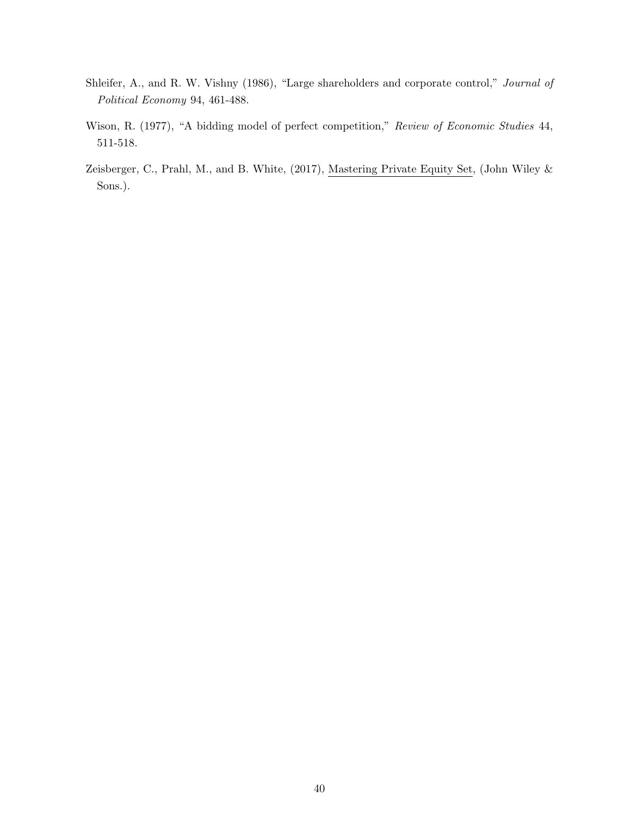- Shleifer, A., and R. W. Vishny (1986), "Large shareholders and corporate control," Journal of Political Economy 94, 461-488.
- <span id="page-40-0"></span>Wison, R. (1977), "A bidding model of perfect competition," Review of Economic Studies 44, 511-518.
- <span id="page-40-1"></span>Zeisberger, C., Prahl, M., and B. White, (2017), Mastering Private Equity Set, (John Wiley & Sons.).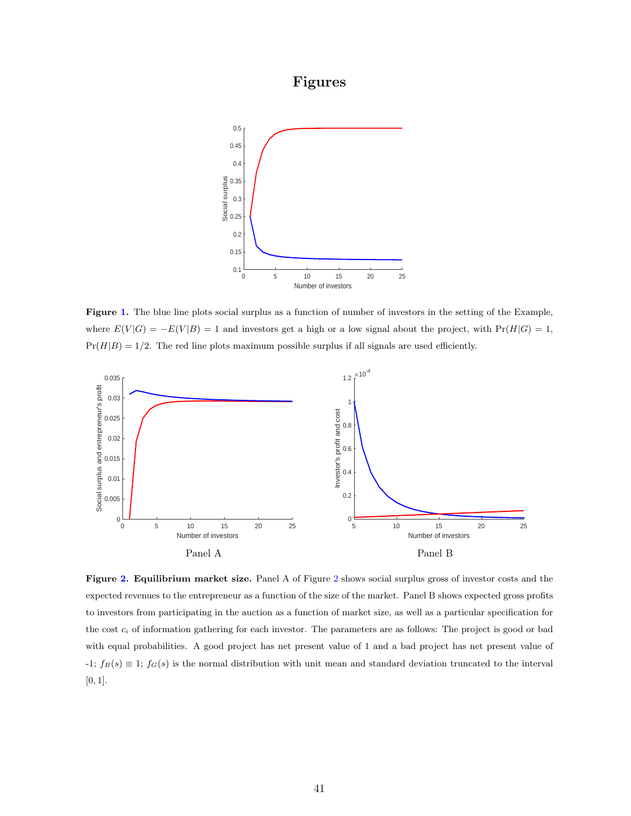# Figures

<span id="page-41-0"></span>

Figure [1.](#page-41-0) The blue line plots social surplus as a function of number of investors in the setting of the Example, where  $E(V|G) = -E(V|B) = 1$  and investors get a high or a low signal about the project, with  $Pr(H|G) = 1$ ,  $Pr(H|B) = 1/2$ . The red line plots maximum possible surplus if all signals are used efficiently.

<span id="page-41-1"></span>

Figure [2.](#page-41-1) Equilibrium market size. Panel A of Figure [2](#page-41-1) shows social surplus gross of investor costs and the expected revenues to the entrepreneur as a function of the size of the market. Panel B shows expected gross profits to investors from participating in the auction as a function of market size, as well as a particular specification for the cost  $c_i$  of information gathering for each investor. The parameters are as follows: The project is good or bad with equal probabilities. A good project has net present value of 1 and a bad project has net present value of -1;  $f_B(s) \equiv 1$ ;  $f_G(s)$  is the normal distribution with unit mean and standard deviation truncated to the interval [0, 1].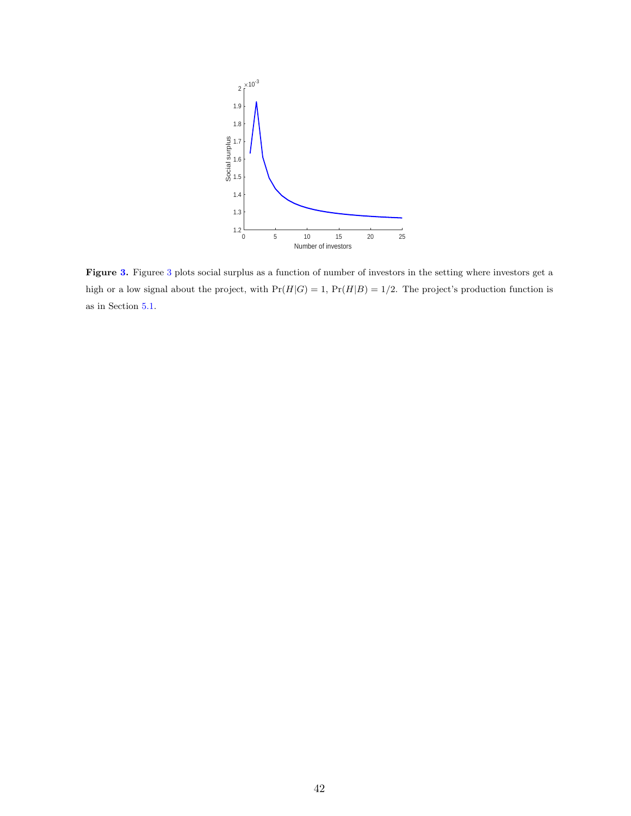<span id="page-42-0"></span>

Figure [3.](#page-42-0) Figuree [3](#page-42-0) plots social surplus as a function of number of investors in the setting where investors get a high or a low signal about the project, with  $Pr(H|G) = 1$ ,  $Pr(H|B) = 1/2$ . The project's production function is as in Section [5.1.](#page-32-1)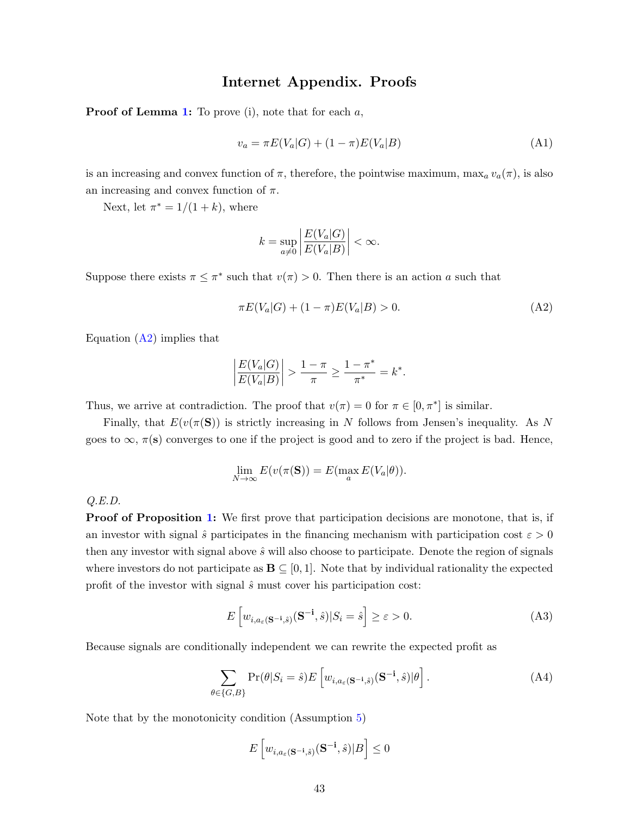# Internet Appendix. Proofs

**Proof of Lemma [1:](#page-9-0)** To prove (i), note that for each  $a$ ,

$$
v_a = \pi E(V_a|G) + (1 - \pi)E(V_a|B)
$$
\n(A1)

is an increasing and convex function of  $\pi$ , therefore, the pointwise maximum, max<sub>a</sub>  $v_a(\pi)$ , is also an increasing and convex function of  $\pi$ .

Next, let  $\pi^* = 1/(1+k)$ , where

<span id="page-43-0"></span>
$$
k = \sup_{a \neq 0} \left| \frac{E(V_a|G)}{E(V_a|B)} \right| < \infty.
$$

Suppose there exists  $\pi \leq \pi^*$  such that  $v(\pi) > 0$ . Then there is an action a such that

$$
\pi E(V_a|G) + (1 - \pi)E(V_a|B) > 0.
$$
\n(A2)

Equation  $(A2)$  implies that

$$
\left| \frac{E(V_a|G)}{E(V_a|B)} \right| > \frac{1-\pi}{\pi} \ge \frac{1-\pi^*}{\pi^*} = k^*.
$$

Thus, we arrive at contradiction. The proof that  $v(\pi) = 0$  for  $\pi \in [0, \pi^*]$  is similar.

Finally, that  $E(v(\pi(\mathbf{S}))$  is strictly increasing in N follows from Jensen's inequality. As N goes to  $\infty$ ,  $\pi$ (s) converges to one if the project is good and to zero if the project is bad. Hence,

$$
\lim_{N \to \infty} E(v(\pi(\mathbf{S})) = E(\max_a E(V_a|\theta)).
$$

Q.E.D.

**Proof of Proposition [1:](#page-13-0)** We first prove that participation decisions are monotone, that is, if an investor with signal  $\hat{s}$  participates in the financing mechanism with participation cost  $\varepsilon > 0$ then any investor with signal above  $\hat{s}$  will also choose to participate. Denote the region of signals where investors do not participate as  $\mathbf{B} \subseteq [0, 1]$ . Note that by individual rationality the expected profit of the investor with signal  $\hat{s}$  must cover his participation cost:

$$
E\left[w_{i,a_{\varepsilon}(\mathbf{S}^{-\mathbf{i}},\hat{s})}(\mathbf{S}^{-\mathbf{i}},\hat{s})|S_i=\hat{s}\right] \geq \varepsilon > 0. \tag{A3}
$$

Because signals are conditionally independent we can rewrite the expected profit as

$$
\sum_{\theta \in \{G, B\}} \Pr(\theta | S_i = \hat{s}) E\left[w_{i, a_{\varepsilon}(\mathbf{S}^{-1}, \hat{s})}(\mathbf{S}^{-1}, \hat{s}) | \theta\right]. \tag{A4}
$$

Note that by the monotonicity condition (Assumption [5\)](#page-10-2)

$$
E\left[w_{i,a_{\varepsilon}(\mathbf{S}^{-\mathbf{i}},\hat{s})}(\mathbf{S}^{-\mathbf{i}},\hat{s})|B\right] \leq 0
$$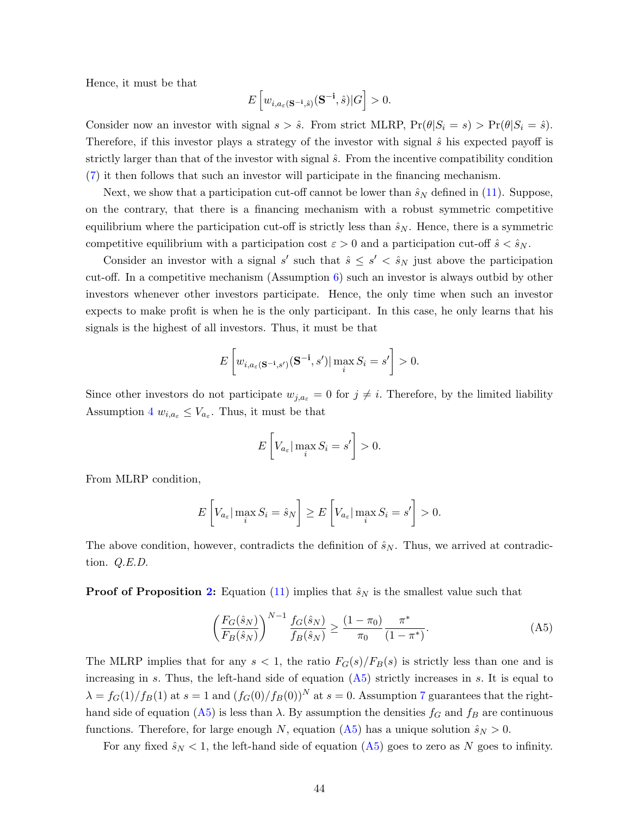Hence, it must be that

$$
E\left[w_{i,a_{\varepsilon}(\mathbf{S}^{-\mathbf{i}},\hat{s})}(\mathbf{S}^{-\mathbf{i}},\hat{s})|G\right]>0.
$$

Consider now an investor with signal  $s > \hat{s}$ . From strict MLRP,  $Pr(\theta|S_i = s) > Pr(\theta|S_i = \hat{s})$ . Therefore, if this investor plays a strategy of the investor with signal  $\hat{s}$  his expected payoff is strictly larger than that of the investor with signal  $\hat{s}$ . From the incentive compatibility condition [\(7\)](#page-12-0) it then follows that such an investor will participate in the financing mechanism.

Next, we show that a participation cut-off cannot be lower than  $\hat{s}_N$  defined in [\(11\)](#page-14-1). Suppose, on the contrary, that there is a financing mechanism with a robust symmetric competitive equilibrium where the participation cut-off is strictly less than  $\hat{s}_N$ . Hence, there is a symmetric competitive equilibrium with a participation cost  $\varepsilon > 0$  and a participation cut-off  $\hat{s} < \hat{s}_N$ .

Consider an investor with a signal s' such that  $\hat{s} \leq s' < \hat{s}_N$  just above the participation cut-off. In a competitive mechanism (Assumption [6\)](#page-11-1) such an investor is always outbid by other investors whenever other investors participate. Hence, the only time when such an investor expects to make profit is when he is the only participant. In this case, he only learns that his signals is the highest of all investors. Thus, it must be that

$$
E\left[w_{i,a_{\varepsilon}(\mathbf{S}^{-\mathbf{i}},s')}(\mathbf{S}^{-\mathbf{i}},s')|\max_{i}S_{i}=s'\right]>0.
$$

Since other investors do not participate  $w_{j,a_{\varepsilon}} = 0$  for  $j \neq i$ . Therefore, by the limited liability Assumption [4](#page-10-1)  $w_{i,a_{\varepsilon}} \leq V_{a_{\varepsilon}}$ . Thus, it must be that

$$
E\left[V_{a_{\varepsilon}}|\max_{i} S_{i}=s'\right]>0.
$$

From MLRP condition,

$$
E\left[V_{a_{\varepsilon}}|\max_{i} S_{i} = \hat{s}_{N}\right] \ge E\left[V_{a_{\varepsilon}}|\max_{i} S_{i} = s'\right] > 0.
$$

The above condition, however, contradicts the definition of  $\hat{s}_N$ . Thus, we arrived at contradiction. Q.E.D.

**Proof of Proposition [2:](#page-15-0)** Equation [\(11\)](#page-14-1) implies that  $\hat{s}_N$  is the smallest value such that

<span id="page-44-0"></span>
$$
\left(\frac{F_G(\hat{s}_N)}{F_B(\hat{s}_N)}\right)^{N-1} \frac{f_G(\hat{s}_N)}{f_B(\hat{s}_N)} \ge \frac{(1-\pi_0)}{\pi_0} \frac{\pi^*}{(1-\pi^*)}.
$$
\n(A5)

The MLRP implies that for any  $s < 1$ , the ratio  $F_G(s)/F_B(s)$  is strictly less than one and is increasing in s. Thus, the left-hand side of equation  $(A5)$  strictly increases in s. It is equal to  $\lambda = f_G(1)/f_B(1)$  at  $s = 1$  and  $(f_G(0)/f_B(0))^N$  at  $s = 0$ . Assumption [7](#page-14-0) guarantees that the right-hand side of equation [\(A5\)](#page-44-0) is less than  $\lambda$ . By assumption the densities  $f_G$  and  $f_B$  are continuous functions. Therefore, for large enough N, equation [\(A5\)](#page-44-0) has a unique solution  $\hat{s}_N > 0$ .

For any fixed  $\hat{s}_N < 1$ , the left-hand side of equation [\(A5\)](#page-44-0) goes to zero as N goes to infinity.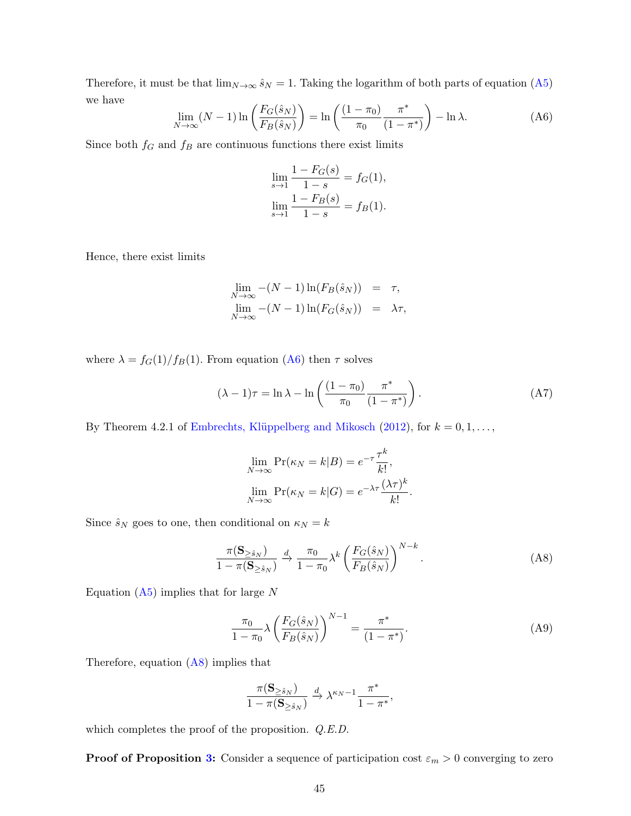Therefore, it must be that  $\lim_{N\to\infty} \hat{s}_N = 1$ . Taking the logarithm of both parts of equation [\(A5\)](#page-44-0) we have

<span id="page-45-0"></span>
$$
\lim_{N \to \infty} (N - 1) \ln \left( \frac{F_G(\hat{s}_N)}{F_B(\hat{s}_N)} \right) = \ln \left( \frac{(1 - \pi_0)}{\pi_0} \frac{\pi^*}{(1 - \pi^*)} \right) - \ln \lambda. \tag{A6}
$$

Since both  $f_G$  and  $f_B$  are continuous functions there exist limits

$$
\lim_{s \to 1} \frac{1 - F_G(s)}{1 - s} = f_G(1),
$$
  

$$
\lim_{s \to 1} \frac{1 - F_B(s)}{1 - s} = f_B(1).
$$

Hence, there exist limits

$$
\lim_{N \to \infty} -(N-1) \ln(F_B(\hat{s}_N)) = \tau,
$$
  

$$
\lim_{N \to \infty} -(N-1) \ln(F_G(\hat{s}_N)) = \lambda \tau,
$$

where  $\lambda = f_G(1)/f_B(1)$ . From equation [\(A6\)](#page-45-0) then  $\tau$  solves

$$
(\lambda - 1)\tau = \ln \lambda - \ln \left( \frac{(1 - \pi_0)}{\pi_0} \frac{\pi^*}{(1 - \pi^*)} \right). \tag{A7}
$$

By Theorem 4.2.1 of Embrechts, Klüppelberg and Mikosch [\(2012\)](#page-38-8), for  $k = 0, 1, \ldots$ ,

$$
\lim_{N \to \infty} \Pr(\kappa_N = k|B) = e^{-\tau} \frac{\tau^k}{k!},
$$

$$
\lim_{N \to \infty} \Pr(\kappa_N = k|G) = e^{-\lambda \tau} \frac{(\lambda \tau)^k}{k!}
$$

Since  $\hat{s}_N$  goes to one, then conditional on  $\kappa_N = k$ 

$$
\frac{\pi(\mathbf{S}_{\geq \hat{s}_N})}{1 - \pi(\mathbf{S}_{\geq \hat{s}_N})} \xrightarrow{d} \frac{\pi_0}{1 - \pi_0} \lambda^k \left(\frac{F_G(\hat{s}_N)}{F_B(\hat{s}_N)}\right)^{N-k}.
$$
\n(A8)

<span id="page-45-1"></span>.

Equation  $(A5)$  implies that for large N

$$
\frac{\pi_0}{1 - \pi_0} \lambda \left( \frac{F_G(\hat{s}_N)}{F_B(\hat{s}_N)} \right)^{N-1} = \frac{\pi^*}{(1 - \pi^*)}.
$$
\n(A9)

Therefore, equation [\(A8\)](#page-45-1) implies that

$$
\frac{\pi(\mathbf{S}_{\geq \hat{s}_N})}{1 - \pi(\mathbf{S}_{\geq \hat{s}_N})} \xrightarrow{d} \lambda^{\kappa_N - 1} \frac{\pi^*}{1 - \pi^*},
$$

which completes the proof of the proposition.  $Q.E.D.$ 

**Proof of Proposition [3:](#page-18-3)** Consider a sequence of participation cost  $\varepsilon_m > 0$  converging to zero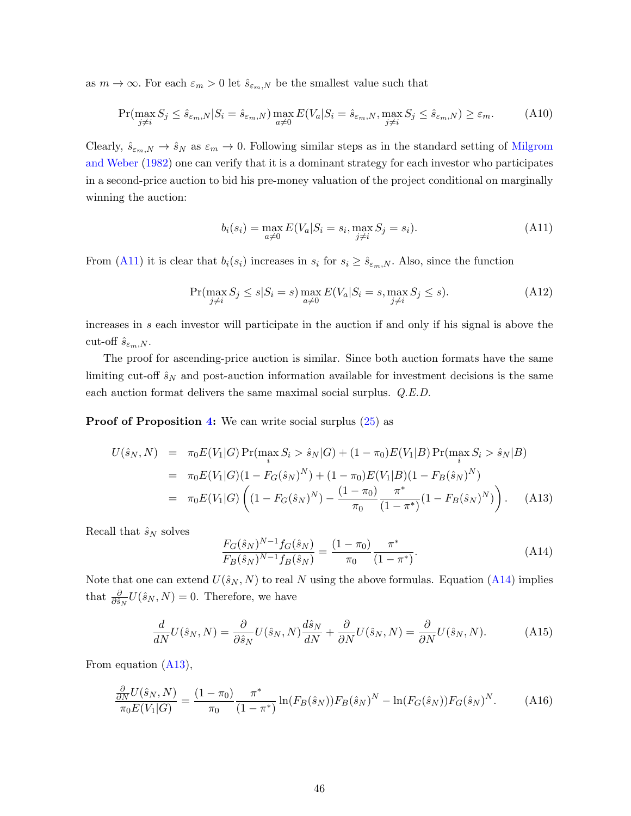as  $m \to \infty$ . For each  $\varepsilon_m > 0$  let  $\hat{s}_{\varepsilon_m,N}$  be the smallest value such that

$$
\Pr(\max_{j \neq i} S_j \le \hat{s}_{\varepsilon_m, N} | S_i = \hat{s}_{\varepsilon_m, N}) \max_{a \neq 0} E(V_a | S_i = \hat{s}_{\varepsilon_m, N}, \max_{j \neq i} S_j \le \hat{s}_{\varepsilon_m, N}) \ge \varepsilon_m. \tag{A10}
$$

Clearly,  $\hat{s}_{\varepsilon_m,N} \to \hat{s}_N$  as  $\varepsilon_m \to 0$ . Following similar steps as in the standard setting of [Milgrom](#page-39-1) [and Weber](#page-39-1) [\(1982\)](#page-39-1) one can verify that it is a dominant strategy for each investor who participates in a second-price auction to bid his pre-money valuation of the project conditional on marginally winning the auction:

<span id="page-46-0"></span>
$$
b_i(s_i) = \max_{a \neq 0} E(V_a | S_i = s_i, \max_{j \neq i} S_j = s_i).
$$
 (A11)

From [\(A11\)](#page-46-0) it is clear that  $b_i(s_i)$  increases in  $s_i$  for  $s_i \geq \hat{s}_{\varepsilon_m,N}$ . Also, since the function

$$
\Pr(\max_{j \neq i} S_j \le s | S_i = s) \max_{a \neq 0} E(V_a | S_i = s, \max_{j \neq i} S_j \le s). \tag{A12}
$$

increases in s each investor will participate in the auction if and only if his signal is above the cut-off  $\hat{s}_{\varepsilon_m,N}$ .

The proof for ascending-price auction is similar. Since both auction formats have the same limiting cut-off  $\hat{s}_N$  and post-auction information available for investment decisions is the same each auction format delivers the same maximal social surplus. Q.E.D.

Proof of Proposition [4:](#page-20-0) We can write social surplus [\(25\)](#page-19-0) as

<span id="page-46-2"></span>
$$
U(\hat{s}_N, N) = \pi_0 E(V_1|G) \Pr(\max_i S_i > \hat{s}_N|G) + (1 - \pi_0) E(V_1|B) \Pr(\max_i S_i > \hat{s}_N|B)
$$
  
=  $\pi_0 E(V_1|G) (1 - F_G(\hat{s}_N)^N) + (1 - \pi_0) E(V_1|B) (1 - F_B(\hat{s}_N)^N)$   
=  $\pi_0 E(V_1|G) \left( (1 - F_G(\hat{s}_N)^N) - \frac{(1 - \pi_0)}{\pi_0} \frac{\pi^*}{(1 - \pi^*)} (1 - F_B(\hat{s}_N)^N) \right).$  (A13)

Recall that  $\hat{s}_N$  solves

<span id="page-46-1"></span>
$$
\frac{F_G(\hat{s}_N)^{N-1} f_G(\hat{s}_N)}{F_B(\hat{s}_N)^{N-1} f_B(\hat{s}_N)} = \frac{(1-\pi_0)}{\pi_0} \frac{\pi^*}{(1-\pi^*)}.
$$
\n(A14)

Note that one can extend  $U(\hat{s}_N, N)$  to real N using the above formulas. Equation [\(A14\)](#page-46-1) implies that  $\frac{\partial}{\partial \hat{s}_N} U(\hat{s}_N, N) = 0$ . Therefore, we have

$$
\frac{d}{dN}U(\hat{s}_N, N) = \frac{\partial}{\partial \hat{s}_N}U(\hat{s}_N, N)\frac{d\hat{s}_N}{dN} + \frac{\partial}{\partial N}U(\hat{s}_N, N) = \frac{\partial}{\partial N}U(\hat{s}_N, N). \tag{A15}
$$

From equation [\(A13\)](#page-46-2),

<span id="page-46-3"></span>
$$
\frac{\frac{\partial}{\partial N}U(\hat{s}_N, N)}{\pi_0 E(V_1|G)} = \frac{(1 - \pi_0)}{\pi_0} \frac{\pi^*}{(1 - \pi^*)} \ln(F_B(\hat{s}_N)) F_B(\hat{s}_N)^N - \ln(F_G(\hat{s}_N)) F_G(\hat{s}_N)^N.
$$
 (A16)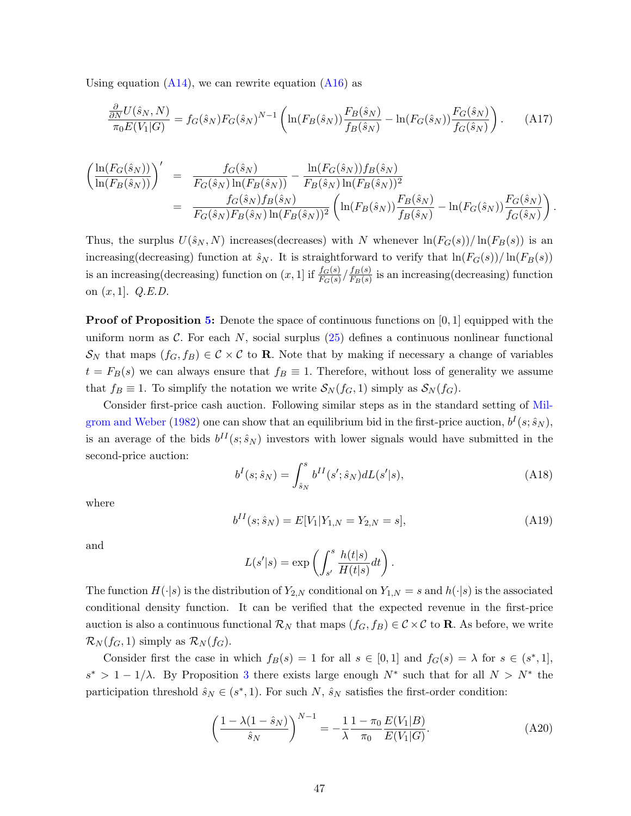Using equation  $(A14)$ , we can rewrite equation  $(A16)$  as

$$
\frac{\partial}{\partial N} U(\hat{s}_N, N) = f_G(\hat{s}_N) F_G(\hat{s}_N)^{N-1} \left( \ln(F_B(\hat{s}_N)) \frac{F_B(\hat{s}_N)}{f_B(\hat{s}_N)} - \ln(F_G(\hat{s}_N)) \frac{F_G(\hat{s}_N)}{f_G(\hat{s}_N)} \right). \tag{A17}
$$

$$
\begin{split}\n&\left(\frac{\ln(F_G(\hat{s}_N))}{\ln(F_B(\hat{s}_N))}\right)' = \frac{f_G(\hat{s}_N)}{F_G(\hat{s}_N)\ln(F_B(\hat{s}_N))} - \frac{\ln(F_G(\hat{s}_N))f_B(\hat{s}_N)}{F_B(\hat{s}_N)\ln(F_B(\hat{s}_N))^2} \\
&= \frac{f_G(\hat{s}_N)f_B(\hat{s}_N)}{F_G(\hat{s}_N)F_B(\hat{s}_N)\ln(F_B(\hat{s}_N))^2} \left(\ln(F_B(\hat{s}_N))\frac{F_B(\hat{s}_N)}{f_B(\hat{s}_N)} - \ln(F_G(\hat{s}_N))\frac{F_G(\hat{s}_N)}{f_G(\hat{s}_N)}\right).\n\end{split}
$$

Thus, the surplus  $U(\hat{s}_N, N)$  increases (decreases) with N whenever  $\ln(F_G(s))/\ln(F_B(s))$  is an increasing(decreasing) function at  $\hat{s}_N$ . It is straightforward to verify that  $\ln(F_G(s))/\ln(F_B(s))$ is an increasing (decreasing) function on  $(x, 1]$  if  $\frac{f_G(s)}{F_G(s)}/\frac{f_B(s)}{F_B(s)}$  $\frac{IB(8)}{F_B(s)}$  is an increasing(decreasing) function on  $(x, 1]$ . Q.E.D.

**Proof of Proposition [5:](#page-21-0)** Denote the space of continuous functions on  $[0, 1]$  equipped with the uniform norm as C. For each N, social surplus  $(25)$  defines a continuous nonlinear functional  $\mathcal{S}_N$  that maps  $(f_G, f_B) \in \mathcal{C} \times \mathcal{C}$  to **R**. Note that by making if necessary a change of variables  $t = F_B(s)$  we can always ensure that  $f_B \equiv 1$ . Therefore, without loss of generality we assume that  $f_B \equiv 1$ . To simplify the notation we write  $S_N(f_G, 1)$  simply as  $S_N(f_G)$ .

Consider first-price cash auction. Following similar steps as in the standard setting of [Mil](#page-39-1)[grom and Weber](#page-39-1) [\(1982\)](#page-39-1) one can show that an equilibrium bid in the first-price auction,  $b^I(s; \hat{s}_N)$ , is an average of the bids  $b^{II}(s; \hat{s}_N)$  investors with lower signals would have submitted in the second-price auction:

$$
b^{I}(s; \hat{s}_{N}) = \int_{\hat{s}_{N}}^{s} b^{II}(s'; \hat{s}_{N}) dL(s'|s), \qquad (A18)
$$

where

$$
b^{II}(s; \hat{s}_N) = E[V_1|Y_{1,N} = Y_{2,N} = s], \tag{A19}
$$

and

$$
L(s'|s) = \exp\left(\int_{s'}^{s} \frac{h(t|s)}{H(t|s)} dt\right).
$$

The function  $H(\cdot|s)$  is the distribution of  $Y_{2,N}$  conditional on  $Y_{1,N} = s$  and  $h(\cdot|s)$  is the associated conditional density function. It can be verified that the expected revenue in the first-price auction is also a continuous functional  $\mathcal{R}_N$  that maps  $(f_G, f_B) \in \mathcal{C} \times \mathcal{C}$  to **R**. As before, we write  $\mathcal{R}_N(f_G, 1)$  simply as  $\mathcal{R}_N(f_G)$ .

Consider first the case in which  $f_B(s) = 1$  for all  $s \in [0,1]$  and  $f_G(s) = \lambda$  for  $s \in (s^*,1]$ ,  $s^* > 1 - 1/\lambda$ . By Proposition [3](#page-18-3) there exists large enough  $N^*$  such that for all  $N > N^*$  the participation threshold  $\hat{s}_N \in (s^*, 1)$ . For such N,  $\hat{s}_N$  satisfies the first-order condition:

<span id="page-47-0"></span>
$$
\left(\frac{1-\lambda(1-\hat{s}_N)}{\hat{s}_N}\right)^{N-1} = -\frac{1}{\lambda} \frac{1-\pi_0}{\pi_0} \frac{E(V_1|B)}{E(V_1|G)}.
$$
\n(A20)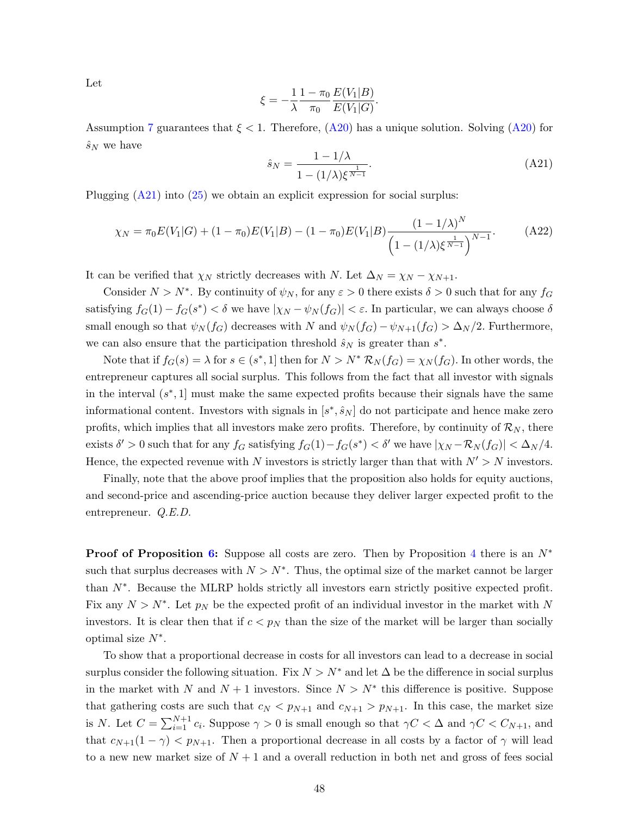Let

$$
\xi = -\frac{1}{\lambda} \frac{1 - \pi_0}{\pi_0} \frac{E(V_1|B)}{E(V_1|G)}.
$$

Assumption [7](#page-14-0) guarantees that  $\xi < 1$ . Therefore,  $(A20)$  has a unique solution. Solving  $(A20)$  for  $\hat{s}_N$  we have

<span id="page-48-0"></span>
$$
\hat{s}_N = \frac{1 - 1/\lambda}{1 - (1/\lambda)\xi^{\frac{1}{N-1}}}.\tag{A21}
$$

Plugging [\(A21\)](#page-48-0) into [\(25\)](#page-19-0) we obtain an explicit expression for social surplus:

$$
\chi_N = \pi_0 E(V_1|G) + (1 - \pi_0)E(V_1|B) - (1 - \pi_0)E(V_1|B)\frac{(1 - 1/\lambda)^N}{\left(1 - (1/\lambda)\xi^{\frac{1}{N-1}}\right)^{N-1}}.
$$
 (A22)

It can be verified that  $\chi_N$  strictly decreases with N. Let  $\Delta_N = \chi_N - \chi_{N+1}$ .

Consider  $N > N^*$ . By continuity of  $\psi_N$ , for any  $\varepsilon > 0$  there exists  $\delta > 0$  such that for any  $f_G$ satisfying  $f_G(1) - f_G(s^*) < \delta$  we have  $|\chi_N - \psi_N(f_G)| < \varepsilon$ . In particular, we can always choose  $\delta$ small enough so that  $\psi_N(f_G)$  decreases with N and  $\psi_N(f_G) - \psi_{N+1}(f_G) > \Delta_N/2$ . Furthermore, we can also ensure that the participation threshold  $\hat{s}_N$  is greater than  $s^*$ .

Note that if  $f_G(s) = \lambda$  for  $s \in (s^*, 1]$  then for  $N > N^*$   $\mathcal{R}_N(f_G) = \chi_N(f_G)$ . In other words, the entrepreneur captures all social surplus. This follows from the fact that all investor with signals in the interval  $(s^*, 1]$  must make the same expected profits because their signals have the same informational content. Investors with signals in  $[s^*, \hat{s}_N]$  do not participate and hence make zero profits, which implies that all investors make zero profits. Therefore, by continuity of  $\mathcal{R}_N$ , there exists  $\delta' > 0$  such that for any  $f_G$  satisfying  $f_G(1) - f_G(s^*) < \delta'$  we have  $|\chi_N - \mathcal{R}_N(f_G)| < \Delta_N/4$ . Hence, the expected revenue with N investors is strictly larger than that with  $N' > N$  investors.

Finally, note that the above proof implies that the proposition also holds for equity auctions, and second-price and ascending-price auction because they deliver larger expected profit to the entrepreneur. Q.E.D.

**Proof of Proposition [6:](#page-23-0)** Suppose all costs are zero. Then by Proposition [4](#page-20-0) there is an  $N^*$ such that surplus decreases with  $N > N^*$ . Thus, the optimal size of the market cannot be larger than N<sup>∗</sup> . Because the MLRP holds strictly all investors earn strictly positive expected profit. Fix any  $N > N^*$ . Let  $p_N$  be the expected profit of an individual investor in the market with N investors. It is clear then that if  $c < p<sub>N</sub>$  than the size of the market will be larger than socially optimal size  $N^*$ .

To show that a proportional decrease in costs for all investors can lead to a decrease in social surplus consider the following situation. Fix  $N > N^*$  and let  $\Delta$  be the difference in social surplus in the market with N and  $N + 1$  investors. Since  $N > N^*$  this difference is positive. Suppose that gathering costs are such that  $c_N < p_{N+1}$  and  $c_{N+1} > p_{N+1}$ . In this case, the market size is N. Let  $C = \sum_{i=1}^{N+1} c_i$ . Suppose  $\gamma > 0$  is small enough so that  $\gamma C < \Delta$  and  $\gamma C < C_{N+1}$ , and that  $c_{N+1}(1 - \gamma) < p_{N+1}$ . Then a proportional decrease in all costs by a factor of  $\gamma$  will lead to a new new market size of  $N+1$  and a overall reduction in both net and gross of fees social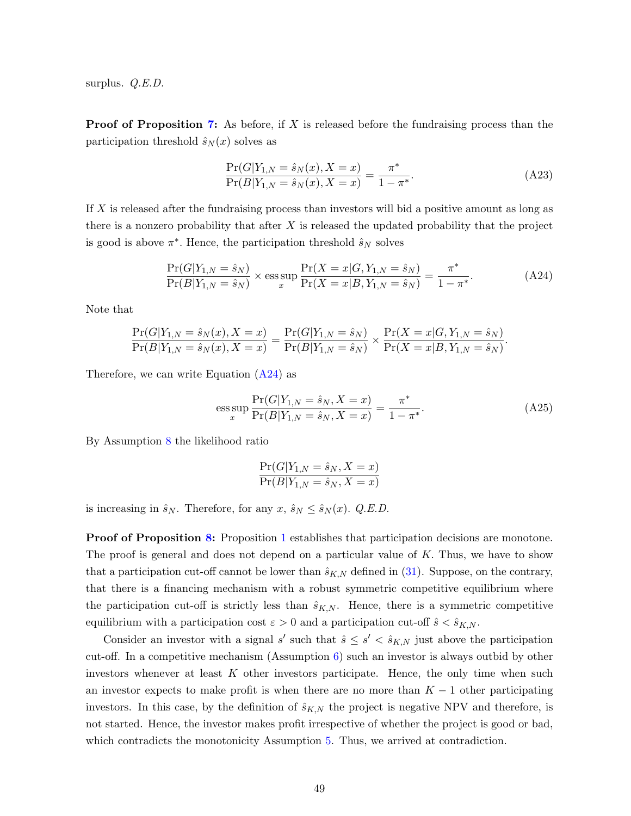surplus. *Q.E.D.* 

**Proof of Proposition [7:](#page-25-0)** As before, if X is released before the fundraising process than the participation threshold  $\hat{s}_N(x)$  solves as

$$
\frac{\Pr(G|Y_{1,N} = \hat{s}_N(x), X = x)}{\Pr(B|Y_{1,N} = \hat{s}_N(x), X = x)} = \frac{\pi^*}{1 - \pi^*}.
$$
\n(A23)

If X is released after the fundraising process than investors will bid a positive amount as long as there is a nonzero probability that after  $X$  is released the updated probability that the project is good is above  $\pi^*$ . Hence, the participation threshold  $\hat{s}_N$  solves

<span id="page-49-0"></span>
$$
\frac{\Pr(G|Y_{1,N}=\hat{s}_{N})}{\Pr(B|Y_{1,N}=\hat{s}_{N})} \times \underset{x}{\text{ess sup}} \frac{\Pr(X=x|G, Y_{1,N}=\hat{s}_{N})}{\Pr(X=x|B, Y_{1,N}=\hat{s}_{N})} = \frac{\pi^{*}}{1-\pi^{*}}.
$$
\n(A24)

Note that

$$
\frac{\Pr(G|Y_{1,N}=\hat{s}_N(x), X=x)}{\Pr(B|Y_{1,N}=\hat{s}_N(x), X=x)} = \frac{\Pr(G|Y_{1,N}=\hat{s}_N)}{\Pr(B|Y_{1,N}=\hat{s}_N)} \times \frac{\Pr(X=x|G, Y_{1,N}=\hat{s}_N)}{\Pr(X=x|B, Y_{1,N}=\hat{s}_N)}.
$$

Therefore, we can write Equation  $(A24)$  as

$$
\underset{x}{\text{ess sup}} \frac{\Pr(G|Y_{1,N} = \hat{s}_N, X = x)}{\Pr(B|Y_{1,N} = \hat{s}_N, X = x)} = \frac{\pi^*}{1 - \pi^*}.\tag{A25}
$$

By Assumption [8](#page-24-2) the likelihood ratio

$$
\frac{\Pr(G|Y_{1,N}=\hat{s}_N, X=x)}{\Pr(B|Y_{1,N}=\hat{s}_N, X=x)}
$$

is increasing in  $\hat{s}_N$ . Therefore, for any  $x, \hat{s}_N \leq \hat{s}_N(x)$ . Q.E.D.

**Proof of Proposition [8:](#page-26-0)** Proposition [1](#page-13-0) establishes that participation decisions are monotone. The proof is general and does not depend on a particular value of K. Thus, we have to show that a participation cut-off cannot be lower than  $\hat{s}_{K,N}$  defined in [\(31\)](#page-27-0). Suppose, on the contrary, that there is a financing mechanism with a robust symmetric competitive equilibrium where the participation cut-off is strictly less than  $\hat{s}_{K,N}$ . Hence, there is a symmetric competitive equilibrium with a participation cost  $\varepsilon > 0$  and a participation cut-off  $\hat{s} < \hat{s}_{K,N}$ .

Consider an investor with a signal s' such that  $\hat{s} \leq s' < \hat{s}_{K,N}$  just above the participation cut-off. In a competitive mechanism (Assumption [6\)](#page-11-1) such an investor is always outbid by other investors whenever at least  $K$  other investors participate. Hence, the only time when such an investor expects to make profit is when there are no more than  $K - 1$  other participating investors. In this case, by the definition of  $\hat{s}_{K,N}$  the project is negative NPV and therefore, is not started. Hence, the investor makes profit irrespective of whether the project is good or bad, which contradicts the monotonicity Assumption [5.](#page-10-2) Thus, we arrived at contradiction.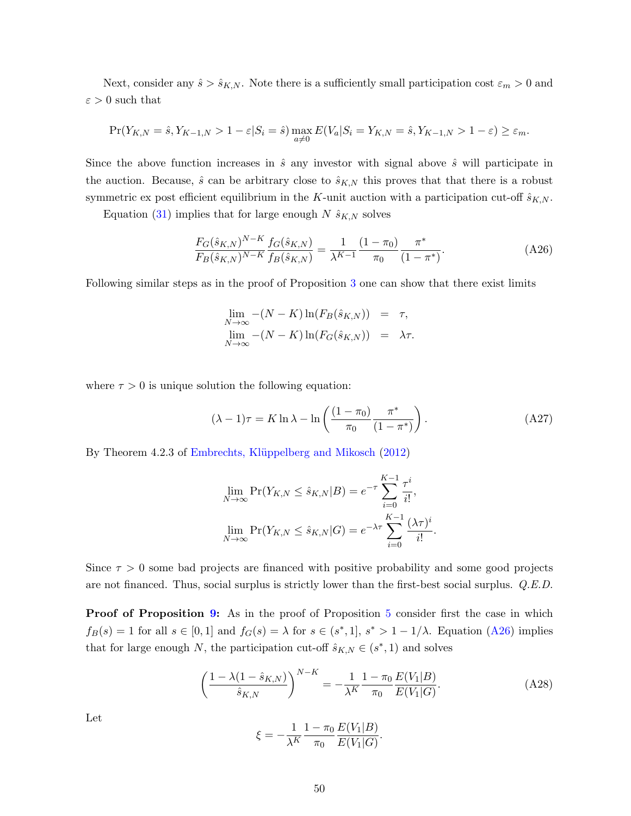Next, consider any  $\hat{s} > \hat{s}_{K,N}$ . Note there is a sufficiently small participation cost  $\varepsilon_m > 0$  and  $\varepsilon > 0$  such that

$$
\Pr(Y_{K,N}=\hat{s}, Y_{K-1,N} > 1-\varepsilon|S_i=\hat{s}) \max_{a \neq 0} E(V_a|S_i=Y_{K,N}=\hat{s}, Y_{K-1,N} > 1-\varepsilon) \geq \varepsilon_m.
$$

Since the above function increases in  $\hat{s}$  any investor with signal above  $\hat{s}$  will participate in the auction. Because,  $\hat{s}$  can be arbitrary close to  $\hat{s}_{K,N}$  this proves that that there is a robust symmetric ex post efficient equilibrium in the K-unit auction with a participation cut-off  $\hat{s}_{K,N}$ .

Equation [\(31\)](#page-27-0) implies that for large enough  $N \hat{s}_{K,N}$  solves

<span id="page-50-0"></span>
$$
\frac{F_G(\hat{s}_{K,N})^{N-K}}{F_B(\hat{s}_{K,N})^{N-K}} \frac{f_G(\hat{s}_{K,N})}{f_B(\hat{s}_{K,N})} = \frac{1}{\lambda^{K-1}} \frac{(1-\pi_0)}{\pi_0} \frac{\pi^*}{(1-\pi^*)}.
$$
\n(A26)

Following similar steps as in the proof of Proposition [3](#page-18-3) one can show that there exist limits

$$
\lim_{N \to \infty} -(N - K) \ln(F_B(\hat{s}_{K,N})) = \tau,
$$
  
\n
$$
\lim_{N \to \infty} -(N - K) \ln(F_G(\hat{s}_{K,N})) = \lambda \tau.
$$

where  $\tau > 0$  is unique solution the following equation:

$$
(\lambda - 1)\tau = K \ln \lambda - \ln \left( \frac{(1 - \pi_0)}{\pi_0} \frac{\pi^*}{(1 - \pi^*)} \right). \tag{A27}
$$

By Theorem 4.2.3 of Embrechts, Klüppelberg and Mikosch [\(2012\)](#page-38-8)

$$
\lim_{N \to \infty} \Pr(Y_{K,N} \le \hat{s}_{K,N}|B) = e^{-\tau} \sum_{i=0}^{K-1} \frac{\tau^i}{i!},
$$
  

$$
\lim_{N \to \infty} \Pr(Y_{K,N} \le \hat{s}_{K,N}|G) = e^{-\lambda \tau} \sum_{i=0}^{K-1} \frac{(\lambda \tau)^i}{i!}.
$$

Since  $\tau > 0$  some bad projects are financed with positive probability and some good projects are not financed. Thus, social surplus is strictly lower than the first-best social surplus. Q.E.D.

**Proof of Proposition [9:](#page-27-1)** As in the proof of Proposition [5](#page-21-0) consider first the case in which  $f_B(s) = 1$  for all  $s \in [0,1]$  and  $f_G(s) = \lambda$  for  $s \in (s^*,1]$ ,  $s^* > 1 - 1/\lambda$ . Equation [\(A26\)](#page-50-0) implies that for large enough N, the participation cut-off  $\hat{s}_{K,N} \in (s^*, 1)$  and solves

<span id="page-50-1"></span>
$$
\left(\frac{1-\lambda(1-\hat{s}_{K,N})}{\hat{s}_{K,N}}\right)^{N-K} = -\frac{1}{\lambda^K} \frac{1-\pi_0}{\pi_0} \frac{E(V_1|B)}{E(V_1|G)}.
$$
\n(A28)

Let

$$
\xi = -\frac{1}{\lambda^K} \frac{1 - \pi_0}{\pi_0} \frac{E(V_1|B)}{E(V_1|G)}.
$$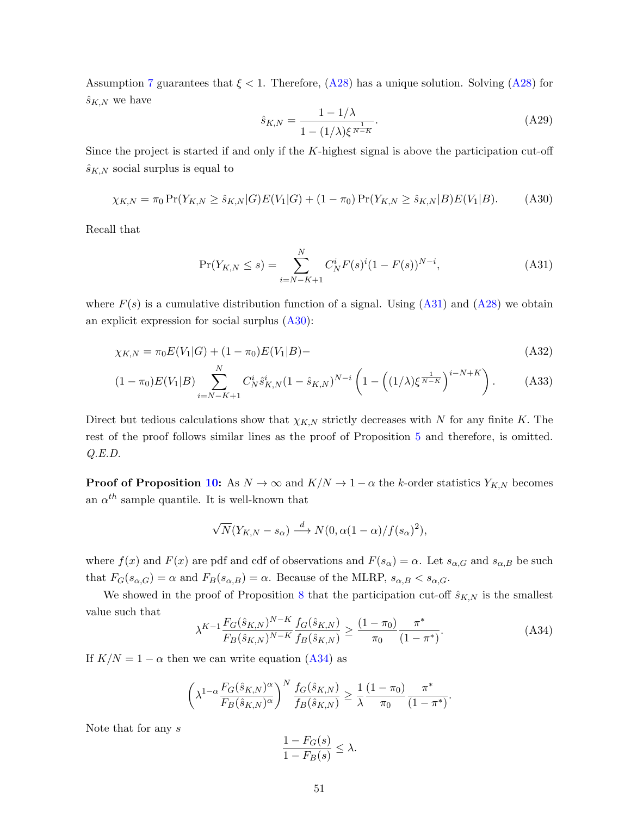Assumption [7](#page-14-0) guarantees that  $\xi < 1$ . Therefore,  $(A28)$  has a unique solution. Solving  $(A28)$  for  $\hat{s}_{K,N}$  we have

<span id="page-51-1"></span><span id="page-51-0"></span>
$$
\hat{s}_{K,N} = \frac{1 - 1/\lambda}{1 - (1/\lambda)\xi^{\frac{1}{N-K}}}.\tag{A29}
$$

Since the project is started if and only if the  $K$ -highest signal is above the participation cut-off  $\hat{s}_{K,N}$  social surplus is equal to

$$
\chi_{K,N} = \pi_0 \Pr(Y_{K,N} \ge \hat{s}_{K,N} | G) E(V_1 | G) + (1 - \pi_0) \Pr(Y_{K,N} \ge \hat{s}_{K,N} | B) E(V_1 | B). \tag{A30}
$$

Recall that

$$
\Pr(Y_{K,N} \le s) = \sum_{i=N-K+1}^{N} C_N^i F(s)^i (1 - F(s))^{N-i}, \tag{A31}
$$

where  $F(s)$  is a cumulative distribution function of a signal. Using  $(A31)$  and  $(A28)$  we obtain an explicit expression for social surplus  $(A30)$ :

$$
\chi_{K,N} = \pi_0 E(V_1|G) + (1 - \pi_0)E(V_1|B) -
$$
\n(A32)

$$
(1 - \pi_0) E(V_1|B) \sum_{i=N-K+1}^{N} C_N^i \hat{s}_{K,N}^i (1 - \hat{s}_{K,N})^{N-i} \left( 1 - \left( (1/\lambda) \xi^{\frac{1}{N-K}} \right)^{i-N+K} \right). \tag{A33}
$$

Direct but tedious calculations show that  $\chi_{K,N}$  strictly decreases with N for any finite K. The rest of the proof follows similar lines as the proof of Proposition [5](#page-21-0) and therefore, is omitted. Q.E.D.

**Proof of Proposition [10:](#page-27-2)** As  $N \to \infty$  and  $K/N \to 1-\alpha$  the k-order statistics  $Y_{K,N}$  becomes an  $\alpha^{th}$  sample quantile. It is well-known that

$$
\sqrt{N}(Y_{K,N} - s_{\alpha}) \stackrel{d}{\longrightarrow} N(0, \alpha(1-\alpha)/f(s_{\alpha})^2),
$$

where  $f(x)$  and  $F(x)$  are pdf and cdf of observations and  $F(s_\alpha) = \alpha$ . Let  $s_{\alpha,G}$  and  $s_{\alpha,B}$  be such that  $F_G(s_{\alpha,G}) = \alpha$  and  $F_B(s_{\alpha,B}) = \alpha$ . Because of the MLRP,  $s_{\alpha,B} < s_{\alpha,G}$ .

We showed in the proof of Proposition [8](#page-26-0) that the participation cut-off  $\hat{s}_{K,N}$  is the smallest value such that

<span id="page-51-2"></span>
$$
\lambda^{K-1} \frac{F_G(\hat{s}_{K,N})^{N-K}}{F_B(\hat{s}_{K,N})^{N-K}} \frac{f_G(\hat{s}_{K,N})}{f_B(\hat{s}_{K,N})} \ge \frac{(1-\pi_0)}{\pi_0} \frac{\pi^*}{(1-\pi^*)}.
$$
\n(A34)

If  $K/N = 1 - \alpha$  then we can write equation [\(A34\)](#page-51-2) as

$$
\left(\lambda^{1-\alpha} \frac{F_G(\hat{s}_{K,N})^{\alpha}}{F_B(\hat{s}_{K,N})^{\alpha}}\right)^N \frac{f_G(\hat{s}_{K,N})}{f_B(\hat{s}_{K,N})} \ge \frac{1}{\lambda} \frac{(1-\pi_0)}{\pi_0} \frac{\pi^*}{(1-\pi^*)}.
$$

Note that for any s

$$
\frac{1 - F_G(s)}{1 - F_B(s)} \le \lambda.
$$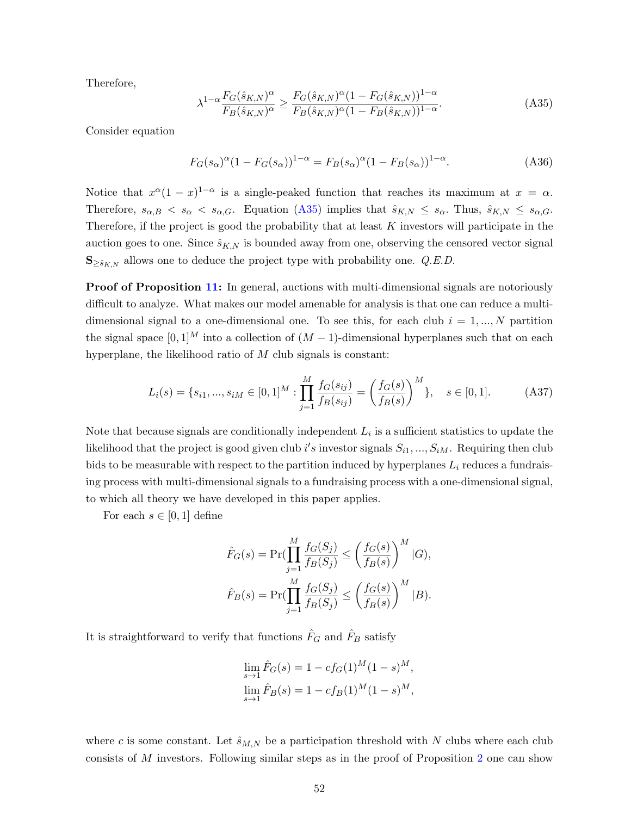Therefore,

<span id="page-52-0"></span>
$$
\lambda^{1-\alpha} \frac{F_G(\hat{s}_{K,N})^{\alpha}}{F_B(\hat{s}_{K,N})^{\alpha}} \ge \frac{F_G(\hat{s}_{K,N})^{\alpha} (1 - F_G(\hat{s}_{K,N}))^{1-\alpha}}{F_B(\hat{s}_{K,N})^{\alpha} (1 - F_B(\hat{s}_{K,N}))^{1-\alpha}}.
$$
\n(A35)

Consider equation

$$
F_G(s_\alpha)^\alpha (1 - F_G(s_\alpha))^{1-\alpha} = F_B(s_\alpha)^\alpha (1 - F_B(s_\alpha))^{1-\alpha}.
$$
 (A36)

Notice that  $x^{\alpha}(1-x)^{1-\alpha}$  is a single-peaked function that reaches its maximum at  $x = \alpha$ . Therefore,  $s_{\alpha,B} < s_{\alpha} < s_{\alpha,G}$ . Equation [\(A35\)](#page-52-0) implies that  $\hat{s}_{K,N} \leq s_{\alpha}$ . Thus,  $\hat{s}_{K,N} \leq s_{\alpha,G}$ . Therefore, if the project is good the probability that at least  $K$  investors will participate in the auction goes to one. Since  $\hat{s}_{K,N}$  is bounded away from one, observing the censored vector signal  $\mathbf{S}_{\geq \hat{s}_{K,N}}$  allows one to deduce the project type with probability one. Q.E.D.

**Proof of Proposition [11:](#page-28-1)** In general, auctions with multi-dimensional signals are notoriously difficult to analyze. What makes our model amenable for analysis is that one can reduce a multidimensional signal to a one-dimensional one. To see this, for each club  $i = 1, ..., N$  partition the signal space  $[0, 1]^M$  into a collection of  $(M - 1)$ -dimensional hyperplanes such that on each hyperplane, the likelihood ratio of M club signals is constant:

$$
L_i(s) = \{s_{i1}, ..., s_{iM} \in [0, 1]^M : \prod_{j=1}^M \frac{f_G(s_{ij})}{f_B(s_{ij})} = \left(\frac{f_G(s)}{f_B(s)}\right)^M\}, \quad s \in [0, 1].
$$
 (A37)

Note that because signals are conditionally independent  $L_i$  is a sufficient statistics to update the likelihood that the project is good given club i's investor signals  $S_{i1},...,S_{iM}$ . Requiring then club bids to be measurable with respect to the partition induced by hyperplanes  $L_i$  reduces a fundraising process with multi-dimensional signals to a fundraising process with a one-dimensional signal, to which all theory we have developed in this paper applies.

For each  $s \in [0,1]$  define

$$
\hat{F}_G(s) = \Pr(\prod_{j=1}^M \frac{f_G(S_j)}{f_B(S_j)} \le \left(\frac{f_G(s)}{f_B(s)}\right)^M | G),
$$
  

$$
\hat{F}_B(s) = \Pr(\prod_{j=1}^M \frac{f_G(S_j)}{f_B(S_j)} \le \left(\frac{f_G(s)}{f_B(s)}\right)^M | B).
$$

It is straightforward to verify that functions  $\hat{F}_G$  and  $\hat{F}_B$  satisfy

$$
\lim_{s \to 1} \hat{F}_G(s) = 1 - cf_G(1)^M (1 - s)^M,
$$
  
\n
$$
\lim_{s \to 1} \hat{F}_B(s) = 1 - cf_B(1)^M (1 - s)^M,
$$

where c is some constant. Let  $\hat{s}_{M,N}$  be a participation threshold with N clubs where each club consists of M investors. Following similar steps as in the proof of Proposition [2](#page-15-0) one can show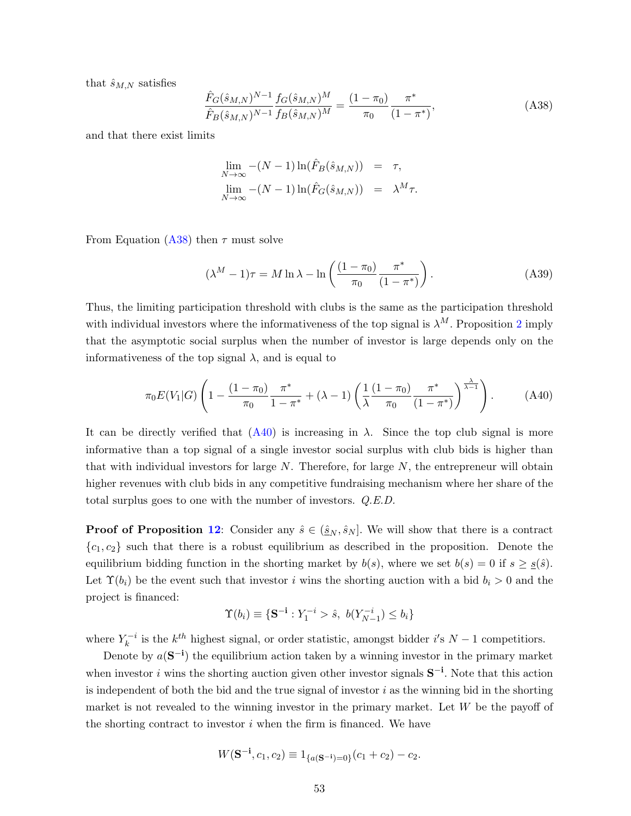that  $\hat{s}_{M,N}$  satisfies

<span id="page-53-0"></span>
$$
\frac{\hat{F}_G(\hat{s}_{M,N})^{N-1}}{\hat{F}_B(\hat{s}_{M,N})^{N-1}} \frac{f_G(\hat{s}_{M,N})^M}{f_B(\hat{s}_{M,N})^M} = \frac{(1-\pi_0)}{\pi_0} \frac{\pi^*}{(1-\pi^*)},
$$
\n(A38)

and that there exist limits

$$
\lim_{N \to \infty} -(N-1) \ln(\hat{F}_B(\hat{s}_{M,N})) = \tau,
$$
  
\n
$$
\lim_{N \to \infty} -(N-1) \ln(\hat{F}_G(\hat{s}_{M,N})) = \lambda^M \tau.
$$

From Equation [\(A38\)](#page-53-0) then  $\tau$  must solve

$$
(\lambda^M - 1)\tau = M \ln \lambda - \ln \left( \frac{(1 - \pi_0)}{\pi_0} \frac{\pi^*}{(1 - \pi^*)} \right). \tag{A39}
$$

Thus, the limiting participation threshold with clubs is the same as the participation threshold with individual investors where the informativeness of the top signal is  $\lambda^M$ . Proposition [2](#page-15-0) imply that the asymptotic social surplus when the number of investor is large depends only on the informativeness of the top signal  $\lambda$ , and is equal to

<span id="page-53-1"></span>
$$
\pi_0 E(V_1|G) \left( 1 - \frac{(1 - \pi_0)}{\pi_0} \frac{\pi^*}{1 - \pi^*} + (\lambda - 1) \left( \frac{1}{\lambda} \frac{(1 - \pi_0)}{\pi_0} \frac{\pi^*}{(1 - \pi^*)} \right)^{\frac{\lambda}{\lambda - 1}} \right). \tag{A40}
$$

It can be directly verified that  $(A40)$  is increasing in  $\lambda$ . Since the top club signal is more informative than a top signal of a single investor social surplus with club bids is higher than that with individual investors for large  $N$ . Therefore, for large  $N$ , the entrepreneur will obtain higher revenues with club bids in any competitive fundraising mechanism where her share of the total surplus goes to one with the number of investors. Q.E.D.

**Proof of Proposition [12](#page-30-0):** Consider any  $\hat{s} \in (\underline{\hat{s}}_N, \hat{s}_N]$ . We will show that there is a contract  ${c_1, c_2}$  such that there is a robust equilibrium as described in the proposition. Denote the equilibrium bidding function in the shorting market by  $b(s)$ , where we set  $b(s) = 0$  if  $s \geq s(\hat{s})$ . Let  $\Upsilon(b_i)$  be the event such that investor i wins the shorting auction with a bid  $b_i > 0$  and the project is financed:

$$
\Upsilon(b_i) \equiv \{ \mathbf{S}^{-\mathbf{i}} : Y_1^{-i} > \hat{s}, \ b(Y_{N-1}^{-i}) \le b_i \}
$$

where  $Y_k^{-i}$  $k_k^{-i}$  is the  $k^{th}$  highest signal, or order statistic, amongst bidder i's  $N-1$  competitiors.

Denote by  $a(S^{-1})$  the equilibrium action taken by a winning investor in the primary market when investor i wins the shorting auction given other investor signals  $S^{-i}$ . Note that this action is independent of both the bid and the true signal of investor  $i$  as the winning bid in the shorting market is not revealed to the winning investor in the primary market. Let  $W$  be the payoff of the shorting contract to investor  $i$  when the firm is financed. We have

$$
W(\mathbf{S}^{-\mathbf{i}}, c_1, c_2) \equiv 1_{\{a(\mathbf{S}^{-\mathbf{i}})=0\}}(c_1+c_2) - c_2.
$$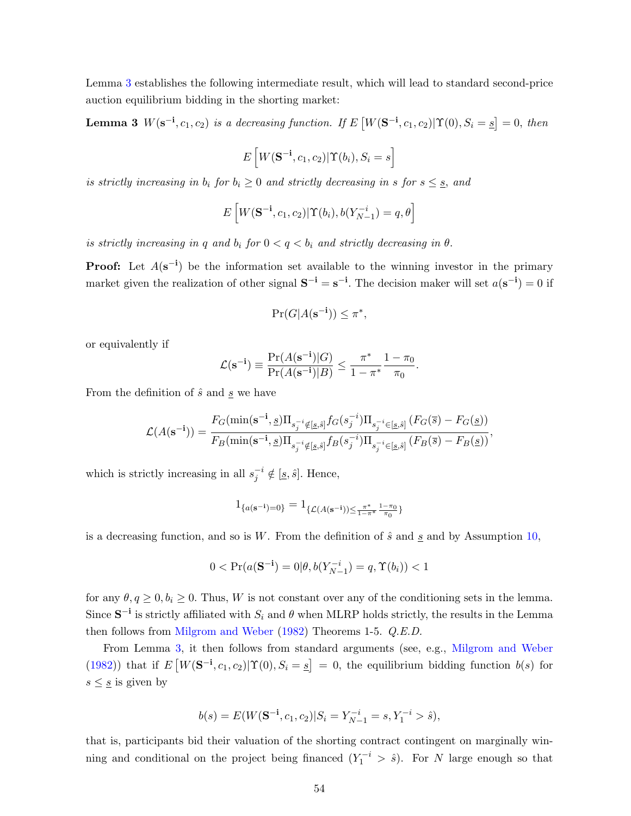Lemma [3](#page-54-0) establishes the following intermediate result, which will lead to standard second-price auction equilibrium bidding in the shorting market:

<span id="page-54-0"></span>**Lemma 3**  $W(\mathbf{s}^{-i}, c_1, c_2)$  is a decreasing function. If  $E[W(\mathbf{S}^{-i}, c_1, c_2)|\Upsilon(0), S_i = \underline{s}] = 0$ , then

$$
E\left[W(\mathbf{S}^{-\mathbf{i}},c_1,c_2)|\Upsilon(b_i),S_i=s\right]
$$

is strictly increasing in  $b_i$  for  $b_i \geq 0$  and strictly decreasing in s for  $s \leq s$ , and

$$
E\left[W(\mathbf{S}^{-\mathbf{i}},c_1,c_2)|\Upsilon(b_i),b(Y_{N-1}^{-i})=q,\theta\right]
$$

is strictly increasing in q and  $b_i$  for  $0 < q < b_i$  and strictly decreasing in  $\theta$ .

**Proof:** Let  $A(\mathbf{s}^{-1})$  be the information set available to the winning investor in the primary market given the realization of other signal  $S^{-i} = s^{-i}$ . The decision maker will set  $a(s^{-i}) = 0$  if

$$
\Pr(G|A(\mathbf{s}^{-\mathbf{i}})) \le \pi^*,
$$

or equivalently if

$$
\mathcal{L}(\mathbf{s}^{-\mathbf{i}}) \equiv \frac{\Pr(A(\mathbf{s}^{-\mathbf{i}})|G)}{\Pr(A(\mathbf{s}^{-\mathbf{i}})|B)} \le \frac{\pi^*}{1 - \pi^*} \frac{1 - \pi_0}{\pi_0}.
$$

From the definition of  $\hat{s}$  and  $\underline{s}$  we have

$$
\mathcal{L}(A(\mathbf{s}^{-i})) = \frac{F_G(\min(\mathbf{s}^{-i}, \underline{s})\Pi_{s_j^{-i}\notin[\underline{s}, \hat{s}]} f_G(s_j^{-i})\Pi_{s_j^{-i}\in[\underline{s}, \hat{s}]} (F_G(\overline{s}) - F_G(\underline{s}))}{F_B(\min(\mathbf{s}^{-i}, \underline{s})\Pi_{s_j^{-i}\notin[\underline{s}, \hat{s}]} f_B(s_j^{-i})\Pi_{s_j^{-i}\in[\underline{s}, \hat{s}]} (F_B(\overline{s}) - F_B(\underline{s}))},
$$

which is strictly increasing in all  $s_j^{-i} \notin [\underline{s}, \hat{s}]$ . Hence,

$$
1_{\{a(\mathbf{s}^{-\mathbf{i}})=0\}}=1_{\{\mathcal{L}(A(\mathbf{s}^{-\mathbf{i}}))\leq \frac{\pi^*}{1-\pi^*} \frac{1-\pi_0}{\pi_0}\}}
$$

is a decreasing function, and so is W. From the definition of  $\hat{s}$  and  $\underline{s}$  and by Assumption [10,](#page-30-1)

$$
0 < \Pr(a(\mathbf{S}^{-1}) = 0 | \theta, b(Y_{N-1}^{-i}) = q, \Upsilon(b_i)) < 1
$$

for any  $\theta, q \geq 0, b_i \geq 0$ . Thus, W is not constant over any of the conditioning sets in the lemma. Since  $S^{-i}$  is strictly affiliated with  $S_i$  and  $\theta$  when MLRP holds strictly, the results in the Lemma then follows from [Milgrom and Weber](#page-39-1) [\(1982\)](#page-39-1) Theorems 1-5. Q.E.D.

From Lemma [3,](#page-54-0) it then follows from standard arguments (see, e.g., [Milgrom and Weber](#page-39-1) [\(1982\)](#page-39-1)) that if  $E[W(\mathbf{S}^{-1}, c_1, c_2)|\Upsilon(0), S_i = s] = 0$ , the equilibrium bidding function  $b(s)$  for  $s\leq\underline{s}$  is given by

$$
b(s) = E(W(\mathbf{S}^{-1}, c_1, c_2)|S_i = Y_{N-1}^{-i} = s, Y_1^{-i} > \hat{s}),
$$

that is, participants bid their valuation of the shorting contract contingent on marginally winning and conditional on the project being financed  $(Y_1^{-i} > \hat{s})$ . For N large enough so that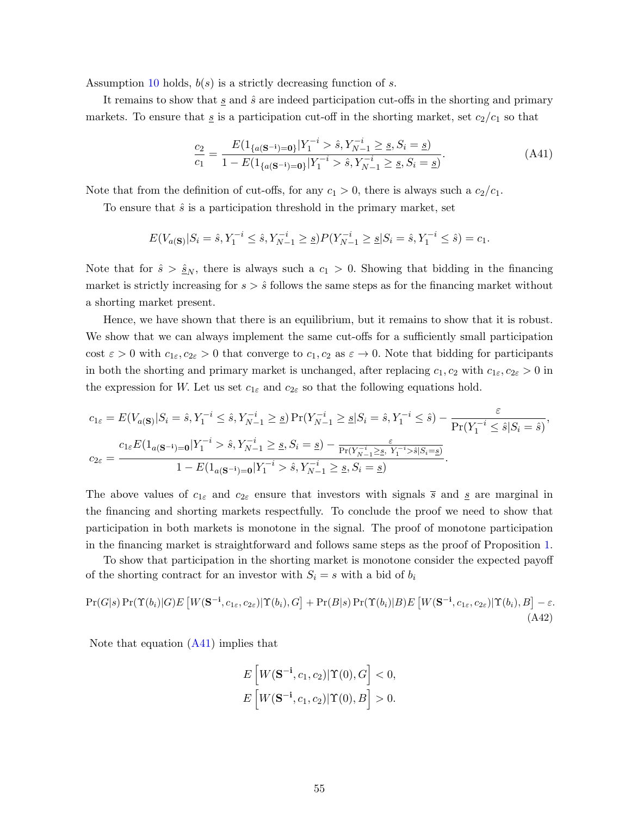Assumption [10](#page-30-1) holds,  $b(s)$  is a strictly decreasing function of s.

It remains to show that  $\underline{s}$  and  $\hat{s}$  are indeed participation cut-offs in the shorting and primary markets. To ensure that  $\underline{s}$  is a participation cut-off in the shorting market, set  $c_2/c_1$  so that

<span id="page-55-0"></span>
$$
\frac{c_2}{c_1} = \frac{E(1_{\{a(S^{-i})=0\}}|Y_1^{-i} > \hat{s}, Y_{N-1}^{-i} \geq \underline{s}, S_i = \underline{s})}{1 - E(1_{\{a(S^{-i})=0\}}|Y_1^{-i} > \hat{s}, Y_{N-1}^{-i} \geq \underline{s}, S_i = \underline{s})}.
$$
\n(A41)

Note that from the definition of cut-offs, for any  $c_1 > 0$ , there is always such a  $c_2/c_1$ .

To ensure that  $\hat{s}$  is a participation threshold in the primary market, set

$$
E(V_{a(S)}|S_i = \hat{s}, Y_1^{-i} \leq \hat{s}, Y_{N-1}^{-i} \geq \underline{s})P(Y_{N-1}^{-i} \geq \underline{s}|S_i = \hat{s}, Y_1^{-i} \leq \hat{s}) = c_1.
$$

Note that for  $\hat{s} > \hat{s}_N$ , there is always such a  $c_1 > 0$ . Showing that bidding in the financing market is strictly increasing for  $s > \hat{s}$  follows the same steps as for the financing market without a shorting market present.

Hence, we have shown that there is an equilibrium, but it remains to show that it is robust. We show that we can always implement the same cut-offs for a sufficiently small participation cost  $\varepsilon > 0$  with  $c_{1\varepsilon}, c_{2\varepsilon} > 0$  that converge to  $c_1, c_2$  as  $\varepsilon \to 0$ . Note that bidding for participants in both the shorting and primary market is unchanged, after replacing  $c_1, c_2$  with  $c_{1\epsilon}, c_{2\epsilon} > 0$  in the expression for W. Let us set  $c_{1\varepsilon}$  and  $c_{2\varepsilon}$  so that the following equations hold.

$$
c_{1\varepsilon} = E(V_{a(S)}|S_i = \hat{s}, Y_1^{-i} \le \hat{s}, Y_{N-1}^{-i} \ge \underline{s}) \Pr(Y_{N-1}^{-i} \ge \underline{s}|S_i = \hat{s}, Y_1^{-i} \le \hat{s}) - \frac{\varepsilon}{\Pr(Y_1^{-i} \le \hat{s}|S_i = \hat{s})},
$$
  

$$
c_{2\varepsilon} = \frac{c_{1\varepsilon}E(1_{a(S^{-i})=0}|Y_1^{-i} > \hat{s}, Y_{N-1}^{-i} \ge \underline{s}, S_i = \underline{s}) - \frac{\varepsilon}{\Pr(Y_{N-1}^{-i} \ge \underline{s}, Y_1^{-i} > \hat{s}|S_i = \underline{s})}}{1 - E(1_{a(S^{-i})=0}|Y_1^{-i} > \hat{s}, Y_{N-1}^{-i} \ge \underline{s}, S_i = \underline{s})}.
$$

The above values of  $c_{1\varepsilon}$  and  $c_{2\varepsilon}$  ensure that investors with signals  $\overline{s}$  and  $\underline{s}$  are marginal in the financing and shorting markets respectfully. To conclude the proof we need to show that participation in both markets is monotone in the signal. The proof of monotone participation in the financing market is straightforward and follows same steps as the proof of Proposition [1.](#page-13-0)

To show that participation in the shorting market is monotone consider the expected payoff of the shorting contract for an investor with  $S_i = s$  with a bid of  $b_i$ 

$$
Pr(G|s) Pr(\Upsilon(b_i)|G) E\left[W(\mathbf{S}^{-1}, c_{1\varepsilon}, c_{2\varepsilon})|\Upsilon(b_i), G\right] + Pr(B|s) Pr(\Upsilon(b_i)|B) E\left[W(\mathbf{S}^{-1}, c_{1\varepsilon}, c_{2\varepsilon})|\Upsilon(b_i), B\right] - \varepsilon. \tag{A42}
$$

Note that equation  $(A41)$  implies that

<span id="page-55-1"></span>
$$
E\left[W(\mathbf{S}^{-\mathbf{i}}, c_1, c_2)|\Upsilon(0), G\right] < 0,
$$
\n
$$
E\left[W(\mathbf{S}^{-\mathbf{i}}, c_1, c_2)|\Upsilon(0), B\right] > 0.
$$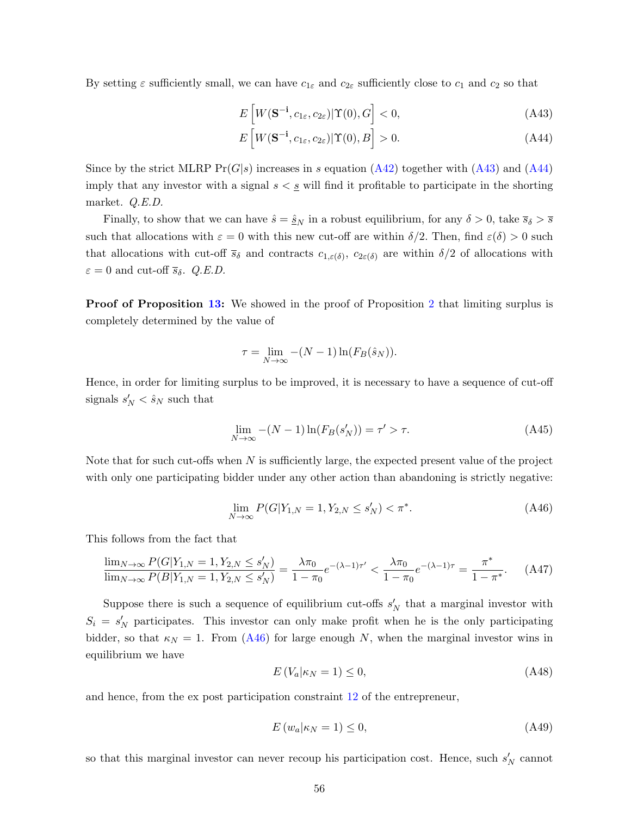By setting  $\varepsilon$  sufficiently small, we can have  $c_{1\varepsilon}$  and  $c_{2\varepsilon}$  sufficiently close to  $c_1$  and  $c_2$  so that

<span id="page-56-0"></span>
$$
E\left[W(\mathbf{S}^{-\mathbf{i}},c_{1\varepsilon},c_{2\varepsilon})|\Upsilon(0),G\right]<0,
$$
\n(A43)

<span id="page-56-1"></span>
$$
E\left[W(\mathbf{S}^{-\mathbf{i}},c_{1\varepsilon},c_{2\varepsilon})|\Upsilon(0),B\right]>0.
$$
 (A44)

Since by the strict MLRP  $Pr(G|s)$  increases in s equation  $(A42)$  together with  $(A43)$  and  $(A44)$ imply that any investor with a signal  $s < s$  will find it profitable to participate in the shorting market. Q.E.D.

Finally, to show that we can have  $\hat{s} = \hat{s}_N$  in a robust equilibrium, for any  $\delta > 0$ , take  $\overline{s}_{\delta} > \overline{s}$ such that allocations with  $\varepsilon = 0$  with this new cut-off are within  $\delta/2$ . Then, find  $\varepsilon(\delta) > 0$  such that allocations with cut-off  $\bar{s}_\delta$  and contracts  $c_{1,\varepsilon(\delta)}, c_{2\varepsilon(\delta)}$  are within  $\delta/2$  of allocations with  $\varepsilon = 0$  and cut-off  $\bar{s}_{\delta}$ . *Q.E.D.* 

**Proof of Proposition [13:](#page-32-3)** We showed in the proof of Proposition [2](#page-15-0) that limiting surplus is completely determined by the value of

$$
\tau = \lim_{N \to \infty} -(N-1)\ln(F_B(\hat{s}_N)).
$$

Hence, in order for limiting surplus to be improved, it is necessary to have a sequence of cut-off signals  $s'_N < \hat{s}_N$  such that

$$
\lim_{N \to \infty} -(N-1)\ln(F_B(s'_N)) = \tau' > \tau.
$$
\n(A45)

Note that for such cut-offs when  $N$  is sufficiently large, the expected present value of the project with only one participating bidder under any other action than abandoning is strictly negative:

<span id="page-56-2"></span>
$$
\lim_{N \to \infty} P(G|Y_{1,N} = 1, Y_{2,N} \le s_N') < \pi^*.\tag{A46}
$$

This follows from the fact that

$$
\frac{\lim_{N \to \infty} P(G|Y_{1,N} = 1, Y_{2,N} \le s'_N)}{\lim_{N \to \infty} P(B|Y_{1,N} = 1, Y_{2,N} \le s'_N)} = \frac{\lambda \pi_0}{1 - \pi_0} e^{-(\lambda - 1)\tau'} < \frac{\lambda \pi_0}{1 - \pi_0} e^{-(\lambda - 1)\tau} = \frac{\pi^*}{1 - \pi^*}.\tag{A47}
$$

Suppose there is such a sequence of equilibrium cut-offs  $s'_N$  that a marginal investor with  $S_i = s'_N$  participates. This investor can only make profit when he is the only participating bidder, so that  $\kappa_N = 1$ . From [\(A46\)](#page-56-2) for large enough N, when the marginal investor wins in equilibrium we have

$$
E\left(V_a|\kappa_N=1\right)\leq 0,\tag{A48}
$$

and hence, from the ex post participation constraint [12](#page-31-1) of the entrepreneur,

$$
E(w_a|\kappa_N=1) \le 0,\t\t(A49)
$$

so that this marginal investor can never recoup his participation cost. Hence, such  $s'_{N}$  cannot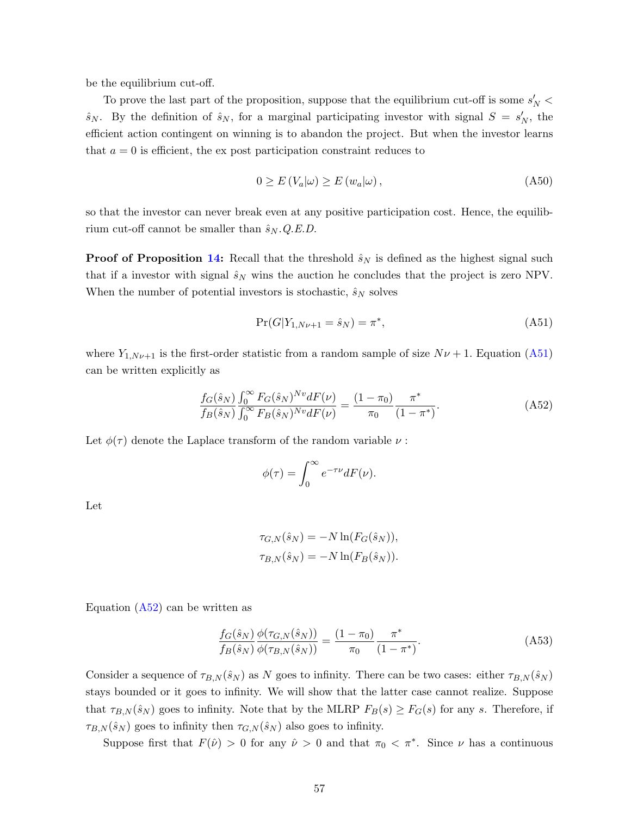be the equilibrium cut-off.

To prove the last part of the proposition, suppose that the equilibrium cut-off is some  $s'_N$  <  $\hat{s}_N$ . By the definition of  $\hat{s}_N$ , for a marginal participating investor with signal  $S = s'_N$ , the efficient action contingent on winning is to abandon the project. But when the investor learns that  $a = 0$  is efficient, the ex post participation constraint reduces to

$$
0 \ge E(V_a|\omega) \ge E(w_a|\omega), \tag{A50}
$$

so that the investor can never break even at any positive participation cost. Hence, the equilibrium cut-off cannot be smaller than  $\hat{s}_N$ . Q.E.D.

**Proof of Proposition [14:](#page-34-2)** Recall that the threshold  $\hat{s}_N$  is defined as the highest signal such that if a investor with signal  $\hat{s}_N$  wins the auction he concludes that the project is zero NPV. When the number of potential investors is stochastic,  $\hat{s}_N$  solves

<span id="page-57-0"></span>
$$
\Pr(G|Y_{1,N\nu+1} = \hat{s}_N) = \pi^*,\tag{A51}
$$

where  $Y_{1,N\nu+1}$  is the first-order statistic from a random sample of size  $N\nu+1$ . Equation [\(A51\)](#page-57-0) can be written explicitly as

<span id="page-57-1"></span>
$$
\frac{f_G(\hat{s}_N)}{f_B(\hat{s}_N)} \frac{\int_0^\infty F_G(\hat{s}_N)^{Nv} dF(\nu)}{\int_0^\infty F_B(\hat{s}_N)^{Nv} dF(\nu)} = \frac{(1 - \pi_0)}{\pi_0} \frac{\pi^*}{(1 - \pi^*)}.
$$
\n(A52)

Let  $\phi(\tau)$  denote the Laplace transform of the random variable  $\nu$ :

$$
\phi(\tau) = \int_0^\infty e^{-\tau \nu} dF(\nu).
$$

Let

$$
\tau_{G,N}(\hat{s}_N) = -N \ln(F_G(\hat{s}_N)),
$$
  

$$
\tau_{B,N}(\hat{s}_N) = -N \ln(F_B(\hat{s}_N)).
$$

Equation [\(A52\)](#page-57-1) can be written as

<span id="page-57-2"></span>
$$
\frac{f_G(\hat{s}_N)}{f_B(\hat{s}_N)} \frac{\phi(\tau_{G,N}(\hat{s}_N))}{\phi(\tau_{B,N}(\hat{s}_N))} = \frac{(1-\pi_0)}{\pi_0} \frac{\pi^*}{(1-\pi^*)}.
$$
\n(A53)

Consider a sequence of  $\tau_{B,N}(\hat{s}_N)$  as N goes to infinity. There can be two cases: either  $\tau_{B,N}(\hat{s}_N)$ stays bounded or it goes to infinity. We will show that the latter case cannot realize. Suppose that  $\tau_{B,N}(\hat{s}_N)$  goes to infinity. Note that by the MLRP  $F_B(s) \geq F_G(s)$  for any s. Therefore, if  $\tau_{B,N}(\hat{s}_N)$  goes to infinity then  $\tau_{G,N}(\hat{s}_N)$  also goes to infinity.

Suppose first that  $F(\hat{\nu}) > 0$  for any  $\hat{\nu} > 0$  and that  $\pi_0 < \pi^*$ . Since  $\nu$  has a continuous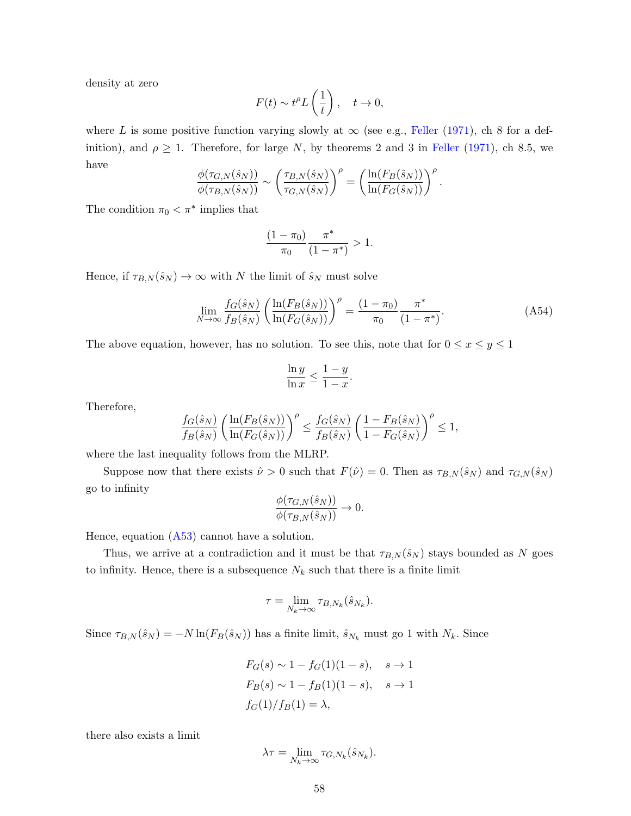density at zero

$$
F(t) \sim t^{\rho} L\left(\frac{1}{t}\right), \quad t \to 0,
$$

where L is some positive function varying slowly at  $\infty$  (see e.g., [Feller](#page-38-9) [\(1971\)](#page-38-9), ch 8 for a definition), and  $\rho \geq 1$ . Therefore, for large N, by theorems 2 and 3 in [Feller](#page-38-9) [\(1971\)](#page-38-9), ch 8.5, we have

$$
\frac{\phi(\tau_{G,N}(\hat{s}_N))}{\phi(\tau_{B,N}(\hat{s}_N))} \sim \left(\frac{\tau_{B,N}(\hat{s}_N)}{\tau_{G,N}(\hat{s}_N)}\right)^{\rho} = \left(\frac{\ln(F_B(\hat{s}_N))}{\ln(F_G(\hat{s}_N))}\right)^{\rho}.
$$

The condition  $\pi_0 < \pi^*$  implies that

$$
\frac{(1-\pi_0)}{\pi_0} \frac{\pi^*}{(1-\pi^*)} > 1.
$$

Hence, if  $\tau_{B,N}(\hat{s}_N) \to \infty$  with N the limit of  $\hat{s}_N$  must solve

$$
\lim_{N \to \infty} \frac{f_G(\hat{s}_N)}{f_B(\hat{s}_N)} \left( \frac{\ln(F_B(\hat{s}_N))}{\ln(F_G(\hat{s}_N))} \right)^{\rho} = \frac{(1 - \pi_0)}{\pi_0} \frac{\pi^*}{(1 - \pi^*)}. \tag{A54}
$$

The above equation, however, has no solution. To see this, note that for  $0 \le x \le y \le 1$ 

$$
\frac{\ln y}{\ln x} \le \frac{1-y}{1-x}.
$$

Therefore,

$$
\frac{f_G(\hat{s}_N)}{f_B(\hat{s}_N)}\left(\frac{\ln(F_B(\hat{s}_N))}{\ln(F_G(\hat{s}_N))}\right)^{\rho}\leq \frac{f_G(\hat{s}_N)}{f_B(\hat{s}_N)}\left(\frac{1-F_B(\hat{s}_N)}{1-F_G(\hat{s}_N)}\right)^{\rho}\leq 1,
$$

where the last inequality follows from the MLRP.

Suppose now that there exists  $\hat{\nu} > 0$  such that  $F(\hat{\nu}) = 0$ . Then as  $\tau_{B,N}(\hat{s}_N)$  and  $\tau_{G,N}(\hat{s}_N)$ go to infinity

$$
\frac{\phi(\tau_{G,N}(\hat{s}_N))}{\phi(\tau_{B,N}(\hat{s}_N))} \to 0.
$$

Hence, equation  $(A53)$  cannot have a solution.

Thus, we arrive at a contradiction and it must be that  $\tau_{B,N}(\hat{s}_N)$  stays bounded as N goes to infinity. Hence, there is a subsequence  $N_k$  such that there is a finite limit

$$
\tau = \lim_{N_k \to \infty} \tau_{B,N_k}(\hat{s}_{N_k}).
$$

Since  $\tau_{B,N}(\hat{s}_N) = -N \ln(F_B(\hat{s}_N))$  has a finite limit,  $\hat{s}_{N_k}$  must go 1 with  $N_k$ . Since

$$
F_G(s) \sim 1 - f_G(1)(1 - s), \quad s \to 1
$$
  
\n
$$
F_B(s) \sim 1 - f_B(1)(1 - s), \quad s \to 1
$$
  
\n
$$
f_G(1)/f_B(1) = \lambda,
$$

there also exists a limit

$$
\lambda \tau = \lim_{N_k \to \infty} \tau_{G, N_k}(\hat{s}_{N_k}).
$$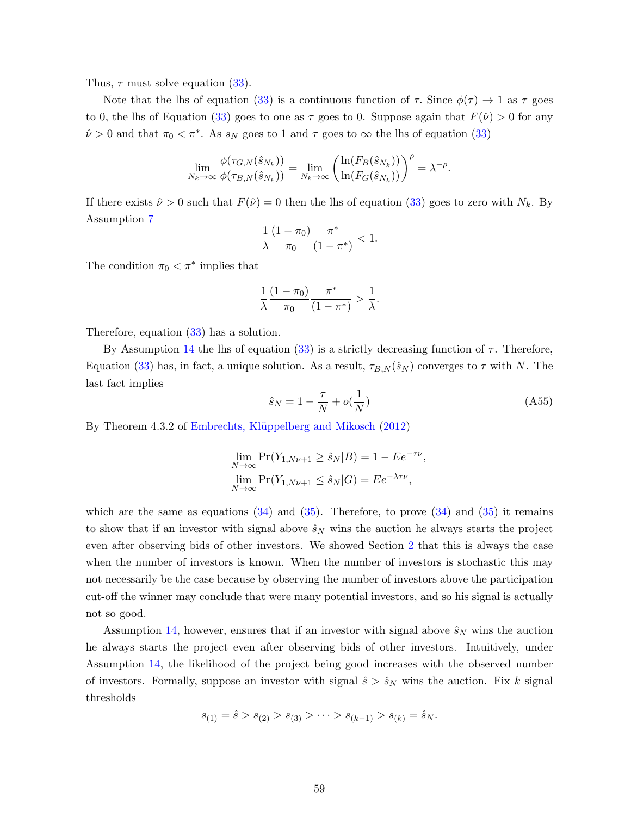Thus,  $\tau$  must solve equation [\(33\)](#page-35-1).

Note that the lhs of equation [\(33\)](#page-35-1) is a continuous function of  $\tau$ . Since  $\phi(\tau) \to 1$  as  $\tau$  goes to 0, the lhs of Equation [\(33\)](#page-35-1) goes to one as  $\tau$  goes to 0. Suppose again that  $F(\hat{\nu}) > 0$  for any  $\hat{\nu} > 0$  and that  $\pi_0 < \pi^*$ . As  $s_N$  goes to 1 and  $\tau$  goes to  $\infty$  the lhs of equation [\(33\)](#page-35-1)

$$
\lim_{N_k\to\infty}\frac{\phi(\tau_{G,{N}}(\hat{s}_{N_k}))}{\phi(\tau_{B,{N}}(\hat{s}_{N_k}))}=\lim_{N_k\to\infty}\left(\frac{\ln(F_B(\hat{s}_{N_k}))}{\ln(F_G(\hat{s}_{N_k}))}\right)^{\rho}=\lambda^{-\rho}.
$$

If there exists  $\hat{\nu} > 0$  such that  $F(\hat{\nu}) = 0$  then the lhs of equation [\(33\)](#page-35-1) goes to zero with  $N_k$ . By Assumption [7](#page-14-0)

$$
\frac{1}{\lambda} \frac{(1-\pi_0)}{\pi_0} \frac{\pi^*}{(1-\pi^*)} < 1.
$$

The condition  $\pi_0 < \pi^*$  implies that

$$
\frac{1}{\lambda}\frac{(1-\pi_0)}{\pi_0}\frac{\pi^*}{(1-\pi^*)}>\frac{1}{\lambda}.
$$

Therefore, equation [\(33\)](#page-35-1) has a solution.

By Assumption [14](#page-34-5) the lhs of equation [\(33\)](#page-35-1) is a strictly decreasing function of  $\tau$ . Therefore, Equation [\(33\)](#page-35-1) has, in fact, a unique solution. As a result,  $\tau_{B,N}(\hat{s}_N)$  converges to  $\tau$  with N. The last fact implies

$$
\hat{s}_N = 1 - \frac{\tau}{N} + o(\frac{1}{N})\tag{A55}
$$

By Theorem 4.3.2 of Embrechts, Klüppelberg and Mikosch [\(2012\)](#page-38-8)

$$
\lim_{N \to \infty} \Pr(Y_{1, N\nu+1} \ge \hat{s}_N | B) = 1 - E e^{-\tau \nu},
$$
  

$$
\lim_{N \to \infty} \Pr(Y_{1, N\nu+1} \le \hat{s}_N | G) = E e^{-\lambda \tau \nu},
$$

which are the same as equations  $(34)$  and  $(35)$ . Therefore, to prove  $(34)$  and  $(35)$  it remains to show that if an investor with signal above  $\hat{s}_N$  wins the auction he always starts the project even after observing bids of other investors. We showed Section [2](#page-13-1) that this is always the case when the number of investors is known. When the number of investors is stochastic this may not necessarily be the case because by observing the number of investors above the participation cut-off the winner may conclude that were many potential investors, and so his signal is actually not so good.

Assumption [14,](#page-34-5) however, ensures that if an investor with signal above  $\hat{s}_N$  wins the auction he always starts the project even after observing bids of other investors. Intuitively, under Assumption [14,](#page-34-5) the likelihood of the project being good increases with the observed number of investors. Formally, suppose an investor with signal  $\hat{s} > \hat{s}_N$  wins the auction. Fix k signal thresholds

$$
s_{(1)} = \hat{s} > s_{(2)} > s_{(3)} > \cdots > s_{(k-1)} > s_{(k)} = \hat{s}_N.
$$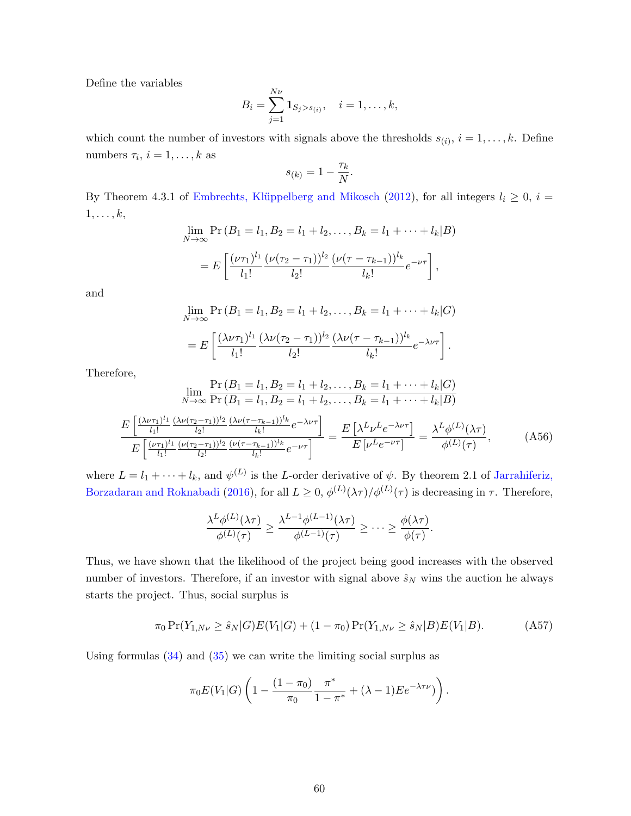Define the variables

$$
B_i = \sum_{j=1}^{N\nu} \mathbf{1}_{S_j > s_{(i)}}, \quad i = 1, \dots, k,
$$

which count the number of investors with signals above the thresholds  $s_{(i)}$ ,  $i = 1, \ldots, k$ . Define numbers  $\tau_i$ ,  $i = 1, \ldots, k$  as

$$
s_{(k)} = 1 - \frac{\tau_k}{N}.
$$

By Theorem 4.3.1 of Embrechts, Klüppelberg and Mikosch [\(2012\)](#page-38-8), for all integers  $l_i \geq 0$ ,  $i =$  $1, \ldots, k,$ 

$$
\lim_{N \to \infty} \Pr(B_1 = l_1, B_2 = l_1 + l_2, \dots, B_k = l_1 + \dots + l_k | B)
$$
  
= 
$$
E\left[\frac{(\nu \tau_1)^{l_1}}{l_1!} \frac{(\nu (\tau_2 - \tau_1))^{l_2}}{l_2!} \frac{(\nu (\tau - \tau_{k-1}))^{l_k}}{l_k!} e^{-\nu \tau}\right],
$$

and

$$
\lim_{N \to \infty} \Pr(B_1 = l_1, B_2 = l_1 + l_2, \dots, B_k = l_1 + \dots + l_k | G)
$$
  
= 
$$
E\left[\frac{(\lambda \nu \tau_1)^{l_1}}{l_1!} \frac{(\lambda \nu (\tau_2 - \tau_1))^{l_2}}{l_2!} \frac{(\lambda \nu (\tau - \tau_{k-1}))^{l_k}}{l_k!} e^{-\lambda \nu \tau}\right].
$$

Therefore,

$$
\lim_{N \to \infty} \frac{\Pr(B_1 = l_1, B_2 = l_1 + l_2, \dots, B_k = l_1 + \dots + l_k | G)}{\Pr(B_1 = l_1, B_2 = l_1 + l_2, \dots, B_k = l_1 + \dots + l_k | B)}
$$

$$
\frac{E\left[\frac{(\lambda \nu \tau_1)^{l_1}}{l_1!} \frac{(\lambda \nu (\tau_2 - \tau_1))^l z}{l_2!} \frac{(\lambda \nu (\tau - \tau_{k-1}))^{l_k}}{l_k!} e^{-\lambda \nu \tau}\right]}{E\left[\frac{(\nu \tau_1)^{l_1}}{l_1!} \frac{(\nu (\tau_2 - \tau_1))^l z}{l_2!} \frac{(\nu (\tau - \tau_{k-1}))^{l_k}}{l_k!} e^{-\nu \tau}\right]} = \frac{E\left[\lambda^L \nu^L e^{-\lambda \nu \tau}\right]}{E\left[\nu^L e^{-\nu \tau}\right]} = \frac{\lambda^L \phi^{(L)}(\lambda \tau)}{\phi^{(L)}(\tau)}, \tag{A56}
$$

where  $L = l_1 + \cdots + l_k$ , and  $\psi^{(L)}$  is the L-order derivative of  $\psi$ . By theorem 2.1 of [Jarrahiferiz,](#page-38-10) [Borzadaran and Roknabadi](#page-38-10) [\(2016\)](#page-38-10), for all  $L \geq 0$ ,  $\phi^{(L)}(\lambda \tau)/\phi^{(L)}(\tau)$  is decreasing in  $\tau$ . Therefore,

$$
\frac{\lambda^L \phi^{(L)}(\lambda \tau)}{\phi^{(L)}(\tau)} \ge \frac{\lambda^{L-1} \phi^{(L-1)}(\lambda \tau)}{\phi^{(L-1)}(\tau)} \ge \cdots \ge \frac{\phi(\lambda \tau)}{\phi(\tau)}.
$$

Thus, we have shown that the likelihood of the project being good increases with the observed number of investors. Therefore, if an investor with signal above  $\hat{s}_N$  wins the auction he always starts the project. Thus, social surplus is

$$
\pi_0 \Pr(Y_{1,N\nu} \ge \hat{s}_N | G) E(V_1 | G) + (1 - \pi_0) \Pr(Y_{1,N\nu} \ge \hat{s}_N | B) E(V_1 | B). \tag{A57}
$$

Using formulas  $(34)$  and  $(35)$  we can write the limiting social surplus as

$$
\pi_0 E(V_1|G) \left(1 - \frac{(1-\pi_0)}{\pi_0} \frac{\pi^*}{1-\pi^*} + (\lambda - 1) E e^{-\lambda \tau \nu})\right).
$$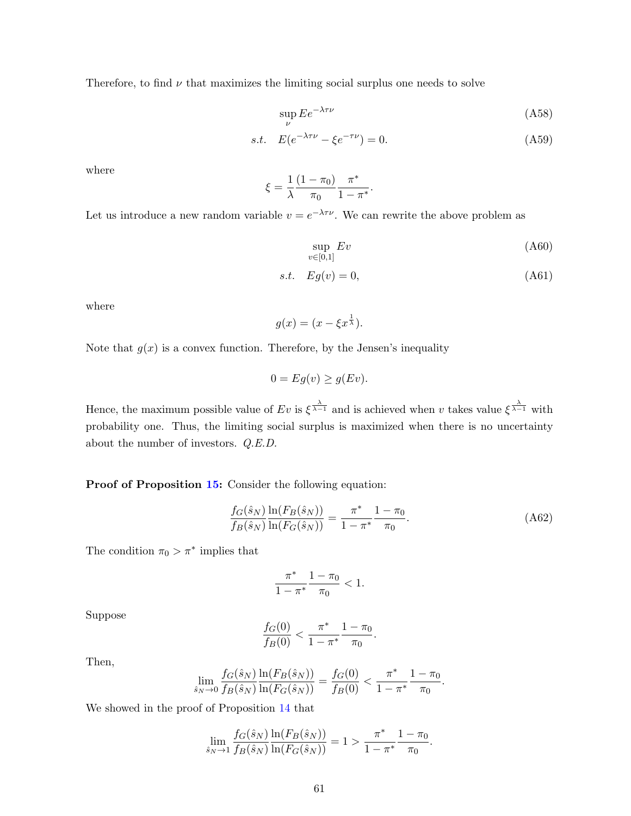Therefore, to find  $\nu$  that maximizes the limiting social surplus one needs to solve

$$
\sup_{\nu} E e^{-\lambda \tau \nu} \tag{A58}
$$

s.t. 
$$
E(e^{-\lambda \tau \nu} - \xi e^{-\tau \nu}) = 0.
$$
 (A59)

where

$$
\xi = \frac{1}{\lambda} \frac{(1 - \pi_0)}{\pi_0} \frac{\pi^*}{1 - \pi^*}.
$$

Let us introduce a new random variable  $v = e^{-\lambda \tau \nu}$ . We can rewrite the above problem as

$$
\sup_{v \in [0,1]} Ev \tag{A60}
$$

$$
s.t. \tEg(v) = 0,\t(A61)
$$

where

$$
g(x) = (x - \xi x^{\frac{1}{\lambda}}).
$$

Note that  $g(x)$  is a convex function. Therefore, by the Jensen's inequality

$$
0 = Eg(v) \ge g(Ev).
$$

Hence, the maximum possible value of  $Ev$  is  $\xi^{\frac{\lambda}{\lambda-1}}$  and is achieved when v takes value  $\xi^{\frac{\lambda}{\lambda-1}}$  with probability one. Thus, the limiting social surplus is maximized when there is no uncertainty about the number of investors. Q.E.D.

## Proof of Proposition [15:](#page-35-0) Consider the following equation:

<span id="page-61-0"></span>
$$
\frac{f_G(\hat{s}_N)}{f_B(\hat{s}_N)} \frac{\ln(F_B(\hat{s}_N))}{\ln(F_G(\hat{s}_N))} = \frac{\pi^*}{1 - \pi^*} \frac{1 - \pi_0}{\pi_0}.
$$
\n(A62)

The condition  $\pi_0 > \pi^*$  implies that

$$
\frac{\pi^*}{1-\pi^*}\frac{1-\pi_0}{\pi_0}<1.
$$

Suppose

$$
\frac{f_G(0)}{f_B(0)} < \frac{\pi^*}{1 - \pi^*} \frac{1 - \pi_0}{\pi_0}.
$$

Then,

$$
\lim_{\hat{s}_N \to 0} \frac{f_G(\hat{s}_N)}{f_B(\hat{s}_N)} \frac{\ln(F_B(\hat{s}_N))}{\ln(F_G(\hat{s}_N))} = \frac{f_G(0)}{f_B(0)} < \frac{\pi^*}{1 - \pi^*} \frac{1 - \pi_0}{\pi_0}.
$$

We showed in the proof of Proposition [14](#page-34-2) that

$$
\lim_{\hat{s}_N \to 1} \frac{f_G(\hat{s}_N)}{f_B(\hat{s}_N)} \frac{\ln(F_B(\hat{s}_N))}{\ln(F_G(\hat{s}_N))} = 1 > \frac{\pi^*}{1 - \pi^*} \frac{1 - \pi_0}{\pi_0}.
$$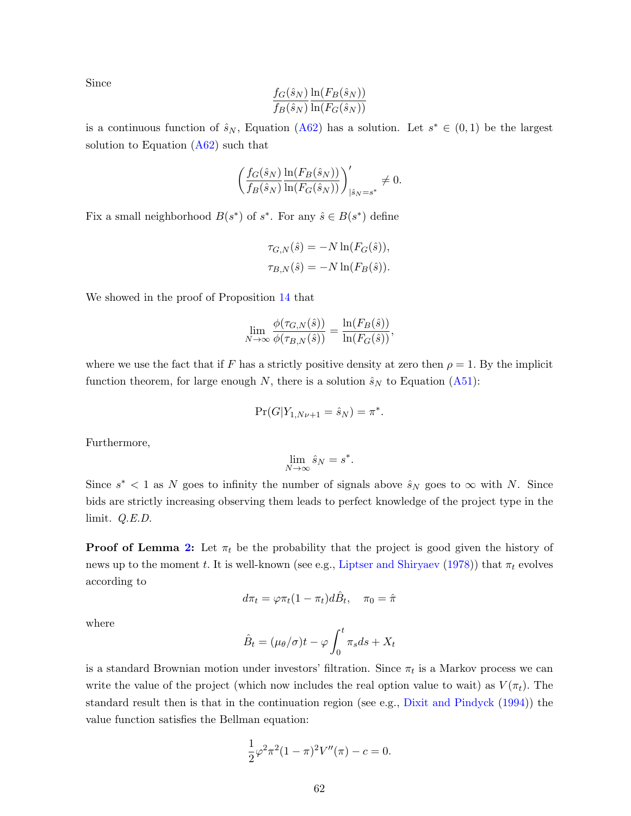Since

$$
\frac{f_G(\hat{s}_N)}{f_B(\hat{s}_N)} \frac{\ln(F_B(\hat{s}_N))}{\ln(F_G(\hat{s}_N))}
$$

is a continuous function of  $\hat{s}_N$ , Equation [\(A62\)](#page-61-0) has a solution. Let  $s^* \in (0,1)$  be the largest solution to Equation  $(A62)$  such that

$$
\left(\frac{f_G(\hat{s}_N)}{f_B(\hat{s}_N)}\frac{\ln(F_B(\hat{s}_N))}{\ln(F_G(\hat{s}_N))}\right)_{|\hat{s}_N=s^*}^\prime\neq 0.
$$

Fix a small neighborhood  $B(s^*)$  of  $s^*$ . For any  $\hat{s} \in B(s^*)$  define

$$
\tau_{G,N}(\hat{s}) = -N \ln(F_G(\hat{s})),
$$
  

$$
\tau_{B,N}(\hat{s}) = -N \ln(F_B(\hat{s})).
$$

We showed in the proof of Proposition [14](#page-34-2) that

$$
\lim_{N \to \infty} \frac{\phi(\tau_{G,N}(\hat{s}))}{\phi(\tau_{B,N}(\hat{s}))} = \frac{\ln(F_B(\hat{s}))}{\ln(F_G(\hat{s}))},
$$

where we use the fact that if F has a strictly positive density at zero then  $\rho = 1$ . By the implicit function theorem, for large enough N, there is a solution  $\hat{s}_N$  to Equation [\(A51\)](#page-57-0):

$$
\Pr(G|Y_{1,N\nu+1} = \hat{s}_N) = \pi^*.
$$

Furthermore,

$$
\lim_{N \to \infty} \hat{s}_N = s^*.
$$

Since  $s^*$  < 1 as N goes to infinity the number of signals above  $\hat{s}_N$  goes to  $\infty$  with N. Since bids are strictly increasing observing them leads to perfect knowledge of the project type in the limit. Q.E.D.

**Proof of Lemma [2:](#page-33-0)** Let  $\pi_t$  be the probability that the project is good given the history of news up to the moment t. It is well-known (see e.g., [Liptser and Shiryaev](#page-39-11) [\(1978\)](#page-39-11)) that  $\pi_t$  evolves according to

$$
d\pi_t = \varphi \pi_t (1 - \pi_t) d\hat{B}_t, \quad \pi_0 = \hat{\pi}
$$

where

$$
\hat{B}_t = (\mu_\theta/\sigma)t - \varphi \int_0^t \pi_s ds + X_t
$$

is a standard Brownian motion under investors' filtration. Since  $\pi_t$  is a Markov process we can write the value of the project (which now includes the real option value to wait) as  $V(\pi_t)$ . The standard result then is that in the continuation region (see e.g., [Dixit and Pindyck](#page-38-7) [\(1994\)](#page-38-7)) the value function satisfies the Bellman equation:

$$
\frac{1}{2}\varphi^2 \pi^2 (1-\pi)^2 V''(\pi) - c = 0.
$$